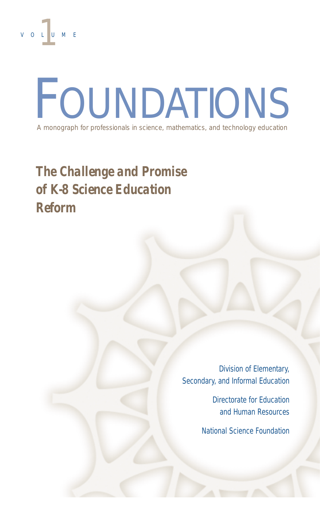

# A monograph for professionals in science, mathematics, and technology education A monograph for professionals in science, mathematics, and technology education

# *The Challenge and Promise of K-8 Science Education Reform*

Division of Elementary, Secondary, and Informal Education

> Directorate for Education and Human Resources

National Science Foundation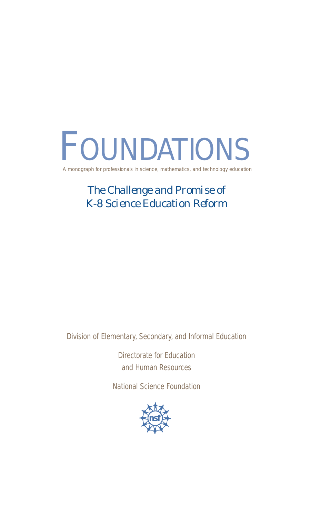# FOUNDATIONS

A monograph for professionals in science, mathematics, and technology education

## *The Challenge and Promise of K-8 Science Education Reform*

Division of Elementary, Secondary, and Informal Education

Directorate for Education and Human Resources

National Science Foundation

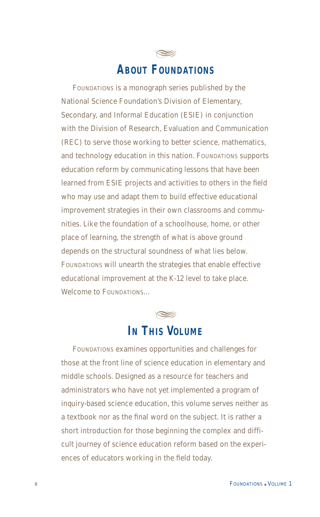

# A **ABOUT FOUNDATIONS**

FOUNDATIONS is a monograph series published by the National Science Foundation's Division of Elementary, Secondary, and Informal Education (ESIE) in conjunction with the Division of Research, Evaluation and Communication (REC) to serve those working to better science, mathematics, and technology education in this nation. FOUNDATIONS supports education reform by communicating lessons that have been learned from ESIE projects and activities to others in the field who may use and adapt them to build effective educational improvement strategies in their own classrooms and communities. Like the foundation of a schoolhouse, home, or other place of learning, the strength of what is above ground depends on the structural soundness of what lies below. FOUNDATIONS will unearth the strategies that enable effective educational improvement at the K-12 level to take place. Welcome to FOUNDATIONS…



FOUNDATIONS examines opportunities and challenges for those at the front line of science education in elementary and middle schools. Designed as a resource for teachers and administrators who have not yet implemented a program of inquiry-based science education, this volume serves neither as a textbook nor as the final word on the subject. It is rather a short introduction for those beginning the complex and difficult journey of science education reform based on the experiences of educators working in the field today.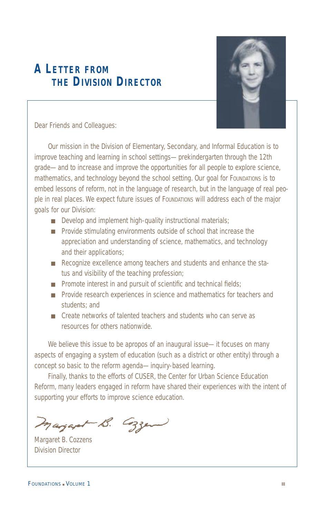## **A LETTER FROM THE DIVISION DIRECTOR**



Dear Friends and Colleagues:

Our mission in the Division of Elementary, Secondary, and Informal Education is to improve teaching and learning in school settings—prekindergarten through the 12th grade—and to increase and improve the opportunities for all people to explore science, mathematics, and technology beyond the school setting. Our goal for Foundations is to embed lessons of reform, not in the language of research, but in the language of real people in real places. We expect future issues of FOUNDATIONS will address each of the major goals for our Division:

- Develop and implement high-quality instructional materials;
- Provide stimulating environments outside of school that increase the appreciation and understanding of science, mathematics, and technology and their applications;
- Recognize excellence among teachers and students and enhance the status and visibility of the teaching profession;
- Promote interest in and pursuit of scientific and technical fields;
- Provide research experiences in science and mathematics for teachers and students; and
- Create networks of talented teachers and students who can serve as resources for others nationwide.

We believe this issue to be apropos of an inaugural issue—it focuses on many aspects of engaging a system of education (such as a district or other entity) through a concept so basic to the reform agenda—inquiry-based learning.

Finally, thanks to the efforts of CUSER, the Center for Urban Science Education Reform, many leaders engaged in reform have shared their experiences with the intent of supporting your efforts to improve science education.

margaret B. Cozzen

Margaret B. Cozzens Division Director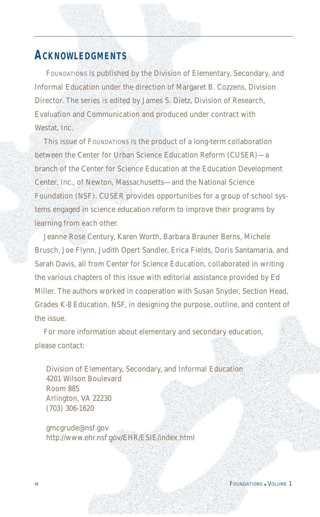### **ACKNOWLEDGMENTS**

FOUNDATIONS is published by the Division of Elementary, Secondary, and Informal Education under the direction of Margaret B. Cozzens, Division Director. The series is edited by James S. Dietz, Division of Research, Evaluation and Communication and produced under contract with Westat, Inc.

This issue of FOUNDATIONS is the product of a long-term collaboration between the Center for Urban Science Education Reform (CUSER)—a branch of the Center for Science Education at the Education Development Center, Inc., of Newton, Massachusetts—and the National Science Foundation (NSF). CUSER provides opportunities for a group of school systems engaged in science education reform to improve their programs by learning from each other.

Jeanne Rose Century, Karen Worth, Barbara Brauner Berns, Michele Brusch, Joe Flynn, Judith Opert Sandler, Erica Fields, Doris Santamaria, and Sarah Davis, all from Center for Science Education, collaborated in writing the various chapters of this issue with editorial assistance provided by Ed Miller. The authors worked in cooperation with Susan Snyder, Section Head, Grades K-8 Education, NSF, in designing the purpose, outline, and content of the issue.

For more information about elementary and secondary education, please contact:

Division of Elementary, Secondary, and Informal Education 4201 Wilson Boulevard Room 885 Arlington, VA 22230 (703) 306-1620

gmcgrude@nsf.gov http://www.ehr.nsf.gov/EHR/ESIE/index.html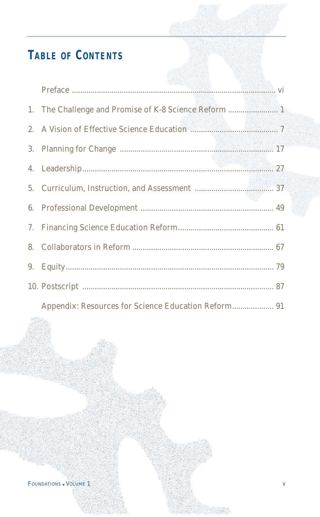# **TABLE OF CONTENTS**

| 1. The Challenge and Promise of K-8 Science Reform  1 |  |
|-------------------------------------------------------|--|
|                                                       |  |
|                                                       |  |
|                                                       |  |
|                                                       |  |
|                                                       |  |
|                                                       |  |
|                                                       |  |
|                                                       |  |
|                                                       |  |
|                                                       |  |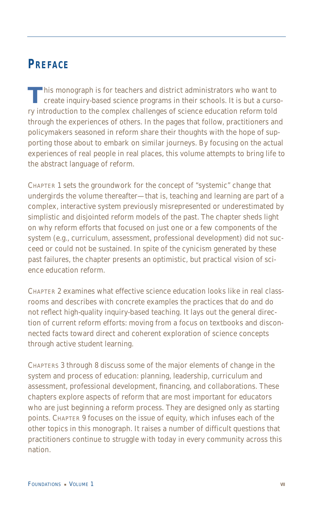### **PREFACE**

This monograph is for teachers and district administrators who want to create inquiry-based science programs in their schools. It is but a cursory introduction to the complex challenges of science education reform told through the experiences of others. In the pages that follow, practitioners and policymakers seasoned in reform share their thoughts with the hope of supporting those about to embark on similar journeys. By focusing on the actual experiences of real people in real places, this volume attempts to bring life to the abstract language of reform.

CHAPTER 1 sets the groundwork for the concept of "systemic" change that undergirds the volume thereafter—that is, teaching and learning are part of a complex, interactive system previously misrepresented or underestimated by simplistic and disjointed reform models of the past. The chapter sheds light on why reform efforts that focused on just one or a few components of the system (e.g., curriculum, assessment, professional development) did not succeed or could not be sustained. In spite of the cynicism generated by these past failures, the chapter presents an optimistic, but practical vision of science education reform.

CHAPTER 2 examines what effective science education looks like in real classrooms and describes with concrete examples the practices that do and do not reflect high-quality inquiry-based teaching. It lays out the general direction of current reform efforts: moving from a focus on textbooks and disconnected facts toward direct and coherent exploration of science concepts through active student learning.

CHAPTERS 3 through 8 discuss some of the major elements of change in the system and process of education: planning, leadership, curriculum and assessment, professional development, financing, and collaborations. These chapters explore aspects of reform that are most important for educators who are just beginning a reform process. They are designed only as starting points. CHAPTER 9 focuses on the issue of equity, which infuses each of the other topics in this monograph. It raises a number of difficult questions that practitioners continue to struggle with today in every community across this nation.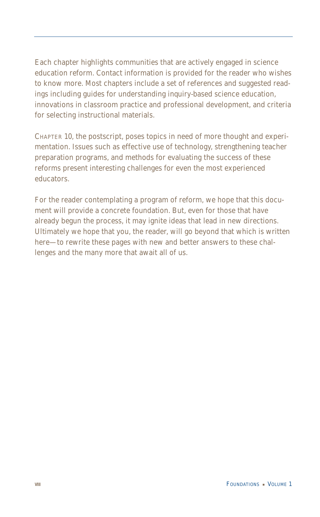Each chapter highlights communities that are actively engaged in science education reform. Contact information is provided for the reader who wishes to know more. Most chapters include a set of references and suggested readings including guides for understanding inquiry-based science education, innovations in classroom practice and professional development, and criteria for selecting instructional materials.

CHAPTER 10, the postscript, poses topics in need of more thought and experimentation. Issues such as effective use of technology, strengthening teacher preparation programs, and methods for evaluating the success of these reforms present interesting challenges for even the most experienced educators.

For the reader contemplating a program of reform, we hope that this document will provide a concrete foundation. But, even for those that have already begun the process, it may ignite ideas that lead in new directions. Ultimately we hope that you, the reader, will go beyond that which is written here—to rewrite these pages with new and better answers to these challenges and the many more that await all of us.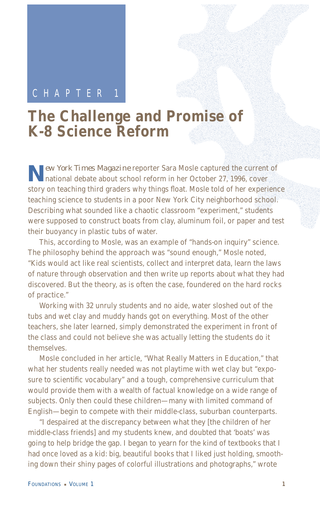#### C H A P T E R 1

# **The Challenge and Promise of K-8 Science Reform**

**N** ew York Times Magazine reporter Sara Mosle captured the current of national debate about school reform in her October 27, 1996, cover story on teaching third graders why things float. Mosle told of her experience teaching science to students in a poor New York City neighborhood school. Describing what sounded like a chaotic classroom "experiment," students were supposed to construct boats from clay, aluminum foil, or paper and test their buoyancy in plastic tubs of water.

This, according to Mosle, was an example of "hands-on inquiry" science. The philosophy behind the approach was "sound enough," Mosle noted, "Kids would act like real scientists, collect and interpret data, learn the laws of nature through observation and then write up reports about what they had discovered. But the theory, as is often the case, foundered on the hard rocks of practice."

Working with 32 unruly students and no aide, water sloshed out of the tubs and wet clay and muddy hands got on everything. Most of the other teachers, she later learned, simply demonstrated the experiment in front of the class and could not believe she was actually letting the students do it themselves.

Mosle concluded in her article, "What Really Matters in Education," that what her students really needed was not playtime with wet clay but "exposure to scientific vocabulary" and a tough, comprehensive curriculum that would provide them with a wealth of factual knowledge on a wide range of subjects. Only then could these children—many with limited command of English—begin to compete with their middle-class, suburban counterparts.

"I despaired at the discrepancy between what they [the children of her middle-class friends] and my students knew, and doubted that 'boats' was going to help bridge the gap. I began to yearn for the kind of textbooks that I had once loved as a kid: big, beautiful books that I liked just holding, smoothing down their shiny pages of colorful illustrations and photographs," wrote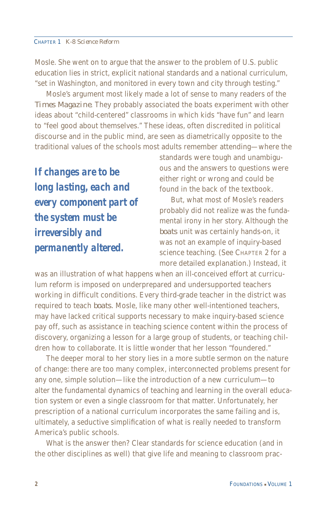Mosle. She went on to argue that the answer to the problem of U.S. public education lies in strict, explicit national standards and a national curriculum, "set in Washington, and monitored in every town and city through testing."

Mosle's argument most likely made a lot of sense to many readers of the *Times Magazine*. They probably associated the boats experiment with other ideas about "child-centered" classrooms in which kids "have fun" and learn to "feel good about themselves." These ideas, often discredited in political discourse and in the public mind, are seen as diametrically opposite to the traditional values of the schools most adults remember attending—where the

*If changes are to be long lasting, each and every component part of the system must be irreversibly and permanently altered.*

standards were tough and unambiguous and the answers to questions were either right or wrong and could be found in the back of the textbook.

But, what most of Mosle's readers probably did not realize was the fundamental irony in her story. Although the *boats* unit was certainly hands-on, it was not an example of inquiry-based science teaching. (See CHAPTER 2 for a more detailed explanation.) Instead, it

was an illustration of what happens when an ill-conceived effort at curriculum reform is imposed on underprepared and undersupported teachers working in difficult conditions. Every third-grade teacher in the district was required to teach *boats.* Mosle, like many other well-intentioned teachers, may have lacked critical supports necessary to make inquiry-based science pay off, such as assistance in teaching science content within the process of discovery, organizing a lesson for a large group of students, or teaching children how to collaborate. It is little wonder that her lesson "foundered."

The deeper moral to her story lies in a more subtle sermon on the nature of change: there are too many complex, interconnected problems present for any one, simple solution—like the introduction of a new curriculum—to alter the fundamental dynamics of teaching and learning in the overall education system or even a single classroom for that matter. Unfortunately, her prescription of a national curriculum incorporates the same failing and is, ultimately, a seductive simplification of what is really needed to transform America's public schools.

What is the answer then? Clear standards for science education (and in the other disciplines as well) that give life and meaning to classroom prac-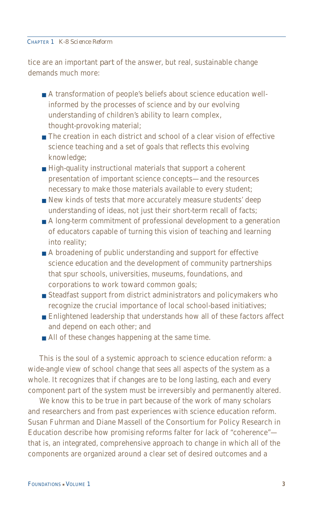#### CHAPTER 1 *K-8 Science Reform*

tice are an important *part* of the answer, but real, sustainable change demands much more:

- A transformation of people's beliefs about science education wellinformed by the processes of science and by our evolving understanding of children's ability to learn complex, thought-provoking material;
- The creation in each district and school of a clear vision of effective science teaching and a set of goals that reflects this evolving knowledge;
- High-quality instructional materials that support a coherent presentation of important science concepts—and the resources necessary to make those materials available to every student;
- New kinds of tests that more accurately measure students' deep understanding of ideas, not just their short-term recall of facts;
- A long-term commitment of professional development to a generation of educators capable of turning this vision of teaching and learning into reality;
- A broadening of public understanding and support for effective science education and the development of community partnerships that spur schools, universities, museums, foundations, and corporations to work toward common goals;
- Steadfast support from district administrators and policymakers who recognize the crucial importance of local school-based initiatives;
- Enlightened leadership that understands how all of these factors affect and depend on each other; and
- All of these changes happening at the same time.

This is the soul of a systemic approach to science education reform: a wide-angle view of school change that sees all aspects of the system as a whole. It recognizes that if changes are to be long lasting, each and every component part of the system must be irreversibly and permanently altered.

We know this to be true in part because of the work of many scholars and researchers and from past experiences with science education reform. Susan Fuhrman and Diane Massell of the Consortium for Policy Research in Education describe how promising reforms falter for lack of "coherence" that is, an integrated, comprehensive approach to change in which all of the components are organized around a clear set of desired outcomes and a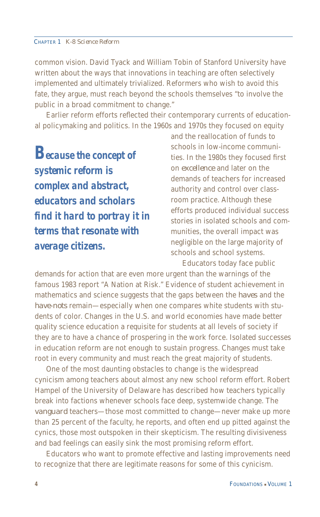common vision. David Tyack and William Tobin of Stanford University have written about the ways that innovations in teaching are often selectively implemented and ultimately trivialized. Reformers who wish to avoid this fate, they argue, must reach beyond the schools themselves "to involve the public in a broad commitment to change."

Earlier reform efforts reflected their contemporary currents of educational policymaking and politics. In the 1960s and 1970s they focused on equity

*Because the concept of systemic reform is complex and abstract, educators and scholars find it hard to portray it in terms that resonate with average citizens.*

and the reallocation of funds to schools in low-income communities. In the 1980s they focused first on *excellence* and later on the demands of teachers for increased authority and control over classroom practice. Although these efforts produced individual success stories in isolated schools and communities, the overall impact was negligible on the large majority of schools and school systems.

Educators today face public

demands for action that are even more urgent than the warnings of the famous 1983 report "A Nation at Risk." Evidence of student achievement in mathematics and science suggests that the gaps between the *haves* and the *have-nots* remain—especially when one compares white students with students of color. Changes in the U.S. and world economies have made better quality science education a requisite for students at all levels of society if they are to have a chance of prospering in the work force. Isolated successes in education reform are not enough to sustain progress. Changes must take root in every community and must reach the great majority of students.

One of the most daunting obstacles to change is the widespread cynicism among teachers about almost any new school reform effort. Robert Hampel of the University of Delaware has described how teachers typically break into factions whenever schools face deep, systemwide change. The *vanguard* teachers—those most committed to change—never make up more than 25 percent of the faculty, he reports, and often end up pitted against the cynics, those most outspoken in their skepticism. The resulting divisiveness and bad feelings can easily sink the most promising reform effort.

Educators who want to promote effective and lasting improvements need to recognize that there are legitimate reasons for some of this cynicism.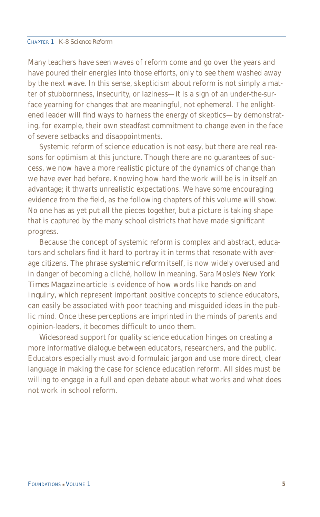#### CHAPTER 1 *K-8 Science Reform*

Many teachers have seen waves of reform come and go over the years and have poured their energies into those efforts, only to see them washed away by the next wave. In this sense, skepticism about reform is not simply a matter of stubbornness, insecurity, or laziness—it is a sign of an under-the-surface yearning for changes that are meaningful, not ephemeral. The enlightened leader will find ways to harness the energy of skeptics—by demonstrating, for example, their own steadfast commitment to change even in the face of severe setbacks and disappointments.

Systemic reform of science education is not easy, but there are real reasons for optimism at this juncture. Though there are no guarantees of success, we now have a more realistic picture of the dynamics of change than we have ever had before. Knowing how hard the work will be is in itself an advantage; it thwarts unrealistic expectations. We have some encouraging evidence from the field, as the following chapters of this volume will show. No one has as yet put all the pieces together, but a picture is taking shape that is captured by the many school districts that have made significant progress.

Because the concept of systemic reform is complex and abstract, educators and scholars find it hard to portray it in terms that resonate with average citizens. The phrase *systemic reform* itself, is now widely overused and in danger of becoming a cliché, hollow in meaning. Sara Mosle's *New York Times Magazine* article is evidence of how words like *hands-on* and *inquiry*, which represent important positive concepts to science educators, can easily be associated with poor teaching and misguided ideas in the public mind. Once these perceptions are imprinted in the minds of parents and opinion-leaders, it becomes difficult to undo them.

Widespread support for quality science education hinges on creating a more informative dialogue between educators, researchers, and the public. Educators especially must avoid formulaic jargon and use more direct, clear language in making the case for science education reform. All sides must be willing to engage in a full and open debate about what works and what does not work in school reform.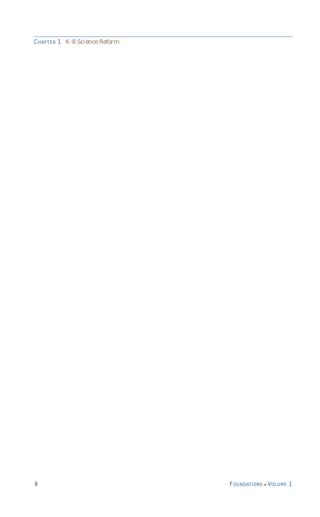#### CHAPTER 1 *K-8 Science Reform*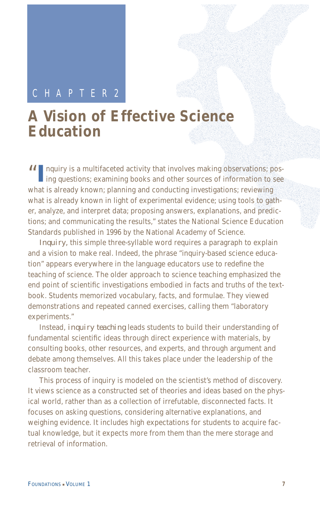# **A Vision of Effective Science Education**

 $\bullet\bullet\bullet\bullet\bullet\bullet\bullet\bullet$  nquiry is a multifaceted activity that involves making observations; posing questions; examining books and other sources of information to see Ing questions; examining books and other sources of information to see what is already known; planning and conducting investigations; reviewing what is already known in light of experimental evidence; using tools to gather, analyze, and interpret data; proposing answers, explanations, and predictions; and communicating the results," states the National Science Education Standards published in 1996 by the National Academy of Science.

*Inquiry,* this simple three-syllable word requires a paragraph to explain and a vision to make real. Indeed, the phrase "inquiry-based science education" appears everywhere in the language educators use to redefine the teaching of science. The older approach to science teaching emphasized the end point of scientific investigations embodied in facts and truths of the textbook. Students memorized vocabulary, facts, and formulae. They viewed demonstrations and repeated canned exercises, calling them "laboratory experiments."

Instead, *inquiry teaching* leads students to build their understanding of fundamental scientific ideas through direct experience with materials, by consulting books, other resources, and experts, and through argument and debate among themselves. All this takes place under the leadership of the classroom teacher.

This process of inquiry is modeled on the scientist's method of discovery. It views science as a constructed set of theories and ideas based on the physical world, rather than as a collection of irrefutable, disconnected facts. It focuses on asking questions, considering alternative explanations, and weighing evidence. It includes high expectations for students to acquire factual knowledge, but it expects more from them than the mere storage and retrieval of information.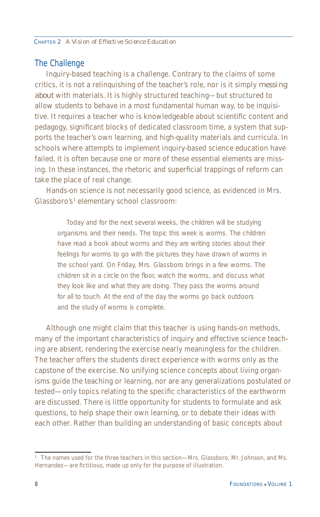#### The Challenge

Inquiry-based teaching is a challenge. Contrary to the claims of some critics, it is not a relinquishing of the teacher's role, nor is it simply *messing about* with materials. It is highly structured teaching—but structured to allow students to behave in a most fundamental human way, to be inquisitive. It requires a teacher who is knowledgeable about scientific content and pedagogy, significant blocks of dedicated classroom time, a system that supports the teacher's own learning, and high-quality materials and curricula. In schools where attempts to implement inquiry-based science education have failed, it is often because one or more of these essential elements are missing. In these instances, the rhetoric and superficial trappings of reform can take the place of real change.

Hands-on science is not necessarily good science, as evidenced in Mrs.  $Glassboro's<sup>1</sup> elementary school classroom:$ 

Today and for the next several weeks, the children will be studying organisms and their needs. The topic this week is worms. The children have read a book about worms and they are writing stories about their feelings for worms to go with the pictures they have drawn of worms in the school yard. On Friday, Mrs. Glassboro brings in a few worms. The children sit in a circle on the floor, watch the worms, and discuss what they look like and what they are doing. They pass the worms around for all to touch. At the end of the day the worms go back outdoors and the study of worms is complete.

Although one might claim that this teacher is using hands-on methods, many of the important characteristics of inquiry and effective science teaching are absent, rendering the exercise nearly meaningless for the children. The teacher offers the students direct experience with worms only as the capstone of the exercise. No unifying science concepts about living organisms guide the teaching or learning, nor are any generalizations postulated or tested—only topics relating to the specific characteristics of the earthworm are discussed. There is little opportunity for students to formulate and ask questions, to help shape their own learning, or to debate their ideas with each other. Rather than building an understanding of basic concepts about

 $1$  The names used for the three teachers in this section—Mrs. Glassboro, Mr. Johnson, and Ms. Hernandez—are fictitious, made up only for the purpose of illustration.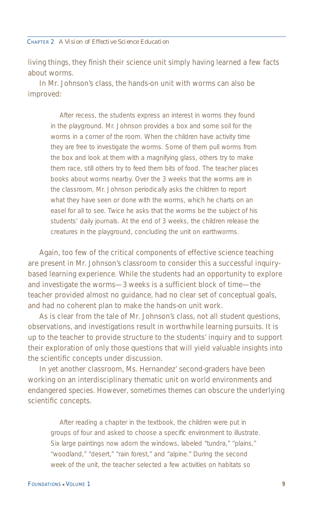living things, they finish their science unit simply having learned a few facts about worms.

In Mr. Johnson's class, the hands-on unit with worms can also be improved:

After recess, the students express an interest in worms they found in the playground. Mr. Johnson provides a box and some soil for the worms in a corner of the room. When the children have activity time they are free to investigate the worms. Some of them pull worms from the box and look at them with a magnifying glass, others try to make them race, still others try to feed them bits of food. The teacher places books about worms nearby. Over the 3 weeks that the worms are in the classroom, Mr. Johnson periodically asks the children to report what they have seen or done with the worms, which he charts on an easel for all to see. Twice he asks that the worms be the subject of his students' daily journals. At the end of 3 weeks, the children release the creatures in the playground, concluding the unit on earthworms.

Again, too few of the critical components of effective science teaching are present in Mr. Johnson's classroom to consider this a successful inquirybased learning experience. While the students had an opportunity to explore and investigate the worms—3 weeks is a sufficient block of time—the teacher provided almost no guidance, had no clear set of conceptual goals, and had no coherent plan to make the hands-on unit work.

As is clear from the tale of Mr. Johnson's class, not all student questions, observations, and investigations result in worthwhile learning pursuits. It is up to the teacher to provide structure to the students' inquiry and to support their exploration of only those questions that will yield valuable insights into the scientific concepts under discussion.

In yet another classroom, Ms. Hernandez' second-graders have been working on an interdisciplinary thematic unit on world environments and endangered species. However, sometimes themes can obscure the underlying scientific concepts.

After reading a chapter in the textbook, the children were put in groups of four and asked to choose a specific environment to illustrate. Six large paintings now adorn the windows, labeled "tundra," "plains," "woodland," "desert," "rain forest," and "alpine." During the second week of the unit, the teacher selected a few activities on habitats so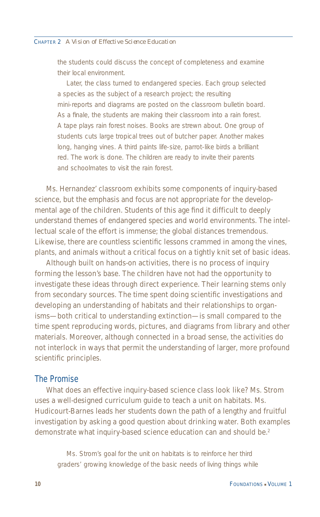the students could discuss the concept of completeness and examine their local environment.

Later, the class turned to endangered species. Each group selected a species as the subject of a research project; the resulting mini-reports and diagrams are posted on the classroom bulletin board. As a finale, the students are making their classroom into a rain forest. A tape plays rain forest noises. Books are strewn about. One group of students cuts large tropical trees out of butcher paper. Another makes long, hanging vines. A third paints life-size, parrot-like birds a brilliant red. The work is done. The children are ready to invite their parents and schoolmates to visit the rain forest.

Ms. Hernandez' classroom exhibits some components of inquiry-based science, but the emphasis and focus are not appropriate for the developmental age of the children. Students of this age find it difficult to deeply understand themes of endangered species and world environments. The intellectual scale of the effort is immense; the global distances tremendous. Likewise, there are countless scientific lessons crammed in among the vines, plants, and animals without a critical focus on a tightly knit set of basic ideas.

Although built on hands-on activities, there is no process of inquiry forming the lesson's base. The children have not had the opportunity to investigate these ideas through direct experience. Their learning stems only from secondary sources. The time spent doing scientific investigations and developing an understanding of habitats and their relationships to organisms—both critical to understanding extinction—is small compared to the time spent reproducing words, pictures, and diagrams from library and other materials. Moreover, although connected in a broad sense, the activities do not interlock in ways that permit the understanding of larger, more profound scientific principles.

#### The Promise

What does an effective inquiry-based science class look like? Ms. Strom uses a well-designed curriculum guide to teach a unit on habitats. Ms. Hudicourt-Barnes leads her students down the path of a lengthy and fruitful investigation by asking a good question about drinking water. Both examples demonstrate what inquiry-based science education can and should be.<sup>2</sup>

Ms. Strom's goal for the unit on habitats is to reinforce her third graders' growing knowledge of the basic needs of living things while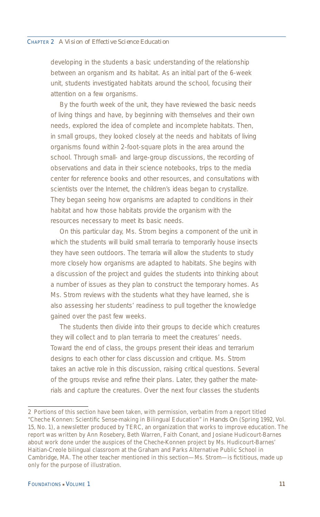developing in the students a basic understanding of the relationship between an organism and its habitat. As an initial part of the 6-week unit, students investigated habitats around the school, focusing their attention on a few organisms.

By the fourth week of the unit, they have reviewed the basic needs of living things and have, by beginning with themselves and their own needs, explored the idea of complete and incomplete habitats. Then, in small groups, they looked closely at the needs and habitats of living organisms found within 2-foot-square plots in the area around the school. Through small- and large-group discussions, the recording of observations and data in their science notebooks, trips to the media center for reference books and other resources, and consultations with scientists over the Internet, the children's ideas began to crystallize. They began seeing how organisms are adapted to conditions in their habitat and how those habitats provide the organism with the resources necessary to meet its basic needs.

On this particular day, Ms. Strom begins a component of the unit in which the students will build small terraria to temporarily house insects they have seen outdoors. The terraria will allow the students to study more closely how organisms are adapted to habitats. She begins with a discussion of the project and guides the students into thinking about a number of issues as they plan to construct the temporary homes. As Ms. Strom reviews with the students what they have learned, she is also assessing her students' readiness to pull together the knowledge gained over the past few weeks.

The students then divide into their groups to decide which creatures they will collect and to plan terraria to meet the creatures' needs. Toward the end of class, the groups present their ideas and terrarium designs to each other for class discussion and critique. Ms. Strom takes an active role in this discussion, raising critical questions. Several of the groups revise and refine their plans. Later, they gather the materials and capture the creatures. Over the next four classes the students

<sup>2</sup> Portions of this section have been taken, with permission, verbatim from a report titled "Cheche Konnen: Scientific Sense-making in Bilingual Education" in *Hands On* (Spring 1992, Vol. 15, No. 1), a newsletter produced by TERC, an organization that works to improve education. The report was written by Ann Rosebery, Beth Warren, Faith Conant, and Josiane Hudicourt-Barnes about work done under the auspices of the Cheche-Konnen project by Ms. Hudicourt-Barnes' Haitian-Creole bilingual classroom at the Graham and Parks Alternative Public School in Cambridge, MA. The other teacher mentioned in this section—Ms. Strom—is fictitious, made up only for the purpose of illustration.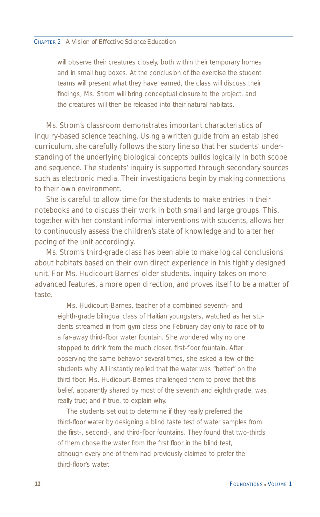will observe their creatures closely, both within their temporary homes and in small bug boxes. At the conclusion of the exercise the student teams will present what they have learned, the class will discuss their findings, Ms. Strom will bring conceptual closure to the project, and the creatures will then be released into their natural habitats.

Ms. Strom's classroom demonstrates important characteristics of inquiry-based science teaching. Using a written guide from an established curriculum, she carefully follows the story line so that her students' understanding of the underlying biological concepts builds logically in both scope and sequence. The students' inquiry is supported through secondary sources such as electronic media. Their investigations begin by making connections to their own environment.

She is careful to allow time for the students to make entries in their notebooks and to discuss their work in both small and large groups. This, together with her constant informal interventions with students, allows her to continuously assess the children's state of knowledge and to alter her pacing of the unit accordingly.

Ms. Strom's third-grade class has been able to make logical conclusions about habitats based on their own direct experience in this tightly designed unit. For Ms. Hudicourt-Barnes' older students, inquiry takes on more advanced features, a more open direction, and proves itself to be a matter of taste.

Ms. Hudicourt-Barnes, teacher of a combined seventh- and eighth-grade bilingual class of Haitian youngsters, watched as her students streamed in from gym class one February day only to race off to a far-away third-floor water fountain. She wondered why no one stopped to drink from the much closer, first-floor fountain. After observing the same behavior several times, she asked a few of the students why. All instantly replied that the water was "better" on the third floor. Ms. Hudicourt-Barnes challenged them to prove that this belief, apparently shared by most of the seventh and eighth grade, was really true; and if true, to explain why.

The students set out to determine if they really preferred the third-floor water by designing a blind taste test of water samples from the first-, second-, and third-floor fountains. They found that two-thirds of them chose the water from the first floor in the blind test, although every one of them had previously claimed to prefer the third-floor's water.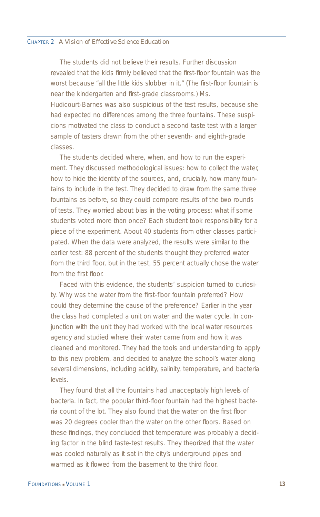The students did not believe their results. Further discussion revealed that the kids firmly believed that the first-floor fountain was the worst because "all the little kids slobber in it." (The first-floor fountain is near the kindergarten and first-grade classrooms.) Ms. Hudicourt-Barnes was also suspicious of the test results, because she had expected no differences among the three fountains. These suspicions motivated the class to conduct a second taste test with a larger sample of tasters drawn from the other seventh- and eighth-grade classes.

The students decided where, when, and how to run the experiment. They discussed methodological issues: how to collect the water, how to hide the identity of the sources, and, crucially, how many fountains to include in the test. They decided to draw from the same three fountains as before, so they could compare results of the two rounds of tests. They worried about bias in the voting process: what if some students voted more than once? Each student took responsibility for a piece of the experiment. About 40 students from other classes participated. When the data were analyzed, the results were similar to the earlier test: 88 percent of the students thought they preferred water from the third floor, but in the test, 55 percent actually chose the water from the first floor.

Faced with this evidence, the students' suspicion turned to curiosity. Why was the water from the first-floor fountain preferred? How could they determine the cause of the preference? Earlier in the year the class had completed a unit on water and the water cycle. In conjunction with the unit they had worked with the local water resources agency and studied where their water came from and how it was cleaned and monitored. They had the tools and understanding to apply to this new problem, and decided to analyze the school's water along several dimensions, including acidity, salinity, temperature, and bacteria levels.

They found that all the fountains had unacceptably high levels of bacteria. In fact, the popular third-floor fountain had the highest bacteria count of the lot. They also found that the water on the first floor was 20 degrees cooler than the water on the other floors. Based on these findings, they concluded that temperature was probably a deciding factor in the blind taste-test results. They theorized that the water was cooled naturally as it sat in the city's underground pipes and warmed as it flowed from the basement to the third floor.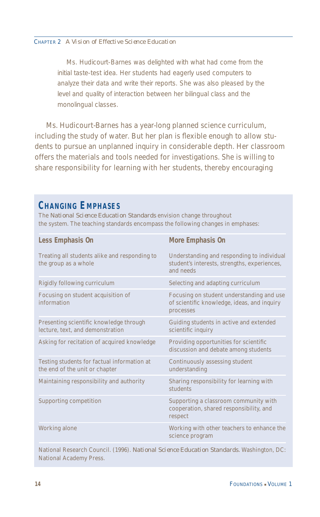Ms. Hudicourt-Barnes was delighted with what had come from the initial taste-test idea. Her students had eagerly used computers to analyze their data and write their reports. She was also pleased by the level and quality of interaction between her bilingual class and the monolingual classes.

Ms. Hudicourt-Barnes has a year-long planned science curriculum, including the study of water. But her plan is flexible enough to allow students to pursue an unplanned inquiry in considerable depth. Her classroom offers the materials and tools needed for investigations. She is willing to share responsibility for learning with her students, thereby encouraging

#### **CHANGING EMPHASES**

The *National Science Education Standards* envision change throughout the system. The teaching standards encompass the following changes in emphases:

| Less Emphasis On                                                              | <b>More Emphasis On</b>                                                                                 |
|-------------------------------------------------------------------------------|---------------------------------------------------------------------------------------------------------|
| Treating all students alike and responding to<br>the group as a whole         | Understanding and responding to individual<br>student's interests, strengths, experiences,<br>and needs |
| Rigidly following curriculum                                                  | Selecting and adapting curriculum                                                                       |
| Focusing on student acquisition of<br>information                             | Focusing on student understanding and use<br>of scientific knowledge, ideas, and inquiry<br>processes   |
| Presenting scientific knowledge through<br>lecture, text, and demonstration   | Guiding students in active and extended<br>scientific inquiry                                           |
| Asking for recitation of acquired knowledge                                   | Providing opportunities for scientific<br>discussion and debate among students                          |
| Testing students for factual information at<br>the end of the unit or chapter | Continuously assessing student<br>understanding                                                         |
| Maintaining responsibility and authority                                      | Sharing responsibility for learning with<br>students                                                    |
| Supporting competition                                                        | Supporting a classroom community with<br>cooperation, shared responsibility, and<br>respect             |
| Working alone                                                                 | Working with other teachers to enhance the<br>science program                                           |

National Research Council. (1996). *National Science Education Standards.* Washington, DC: National Academy Press.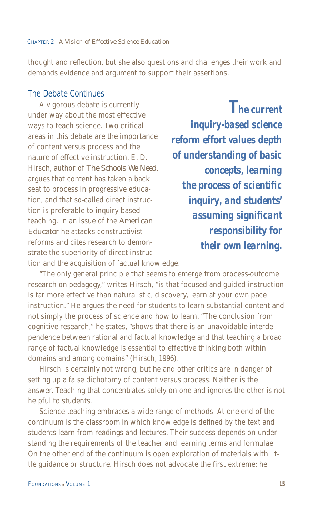thought and reflection, but she also questions and challenges their work and demands evidence and argument to support their assertions.

#### The Debate Continues

A vigorous debate is currently under way about the most effective ways to teach science. Two critical areas in this debate are the importance of content versus process and the nature of effective instruction. E. D. Hirsch, author of *The Schools We Need,* argues that content has taken a back seat to process in progressive education, and that so-called direct instruction is preferable to inquiry-based teaching. In an issue of the *American Educator* he attacks constructivist reforms and cites research to demonstrate the superiority of direct instruction and the acquisition of factual knowledge.

*The current inquiry-based science reform effort values depth of understanding of basic concepts, learning the process of scientific inquiry, and students' assuming significant responsibility for their own learning.*

"The only general principle that seems to emerge from process-outcome research on pedagogy," writes Hirsch, "is that focused and guided instruction is far more effective than naturalistic, discovery, learn at your own pace instruction." He argues the need for students to learn substantial content and not simply the process of science and how to learn. "The conclusion from cognitive research," he states, "shows that there is an unavoidable interdependence between rational and factual knowledge and that teaching a broad range of factual knowledge is essential to effective thinking both within domains and among domains" (Hirsch, 1996).

Hirsch is certainly not wrong, but he and other critics are in danger of setting up a false dichotomy of content versus process. Neither is the answer. Teaching that concentrates solely on one and ignores the other is not helpful to students.

Science teaching embraces a wide range of methods. At one end of the continuum is the classroom in which knowledge is defined by the text and students learn from readings and lectures. Their success depends on understanding the requirements of the teacher and learning terms and formulae. On the other end of the continuum is open exploration of materials with little guidance or structure. Hirsch does not advocate the first extreme; he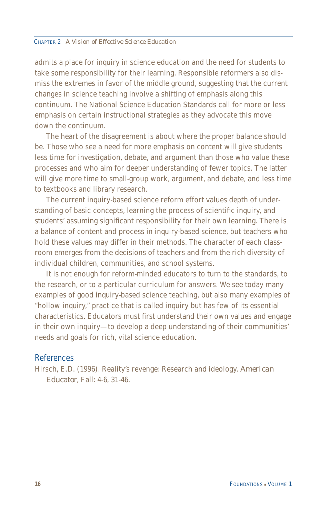admits a place for inquiry in science education and the need for students to take some responsibility for their learning. Responsible reformers also dismiss the extremes in favor of the middle ground, suggesting that the current changes in science teaching involve a shifting of emphasis along this continuum. The National Science Education Standards call for more or less emphasis on certain instructional strategies as they advocate this move down the continuum.

The heart of the disagreement is about where the proper balance should be. Those who see a need for more emphasis on content will give students less time for investigation, debate, and argument than those who value these processes and who aim for deeper understanding of fewer topics. The latter will give more time to small-group work, argument, and debate, and less time to textbooks and library research.

The current inquiry-based science reform effort values depth of understanding of basic concepts, learning the process of scientific inquiry, and students' assuming significant responsibility for their own learning. There is a balance of content and process in inquiry-based science, but teachers who hold these values may differ in their methods. The character of each classroom emerges from the decisions of teachers and from the rich diversity of individual children, communities, and school systems.

It is not enough for reform-minded educators to turn to the standards, to the research, or to a particular curriculum for answers. We see today many examples of good inquiry-based science teaching, but also many examples of "hollow inquiry," practice that is called inquiry but has few of its essential characteristics. Educators must first understand their own values and engage in their own inquiry—to develop a deep understanding of their communities' needs and goals for rich, vital science education.

#### **References**

Hirsch, E.D. (1996). Reality's revenge: Research and ideology. *American Educator,* Fall: 4-6, 31-46.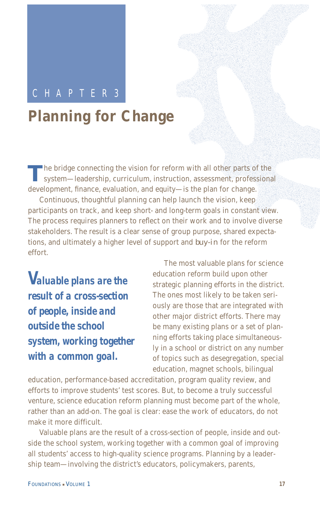# **Planning for Change**

**T** he bridge connecting the vision for reform with all other parts of the system—leadership, curriculum, instruction, assessment, professional development, finance, evaluation, and equity—is the plan for change.

Continuous, thoughtful planning can help launch the vision, keep participants on track, and keep short- and long-term goals in constant view. The process requires planners to reflect on their work and to involve diverse stakeholders. The result is a clear sense of group purpose, shared expectations, and ultimately a higher level of support and *buy-in* for the reform effort.

*Valuable plans are the result of a cross-section of people, inside and outside the school system, working together with a common goal.*

The most valuable plans for science education reform build upon other strategic planning efforts in the district. The ones most likely to be taken seriously are those that are integrated with other major district efforts. There may be many existing plans or a set of planning efforts taking place simultaneously in a school or district on any number of topics such as desegregation, special education, magnet schools, bilingual

education, performance-based accreditation, program quality review, and efforts to improve students' test scores. But, to become a truly successful venture, science education reform planning must become part of the whole, rather than an add-on. The goal is clear: ease the work of educators, do not make it more difficult.

Valuable plans are the result of a cross-section of people, inside and outside the school system, working together with a common goal of improving all students' access to high-quality science programs. Planning by a leadership team—involving the district's educators, policymakers, parents,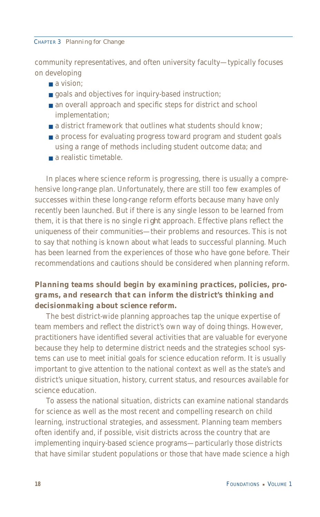community representatives, and often university faculty—typically focuses on developing

- a vision:
- goals and objectives for inquiry-based instruction;
- an overall approach and specific steps for district and school implementation;
- a district framework that outlines what students should know;
- a process for evaluating progress toward program and student goals using a range of methods including student outcome data; and
- a realistic timetable.

In places where science reform is progressing, there is usually a comprehensive long-range plan. Unfortunately, there are still too few examples of successes within these long-range reform efforts because many have only recently been launched. But if there is any single lesson to be learned from them, it is that there is no single *right* approach. Effective plans reflect the uniqueness of their communities—their problems and resources. This is not to say that nothing is known about what leads to successful planning. Much has been learned from the experiences of those who have gone before. Their recommendations and cautions should be considered when planning reform.

#### *Planning teams should begin by examining practices, policies, programs, and research that can inform the district's thinking and decisionmaking about science reform.*

The best district-wide planning approaches tap the unique expertise of team members and reflect the district's own way of doing things. However, practitioners have identified several activities that are valuable for everyone because they help to determine district needs and the strategies school systems can use to meet initial goals for science education reform. It is usually important to give attention to the national context as well as the state's and district's unique situation, history, current status, and resources available for science education.

To assess the national situation, districts can examine national standards for science as well as the most recent and compelling research on child learning, instructional strategies, and assessment. Planning team members often identify and, if possible, visit districts across the country that are implementing inquiry-based science programs—particularly those districts that have similar student populations or those that have made science a high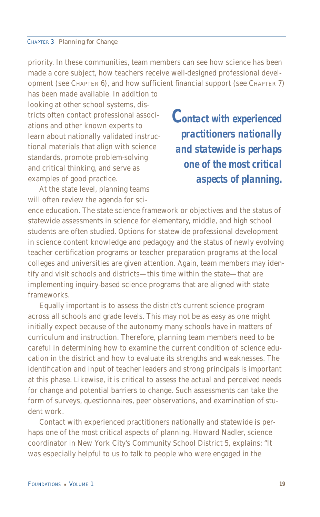#### CHAPTER 3 *Planning for Change*

priority. In these communities, team members can see how science has been made a core subject, how teachers receive well-designed professional development (see CHAPTER 6), and how sufficient financial support (see CHAPTER 7)

has been made available. In addition to looking at other school systems, districts often contact professional associations and other known experts to learn about nationally validated instructional materials that align with science standards, promote problem-solving and critical thinking, and serve as examples of good practice.

At the state level, planning teams will often review the agenda for sci*Contact with experienced practitioners nationally and statewide is perhaps one of the most critical aspects of planning.*

ence education. The state science framework or objectives and the status of statewide assessments in science for elementary, middle, and high school students are often studied. Options for statewide professional development in science content knowledge and pedagogy and the status of newly evolving teacher certification programs or teacher preparation programs at the local colleges and universities are given attention. Again, team members may identify and visit schools and districts—this time within the state—that are implementing inquiry-based science programs that are aligned with state frameworks.

Equally important is to assess the district's current science program across all schools and grade levels. This may not be as easy as one might initially expect because of the autonomy many schools have in matters of curriculum and instruction. Therefore, planning team members need to be careful in determining how to examine the current condition of science education in the district and how to evaluate its strengths and weaknesses. The identification and input of teacher leaders and strong principals is important at this phase. Likewise, it is critical to assess the actual and perceived needs for change and potential barriers to change. Such assessments can take the form of surveys, questionnaires, peer observations, and examination of student work.

Contact with experienced practitioners nationally and statewide is perhaps one of the most critical aspects of planning. Howard Nadler, science coordinator in New York City's Community School District 5, explains: "It was especially helpful to us to talk to people who were engaged in the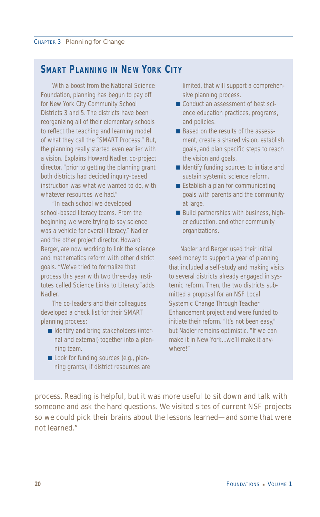### **SMART PLANNING IN NEW YORK CITY**

With a boost from the National Science Foundation, planning has begun to pay off for New York City Community School Districts 3 and 5. The districts have been reorganizing all of their elementary schools to reflect the teaching and learning model of what they call the "SMART Process." But, the planning really started even earlier with a vision. Explains Howard Nadler, co-project director, "prior to getting the planning grant both districts had decided inquiry-based instruction was what we wanted to do, with whatever resources we had."

"In each school we developed school-based literacy teams. From the beginning we were trying to say science was a vehicle for overall literacy." Nadler and the other project director, Howard Berger, are now working to link the science and mathematics reform with other district goals. "We've tried to formalize that process this year with two three-day institutes called Science Links to Literacy,"adds Nadler.

The co-leaders and their colleagues developed a check list for their SMART planning process:

- Identify and bring stakeholders (internal and external) together into a planning team.
- Look for funding sources (e.g., planning grants), if district resources are

limited, that will support a comprehensive planning process.

- Conduct an assessment of best science education practices, programs, and policies.
- Based on the results of the assessment, create a shared vision, establish goals, and plan specific steps to reach the vision and goals.
- Identify funding sources to initiate and sustain systemic science reform.
- Establish a plan for communicating goals with parents and the community at large.
- Build partnerships with business, higher education, and other community organizations.

Nadler and Berger used their initial seed money to support a year of planning that included a self-study and making visits to several districts already engaged in systemic reform. Then, the two districts submitted a proposal for an NSF Local Systemic Change Through Teacher Enhancement project and were funded to initiate their reform. "It's not been easy," but Nadler remains optimistic. "If we can make it in New York...we'll make it anywhere!"

process. Reading is helpful, but it was more useful to sit down and talk with someone and ask the hard questions. We visited sites of current NSF projects so we could pick their brains about the lessons learned—and some that were not learned."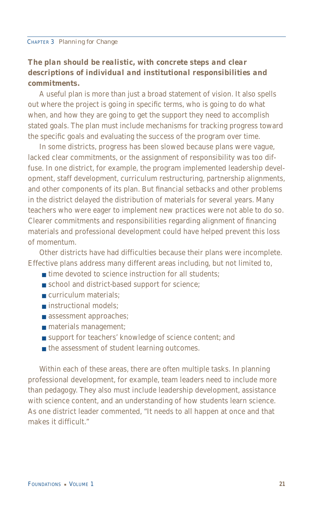#### CHAPTER 3 *Planning for Change*

#### *The plan should be realistic, with concrete steps and clear descriptions of individual and institutional responsibilities and commitments.*

A useful plan is more than just a broad statement of vision. It also spells out where the project is going in specific terms, who is going to do what when, and how they are going to get the support they need to accomplish stated goals. The plan must include mechanisms for tracking progress toward the specific goals and evaluating the success of the program over time.

In some districts, progress has been slowed because plans were vague, lacked clear commitments, or the assignment of responsibility was too diffuse. In one district, for example, the program implemented leadership development, staff development, curriculum restructuring, partnership alignments, and other components of its plan. But financial setbacks and other problems in the district delayed the distribution of materials for several years. Many teachers who were eager to implement new practices were not able to do so. Clearer commitments and responsibilities regarding alignment of financing materials and professional development could have helped prevent this loss of momentum.

Other districts have had difficulties because their plans were incomplete. Effective plans address many different areas including, but not limited to,

- time devoted to science instruction for all students:
- school and district-based support for science;
- curriculum materials:
- instructional models:
- assessment approaches;
- materials management;
- support for teachers' knowledge of science content; and
- the assessment of student learning outcomes.

Within each of these areas, there are often multiple tasks. In planning professional development, for example, team leaders need to include more than pedagogy. They also must include leadership development, assistance with science content, and an understanding of how students learn science. As one district leader commented, "It needs to all happen at once and that makes it difficult."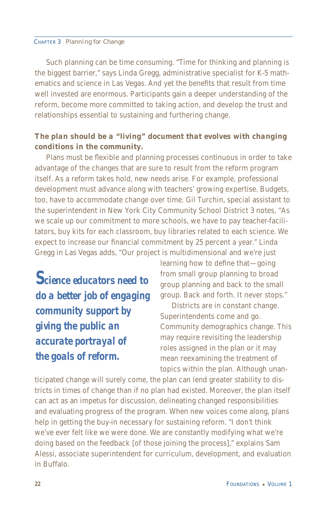Such planning can be time consuming. "Time for thinking and planning is the biggest barrier," says Linda Gregg, administrative specialist for K-5 mathematics and science in Las Vegas. And yet the benefits that result from time well invested are enormous. Participants gain a deeper understanding of the reform, become more committed to taking action, and develop the trust and relationships essential to sustaining and furthering change.

#### *The plan should be a "living" document that evolves with changing conditions in the community.*

Plans must be flexible and planning processes continuous in order to take advantage of the changes that are sure to result from the reform program itself. As a reform takes hold, new needs arise. For example, professional development must advance along with teachers' growing expertise. Budgets, too, have to accommodate change over time. Gil Turchin, special assistant to the superintendent in New York City Community School District 3 notes, "As we scale up our commitment to more schools, we have to pay teacher-facilitators, buy kits for each classroom, buy libraries related to each science. We expect to increase our financial commitment by 25 percent a year." Linda Gregg in Las Vegas adds, "Our project is multidimensional and we're just

*Science educators need to do a better job of engaging community support by giving the public an accurate portrayal of the goals of reform.*

learning how to define that—going from small group planning to broad group planning and back to the small group. Back and forth. It never stops."

Districts are in constant change. Superintendents come and go. Community demographics change. This may require revisiting the leadership roles assigned in the plan or it may mean reexamining the treatment of topics within the plan. Although unan-

ticipated change will surely come, the plan can lend greater stability to districts in times of change than if no plan had existed. Moreover, the plan itself can act as an impetus for discussion, delineating changed responsibilities and evaluating progress of the program. When new voices come along, plans help in getting the buy-in necessary for sustaining reform. "I don't think we've ever felt like we were done. We are constantly modifying what we're doing based on the feedback [of those joining the process]," explains Sam Alessi, associate superintendent for curriculum, development, and evaluation in Buffalo.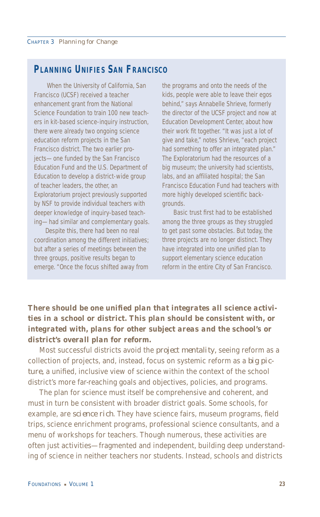#### **PLANNING UNIFIES SAN FRANCISCO**

When the University of California, San Francisco (UCSF) received a teacher enhancement grant from the National Science Foundation to train 100 new teachers in kit-based science-inquiry instruction, there were already two ongoing science education reform projects in the San Francisco district. The two earlier projects—one funded by the San Francisco Education Fund and the U.S. Department of Education to develop a district-wide group of teacher leaders, the other, an Exploratorium project previously supported by NSF to provide individual teachers with deeper knowledge of inquiry-based teaching—had similar and complementary goals.

Despite this, there had been no real coordination among the different initiatives; but after a series of meetings between the three groups, positive results began to emerge. "Once the focus shifted away from

the programs and onto the needs of the kids, people were able to leave their egos behind," says Annabelle Shrieve, formerly the director of the UCSF project and now at Education Development Center, about how their work fit together. "It was just a lot of give and take," notes Shrieve, "each project had something to offer an integrated plan." The Exploratorium had the resources of a big museum; the university had scientists, labs, and an affiliated hospital; the San Francisco Education Fund had teachers with more highly developed scientific backgrounds.

Basic trust first had to be established among the three groups as they struggled to get past some obstacles. But today, the three projects are no longer distinct. They have integrated into one unified plan to support elementary science education reform in the entire City of San Francisco.

#### *There should be one unified plan that integrates all science activities in a school or district. This plan should be consistent with, or integrated with, plans for other subject areas and the school's or district's overall plan for reform.*

Most successful districts avoid the *project mentality,* seeing reform as a collection of projects, and, instead, focus on systemic reform as a *big picture,* a unified, inclusive view of science within the context of the school district's more far-reaching goals and objectives, policies, and programs.

The plan for science must itself be comprehensive and coherent, and must in turn be consistent with broader district goals. Some schools, for example, are *science rich*. They have science fairs, museum programs, field trips, science enrichment programs, professional science consultants, and a menu of workshops for teachers. Though numerous, these activities are often just activities—fragmented and independent, building deep understanding of science in neither teachers nor students. Instead, schools and districts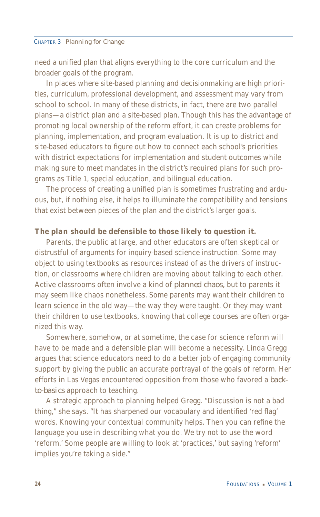need a unified plan that aligns everything to the core curriculum and the broader goals of the program.

In places where site-based planning and decisionmaking are high priorities, curriculum, professional development, and assessment may vary from school to school. In many of these districts, in fact, there are two parallel plans—a district plan and a site-based plan. Though this has the advantage of promoting local ownership of the reform effort, it can create problems for planning, implementation, and program evaluation. It is up to district and site-based educators to figure out how to connect each school's priorities with district expectations for implementation and student outcomes while making sure to meet mandates in the district's required plans for such programs as Title 1, special education, and bilingual education.

The process of creating a unified plan is sometimes frustrating and arduous, but, if nothing else, it helps to illuminate the compatibility and tensions that exist between pieces of the plan and the district's larger goals.

#### *The plan should be defensible to those likely to question it.*

Parents, the public at large, and other educators are often skeptical or distrustful of arguments for inquiry-based science instruction. Some may object to using textbooks as resources instead of as the drivers of instruction, or classrooms where children are moving about talking to each other. Active classrooms often involve a kind of *planned chaos,* but to parents it may seem like chaos nonetheless. Some parents may want their children to learn science in the old way—the way they were taught. Or they may want their children to use textbooks, knowing that college courses are often organized this way.

Somewhere, somehow, or at sometime, the case for science reform will have to be made and a defensible plan will become a necessity. Linda Gregg argues that science educators need to do a better job of engaging community support by giving the public an accurate portrayal of the goals of reform. Her efforts in Las Vegas encountered opposition from those who favored a *backto-basics* approach to teaching.

A strategic approach to planning helped Gregg. "Discussion is not a bad thing," she says. "It has sharpened our vocabulary and identified 'red flag' words. Knowing your contextual community helps. Then you can refine the language you use in describing what you do. We try not to use the word 'reform.' Some people are willing to look at 'practices,' but saying 'reform' implies you're taking a side."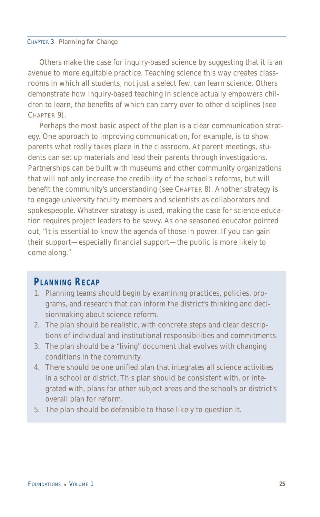Others make the case for inquiry-based science by suggesting that it is an avenue to more equitable practice. Teaching science this way creates classrooms in which all students, not just a select few, can learn science. Others demonstrate how inquiry-based teaching in science actually empowers children to learn, the benefits of which can carry over to other disciplines (see CHAPTER 9).

Perhaps the most basic aspect of the plan is a clear communication strategy. One approach to improving communication, for example, is to show parents what really takes place in the classroom. At parent meetings, students can set up materials and lead their parents through investigations. Partnerships can be built with museums and other community organizations that will not only increase the credibility of the school's reforms, but will benefit the community's understanding (see CHAPTER 8). Another strategy is to engage university faculty members and scientists as collaborators and spokespeople. Whatever strategy is used, making the case for science education requires project leaders to be savvy. As one seasoned educator pointed out, "It is essential to know the agenda of those in power. If you can gain their support—especially financial support—the public is more likely to come along."

#### **PLANNING RECAP**

- 1. Planning teams should begin by examining practices, policies, programs, and research that can inform the district's thinking and decisionmaking about science reform.
- 2. The plan should be realistic, with concrete steps and clear descriptions of individual and institutional responsibilities and commitments.
- 3. The plan should be a "living" document that evolves with changing conditions in the community.
- 4. There should be one unified plan that integrates all science activities in a school or district. This plan should be consistent with, or integrated with, plans for other subject areas and the school's or district's overall plan for reform.
- 5. The plan should be defensible to those likely to question it.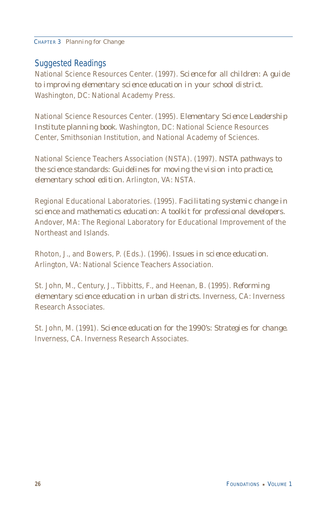CHAPTER 3 *Planning for Change*

#### Suggested Readings

National Science Resources Center. (1997). *Science for all children: A guide to improving elementary science education in your school district.* Washington, DC: National Academy Press.

National Science Resources Center. (1995). *Elementary Science Leadership Institute planning book.* Washington, DC: National Science Resources Center, Smithsonian Institution, and National Academy of Sciences.

National Science Teachers Association (NSTA). (1997). *NSTA pathways to the science standards: Guidelines for moving the vision into practice, elementary school edition.* Arlington, VA: NSTA.

Regional Educational Laboratories. (1995). *Facilitating systemic change in science and mathematics education: A toolkit for professional developers.* Andover, MA: The Regional Laboratory for Educational Improvement of the Northeast and Islands.

Rhoton, J., and Bowers, P. (Eds.). (1996). *Issues in science education.* Arlington, VA: National Science Teachers Association.

St. John, M., Century, J., Tibbitts, F., and Heenan, B. (1995). *Reforming elementary science education in urban districts.* Inverness, CA: Inverness Research Associates.

St. John, M. (1991). *Science education for the 1990's: Strategies for change.* Inverness, CA. Inverness Research Associates.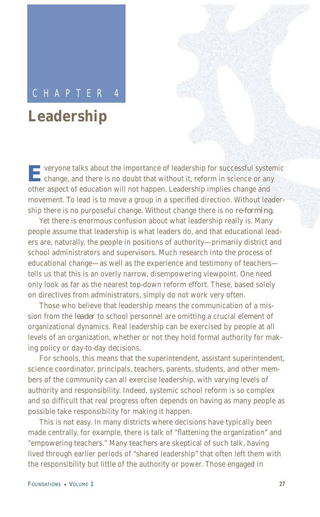# C H A P T E R 4

# **Leadership**

**E**veryone talks about the importance of leadership for successful systemic change, and there is no doubt that without it, reform in science or any other aspect of education will not happen. Leadership implies change and movement. To lead is to move a group in a specified direction. Without leadership there is no purposeful change. Without change there is no *re-forming.*

Yet there is enormous confusion about what leadership really is. Many people assume that leadership is what leaders do, and that educational leaders are, naturally, the people in positions of authority—primarily district and school administrators and supervisors. Much research into the process of educational change—as well as the experience and testimony of teachers tells us that this is an overly narrow, disempowering viewpoint. One need only look as far as the nearest top-down reform effort. These, based solely on directives from administrators, simply do not work very often.

Those who believe that leadership means the communication of a mission from the *leader* to school personnel are omitting a crucial element of organizational dynamics. Real leadership can be exercised by people at all levels of an organization, whether or not they hold formal authority for making policy or day-to-day decisions.

For schools, this means that the superintendent, assistant superintendent, science coordinator, principals, teachers, parents, students, and other members of the community can all exercise leadership, with varying levels of authority and responsibility. Indeed, systemic school reform is so complex and so difficult that real progress often depends on having as many people as possible take responsibility for making it happen.

This is not easy. In many districts where decisions have typically been made centrally, for example, there is talk of "flattening the organization" and "empowering teachers." Many teachers are skeptical of such talk, having lived through earlier periods of "shared leadership" that often left them with the responsibility but little of the authority or power. Those engaged in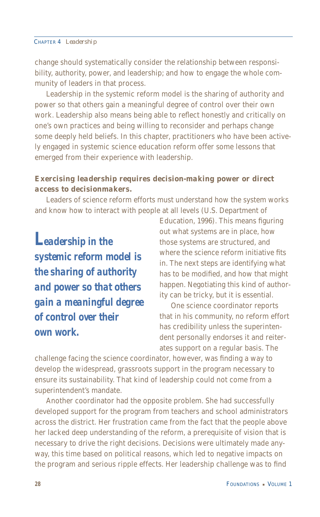#### CHAPTER 4 *Leadership*

change should systematically consider the relationship between responsibility, authority, power, and leadership; and how to engage the whole community of leaders in that process.

Leadership in the systemic reform model is the sharing of authority and power so that others gain a meaningful degree of control over their own work. Leadership also means being able to reflect honestly and critically on one's own practices and being willing to reconsider and perhaps change some deeply held beliefs. In this chapter, practitioners who have been actively engaged in systemic science education reform offer some lessons that emerged from their experience with leadership.

#### *Exercising leadership requires decision-making power or direct access to decisionmakers.*

Leaders of science reform efforts must understand how the system works and know how to interact with people at all levels (U.S. Department of

*Leadership in the systemic reform model is the sharing of authority and power so that others gain a meaningful degree of control over their own work.*

Education, 1996). This means figuring out what systems are in place, how those systems are structured, and where the science reform initiative fits in. The next steps are identifying what has to be modified, and how that might happen. Negotiating this kind of authority can be tricky, but it is essential.

One science coordinator reports that in his community, no reform effort has credibility unless the superintendent personally endorses it and reiterates support on a regular basis. The

challenge facing the science coordinator, however, was finding a way to develop the widespread, grassroots support in the program necessary to ensure its sustainability. That kind of leadership could not come from a superintendent's mandate.

Another coordinator had the opposite problem. She had successfully developed support for the program from teachers and school administrators across the district. Her frustration came from the fact that the people above her lacked deep understanding of the reform, a prerequisite of vision that is necessary to drive the right decisions. Decisions were ultimately made anyway, this time based on political reasons, which led to negative impacts on the program and serious ripple effects. Her leadership challenge was to find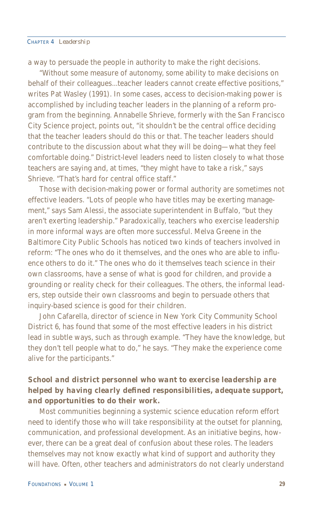#### CHAPTER 4 *Leadership*

a way to persuade the people in authority to make the right decisions.

"Without some measure of autonomy, some ability to make decisions on behalf of their colleagues...teacher leaders cannot create effective positions," writes Pat Wasley (1991). In some cases, access to decision-making power is accomplished by including teacher leaders in the planning of a reform program from the beginning. Annabelle Shrieve, formerly with the San Francisco City Science project, points out, "it shouldn't be the central office deciding that the teacher leaders should do this or that. The teacher leaders should contribute to the discussion about what they will be doing—what they feel comfortable doing." District-level leaders need to listen closely to what those teachers are saying and, at times, "they might have to take a risk," says Shrieve. "That's hard for central office staff."

Those with decision-making power or formal authority are sometimes not effective leaders. "Lots of people who have titles may be exerting management," says Sam Alessi, the associate superintendent in Buffalo, "but they aren't exerting leadership." Paradoxically, teachers who exercise leadership in more informal ways are often more successful. Melva Greene in the Baltimore City Public Schools has noticed two kinds of teachers involved in reform: "The ones who do it themselves, and the ones who are able to influence others to do it." The ones who do it themselves teach science in their own classrooms, have a sense of what is good for children, and provide a grounding or reality check for their colleagues. The others, the informal leaders, step outside their own classrooms and begin to persuade others that inquiry-based science is good for their children.

John Cafarella, director of science in New York City Community School District 6, has found that some of the most effective leaders in his district lead in subtle ways, such as through example. "They have the knowledge, but they don't tell people what to do," he says. "They make the experience come alive for the participants."

#### *School and district personnel who want to exercise leadership are helped by having clearly defined responsibilities, adequate support, and opportunities to do their work.*

Most communities beginning a systemic science education reform effort need to identify those who will take responsibility at the outset for planning, communication, and professional development. As an initiative begins, however, there can be a great deal of confusion about these roles. The leaders themselves may not know exactly what kind of support and authority they will have. Often, other teachers and administrators do not clearly understand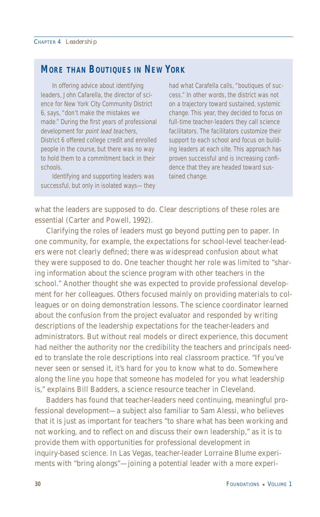### **MORE THAN BOUTIQUES IN NEW YORK**

In offering advice about identifying leaders, John Cafarella, the director of science for New York City Community District 6, says, "don't make the mistakes we made." During the first years of professional development for *point lead teachers*, District 6 offered college credit and enrolled people in the course, but there was no way to hold them to a commitment back in their schools.

Identifying and supporting leaders was successful, but only in isolated ways—they

had what Carafella calls, "boutiques of success." In other words, the district was not on a trajectory toward sustained, systemic change. This year, they decided to focus on full-time teacher-leaders they call science facilitators. The facilitators customize their support to each school and focus on building leaders at each site. This approach has proven successful and is increasing confidence that they are headed toward sustained change.

what the leaders are supposed to do. Clear descriptions of these roles are essential (Carter and Powell, 1992).

Clarifying the roles of leaders must go beyond putting pen to paper. In one community, for example, the expectations for school-level teacher-leaders were not clearly defined; there was widespread confusion about what they were supposed to do. One teacher thought her role was limited to "sharing information about the science program with other teachers in the school." Another thought she was expected to provide professional development for her colleagues. Others focused mainly on providing materials to colleagues or on doing demonstration lessons. The science coordinator learned about the confusion from the project evaluator and responded by writing descriptions of the leadership expectations for the teacher-leaders and administrators. But without real models or direct experience, this document had neither the authority nor the credibility the teachers and principals needed to translate the role descriptions into real classroom practice. "If you've never seen or sensed it, it's hard for you to know what to do. Somewhere along the line you hope that someone has modeled for you what leadership is," explains Bill Badders, a science resource teacher in Cleveland.

Badders has found that teacher-leaders need continuing, meaningful professional development—a subject also familiar to Sam Alessi, who believes that it is just as important for teachers "to share what has been working and not working, and to reflect on and discuss their own leadership," as it is to provide them with opportunities for professional development in inquiry-based science. In Las Vegas, teacher-leader Lorraine Blume experiments with "bring alongs"—joining a potential leader with a more experi-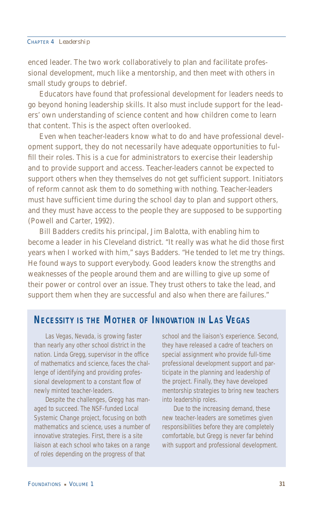#### CHAPTER 4 *Leadership*

enced leader. The two work collaboratively to plan and facilitate professional development, much like a mentorship, and then meet with others in small study groups to debrief.

Educators have found that professional development for leaders needs to go beyond honing leadership skills. It also must include support for the leaders' own understanding of science content and how children come to learn that content. This is the aspect often overlooked.

Even when teacher-leaders know what to do and have professional development support, they do not necessarily have adequate opportunities to fulfill their roles. This is a cue for administrators to exercise their leadership and to provide support and access. Teacher-leaders cannot be expected to support others when they themselves do not get sufficient support. Initiators of reform cannot ask them to do something with nothing. Teacher-leaders must have sufficient time during the school day to plan and support others, and they must have access to the people they are supposed to be supporting (Powell and Carter, 1992).

Bill Badders credits his principal, Jim Balotta, with enabling him to become a leader in his Cleveland district. "It really was what he did those first years when I worked with him," says Badders. "He tended to let me try things. He found ways to support everybody. Good leaders know the strengths and weaknesses of the people around them and are willing to give up some of their power or control over an issue. They trust others to take the lead, and support them when they are successful and also when there are failures."

#### **NECESSITY IS THE MOTHER OF INNOVATION IN LAS VEGAS**

Las Vegas, Nevada, is growing faster than nearly any other school district in the nation. Linda Gregg, supervisor in the office of mathematics and science, faces the challenge of identifying and providing professional development to a constant flow of newly minted teacher-leaders.

Despite the challenges, Gregg has managed to succeed. The NSF-funded Local Systemic Change project, focusing on both mathematics and science, uses a number of innovative strategies. First, there is a site liaison at each school who takes on a range of roles depending on the progress of that

school and the liaison's experience. Second, they have released a cadre of teachers on special assignment who provide full-time professional development support and participate in the planning and leadership of the project. Finally, they have developed mentorship strategies to bring new teachers into leadership roles.

Due to the increasing demand, these new teacher-leaders are sometimes given responsibilities before they are completely comfortable, but Gregg is never far behind with support and professional development.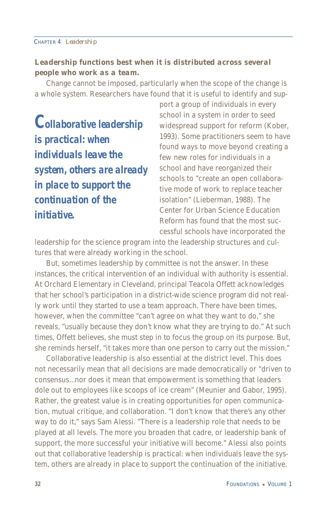#### CHAPTER 4 *Leadership*

#### *Leadership functions best when it is distributed across several people who work as a team.*

Change cannot be imposed, particularly when the scope of the change is a whole system. Researchers have found that it is useful to identify and sup-

*Collaborative leadership is practical: when individuals leave the system, others are already in place to support the continuation of the initiative.*

port a group of individuals in every school in a system in order to seed widespread support for reform (Kober, 1993). Some practitioners seem to have found ways to move beyond creating a few new roles for individuals in a school and have reorganized their schools to "create an open collaborative mode of work to replace teacher isolation" (Lieberman, 1988). The Center for Urban Science Education Reform has found that the most successful schools have incorporated the

leadership for the science program into the leadership structures and cultures that were already working in the school.

But, sometimes leadership by committee is not the answer. In these instances, the critical intervention of an individual with authority is essential. At Orchard Elementary in Cleveland, principal Teacola Offett acknowledges that her school's participation in a district-wide science program did not really work until they started to use a team approach. There have been times, however, when the committee "can't agree on what they want to do," she reveals, "usually because they don't know what they are trying to do." At such times, Offett believes, she must step in to focus the group on its purpose. But, she reminds herself, "it takes more than one person to carry out the mission."

Collaborative leadership is also essential at the district level. This does not necessarily mean that all decisions are made democratically or "driven to consensus...nor does it mean that empowerment is something that leaders dole out to employees like scoops of ice cream" (Meunier and Gabor, 1995). Rather, the greatest value is in creating opportunities for open communication, mutual critique, and collaboration. "I don't know that there's any other way to do it," says Sam Alessi. "There is a leadership role that needs to be played at all levels. The more you broaden that cadre, or leadership bank of support, the more successful your initiative will become." Alessi also points out that collaborative leadership is practical: when individuals leave the system, others are already in place to support the continuation of the initiative.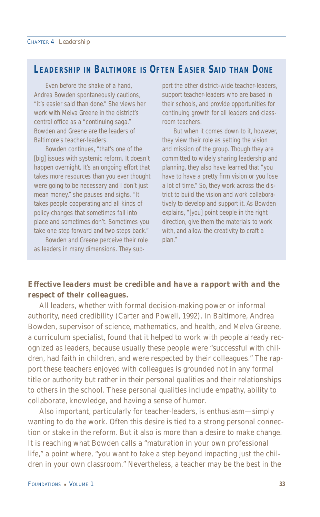#### **LEADERSHIP IN BALTIMORE IS OFTEN EASIER SAID THAN DONE**

Even before the shake of a hand, Andrea Bowden spontaneously cautions, "it's easier said than done." She views her work with Melva Greene in the district's central office as a "continuing saga." Bowden and Greene are the leaders of Baltimore's teacher-leaders.

Bowden continues, "that's one of the [big] issues with systemic reform. It doesn't happen overnight. It's an ongoing effort that takes more resources than you ever thought were going to be necessary and I don't just mean money," she pauses and sighs. "It takes people cooperating and all kinds of policy changes that sometimes fall into place and sometimes don't. Sometimes you take one step forward and two steps back."

Bowden and Greene perceive their role as leaders in many dimensions. They support the other district-wide teacher-leaders, support teacher-leaders who are based in their schools, and provide opportunities for continuing growth for all leaders and classroom teachers.

But when it comes down to it, however, they view their role as setting the vision and mission of the group. Though they are committed to widely sharing leadership and planning, they also have learned that "you have to have a pretty firm vision or you lose a lot of time." So, they work across the district to build the vision and work collaboratively to develop and support it. As Bowden explains, "[you] point people in the right direction, give them the materials to work with, and allow the creativity to craft a plan."

#### *Effective leaders must be credible and have a rapport with and the respect of their colleagues.*

All leaders, whether with formal decision-making power or informal authority, need credibility (Carter and Powell, 1992). In Baltimore, Andrea Bowden, supervisor of science, mathematics, and health, and Melva Greene, a curriculum specialist, found that it helped to work with people already recognized as leaders, because usually these people were "successful with children, had faith in children, and were respected by their colleagues." The rapport these teachers enjoyed with colleagues is grounded not in any formal title or authority but rather in their personal qualities and their relationships to others in the school. These personal qualities include empathy, ability to collaborate, knowledge, and having a sense of humor.

Also important, particularly for teacher-leaders, is enthusiasm—simply wanting to do the work. Often this desire is tied to a strong personal connection or stake in the reform. But it also is more than a desire to make change. It is reaching what Bowden calls a "maturation in your own professional life," a point where, "you want to take a step beyond impacting just the children in your own classroom." Nevertheless, a teacher may be the best in the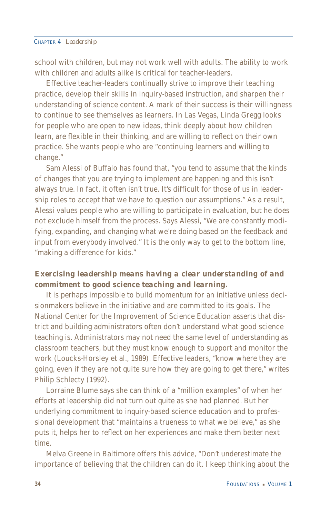school with children, but may not work well with adults. The ability to work with children and adults alike is critical for teacher-leaders.

Effective teacher-leaders continually strive to improve their teaching practice, develop their skills in inquiry-based instruction, and sharpen their understanding of science content. A mark of their success is their willingness to continue to see themselves as learners. In Las Vegas, Linda Gregg looks for people who are open to new ideas, think deeply about how children learn, are flexible in their thinking, and are willing to reflect on their own practice. She wants people who are "continuing learners and willing to change."

Sam Alessi of Buffalo has found that, "you tend to assume that the kinds of changes that you are trying to implement are happening and this isn't always true. In fact, it often isn't true. It's difficult for those of us in leadership roles to accept that we have to question our assumptions." As a result, Alessi values people who are willing to participate in evaluation, but he does not exclude himself from the process. Says Alessi, "We are constantly modifying, expanding, and changing what we're doing based on the feedback and input from everybody involved." It is the only way to get to the bottom line, "making a difference for kids."

#### *Exercising leadership means having a clear understanding of and commitment to good science teaching and learning.*

It is perhaps impossible to build momentum for an initiative unless decisionmakers believe in the initiative and are committed to its goals. The National Center for the Improvement of Science Education asserts that district and building administrators often don't understand what good science teaching is. Administrators may not need the same level of understanding as classroom teachers, but they must know enough to support and monitor the work (Loucks-Horsley et al., 1989). Effective leaders, "know where they are going, even if they are not quite sure how they are going to get there," writes Philip Schlecty (1992).

Lorraine Blume says she can think of a "million examples" of when her efforts at leadership did not turn out quite as she had planned. But her underlying commitment to inquiry-based science education and to professional development that "maintains a trueness to what we believe," as she puts it, helps her to reflect on her experiences and make them better next time.

Melva Greene in Baltimore offers this advice, "Don't underestimate the importance of believing that the children can do it. I keep thinking about the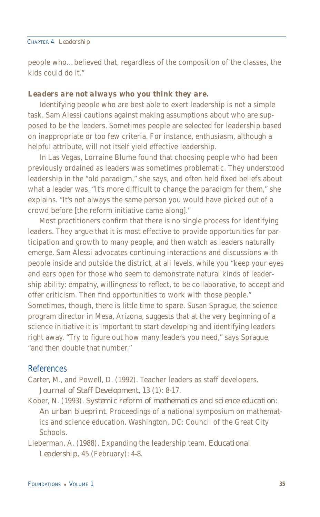#### CHAPTER 4 *Leadership*

people who…believed that, regardless of the composition of the classes, the kids could do it."

#### *Leaders are not always who you think they are.*

Identifying people who are best able to exert leadership is not a simple task. Sam Alessi cautions against making assumptions about who are supposed to be the leaders. Sometimes people are selected for leadership based on inappropriate or too few criteria. For instance, enthusiasm, although a helpful attribute, will not itself yield effective leadership.

In Las Vegas, Lorraine Blume found that choosing people who had been previously ordained as leaders was sometimes problematic. They understood leadership in the "old paradigm," she says, and often held fixed beliefs about what a leader was. "It's more difficult to change the paradigm for them," she explains. "It's not always the same person you would have picked out of a crowd before [the reform initiative came along]."

Most practitioners confirm that there is no single process for identifying leaders. They argue that it is most effective to provide opportunities for participation and growth to many people, and then watch as leaders naturally emerge. Sam Alessi advocates continuing interactions and discussions with people inside and outside the district, at all levels, while you "keep your eyes and ears open for those who seem to demonstrate natural kinds of leadership ability: empathy, willingness to reflect, to be collaborative, to accept and offer criticism. Then find opportunities to work with those people." Sometimes, though, there is little time to spare. Susan Sprague, the science program director in Mesa, Arizona, suggests that at the very beginning of a science initiative it is important to start developing and identifying leaders right away. "Try to figure out how many leaders you need," says Sprague, "and then double that number."

#### References

- Carter, M., and Powell, D. (1992). Teacher leaders as staff developers. *Journal of Staff Development,* 13 (1): 8-17.
- Kober, N. (1993). *Systemic reform of mathematics and science education: An urban blueprint.* Proceedings of a national symposium on mathematics and science education. Washington, DC: Council of the Great City Schools.
- Lieberman, A. (1988). Expanding the leadership team. *Educational Leadership,* 45 (February): 4-8.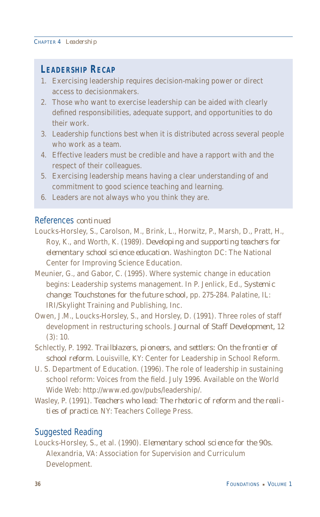#### **LEADERSHIP RECAP**

- 1. Exercising leadership requires decision-making power or direct access to decisionmakers.
- 2. Those who want to exercise leadership can be aided with clearly defined responsibilities, adequate support, and opportunities to do their work.
- 3. Leadership functions best when it is distributed across several people who work as a team.
- 4. Effective leaders must be credible and have a rapport with and the respect of their colleagues.
- 5. Exercising leadership means having a clear understanding of and commitment to good science teaching and learning.
- 6. Leaders are not always who you think they are.

#### References *continued*

- Loucks-Horsley, S., Carolson, M., Brink, L., Horwitz, P., Marsh, D., Pratt, H., Roy, K., and Worth, K. (1989). *Developing and supporting teachers for elementary school science education.* Washington DC: The National Center for Improving Science Education.
- Meunier, G., and Gabor, C. (1995). Where systemic change in education begins: Leadership systems management. In P. Jenlick, Ed., *Systemic change: Touchstones for the future school,* pp. 275-284. Palatine, IL: IRI/Skylight Training and Publishing, Inc.
- Owen, J.M., Loucks-Horsley, S., and Horsley, D. (1991). Three roles of staff development in restructuring schools. *Journal of Staff Development,* 12 (3): 10.
- Schlectly, P. 1992. *Trailblazers, pioneers, and settlers: On the frontier of school reform.* Louisville, KY: Center for Leadership in School Reform.
- U. S. Department of Education. (1996). The role of leadership in sustaining school reform: Voices from the field. July 1996. Available on the World Wide Web: http://www.ed.gov/pubs/leadership/.
- Wasley, P. (1991). *Teachers who lead: The rhetoric of reform and the realities of practice.* NY: Teachers College Press.

#### Suggested Reading

Loucks-Horsley, S., et al. (1990). *Elementary school science for the 90s.* Alexandria, VA: Association for Supervision and Curriculum Development.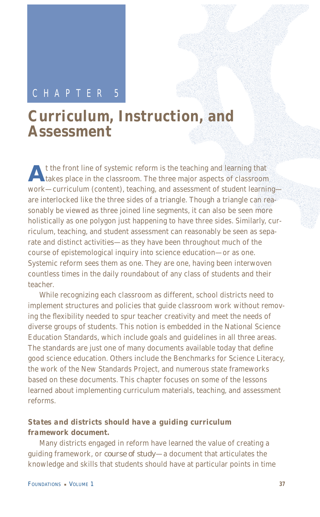# **Curriculum, Instruction, and Assessment**

A the front line of systemic reform is the teaching and learning that takes place in the classroom. The three major aspects of classroom work—curriculum (content), teaching, and assessment of student learning are interlocked like the three sides of a triangle. Though a triangle can reasonably be viewed as three joined line segments, it can also be seen more holistically as one polygon just happening to have three sides. Similarly, curriculum, teaching, and student assessment can reasonably be seen as separate and distinct activities—as they have been throughout much of the course of epistemological inquiry into science education—or as one. Systemic reform sees them as one. They are one, having been interwoven countless times in the daily roundabout of any class of students and their teacher.

While recognizing each classroom as different, school districts need to implement structures and policies that guide classroom work without removing the flexibility needed to spur teacher creativity and meet the needs of diverse groups of students. This notion is embedded in the National Science Education Standards, which include goals and guidelines in all three areas. The standards are just one of many documents available today that define good science education. Others include the Benchmarks for Science Literacy, the work of the New Standards Project, and numerous state frameworks based on these documents. This chapter focuses on some of the lessons learned about implementing curriculum materials, teaching, and assessment reforms.

#### *States and districts should have a guiding curriculum framework document.*

Many districts engaged in reform have learned the value of creating a guiding framework, or *course of study*—a document that articulates the knowledge and skills that students should have at particular points in time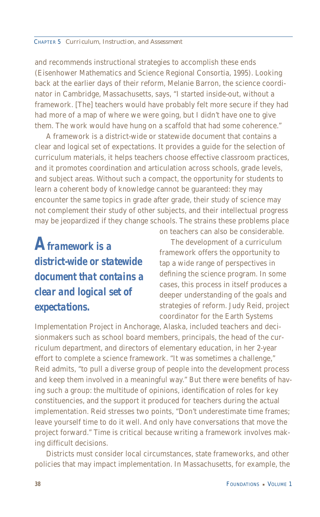and recommends instructional strategies to accomplish these ends (Eisenhower Mathematics and Science Regional Consortia, 1995). Looking back at the earlier days of their reform, Melanie Barron, the science coordinator in Cambridge, Massachusetts, says, "I started inside-out, without a framework. [The] teachers would have probably felt more secure if they had had more of a map of where we were going, but I didn't have one to give them. The work would have hung on a scaffold that had some coherence."

A framework is a district-wide or statewide document that contains a clear and logical set of expectations. It provides a guide for the selection of curriculum materials, it helps teachers choose effective classroom practices, and it promotes coordination and articulation across schools, grade levels, and subject areas. Without such a compact, the opportunity for students to learn a coherent body of knowledge cannot be guaranteed: they may encounter the same topics in grade after grade, their study of science may not complement their study of other subjects, and their intellectual progress may be jeopardized if they change schools. The strains these problems place

*Aframework is a district-wide or statewide document that contains a clear and logical set of expectations.*

on teachers can also be considerable.

The development of a curriculum framework offers the opportunity to tap a wide range of perspectives in defining the science program. In some cases, this process in itself produces a deeper understanding of the goals and strategies of reform. Judy Reid, project coordinator for the Earth Systems

Implementation Project in Anchorage, Alaska, included teachers and decisionmakers such as school board members, principals, the head of the curriculum department, and directors of elementary education, in her 2-year effort to complete a science framework. "It was sometimes a challenge," Reid admits, "to pull a diverse group of people into the development process and keep them involved in a meaningful way." But there were benefits of having such a group: the multitude of opinions, identification of roles for key constituencies, and the support it produced for teachers during the actual implementation. Reid stresses two points, "Don't underestimate time frames; leave yourself time to do it well. And only have conversations that move the project forward." Time is critical because writing a framework involves making difficult decisions.

Districts must consider local circumstances, state frameworks, and other policies that may impact implementation. In Massachusetts, for example, the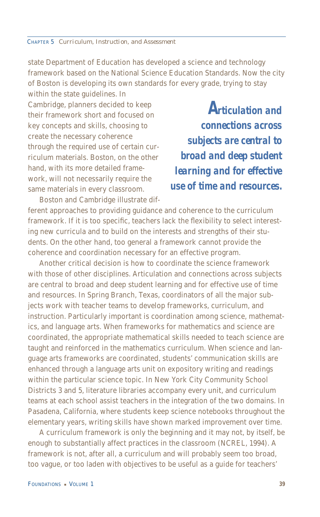state Department of Education has developed a science and technology framework based on the National Science Education Standards. Now the city of Boston is developing its own standards for every grade, trying to stay

within the state guidelines. In Cambridge, planners decided to keep their framework short and focused on key concepts and skills, choosing to create the necessary coherence through the required use of certain curriculum materials. Boston, on the other hand, with its more detailed framework, will not necessarily require the same materials in every classroom.

*Articulation and connections across subjects are central to broad and deep student learning and for effective use of time and resources.*

Boston and Cambridge illustrate different approaches to providing guidance and coherence to the curriculum framework. If it is too specific, teachers lack the flexibility to select interesting new curricula and to build on the interests and strengths of their students. On the other hand, too general a framework cannot provide the coherence and coordination necessary for an effective program.

Another critical decision is how to coordinate the science framework with those of other disciplines. Articulation and connections across subjects are central to broad and deep student learning and for effective use of time and resources. In Spring Branch, Texas, coordinators of all the major subjects work with teacher teams to develop frameworks, curriculum, and instruction. Particularly important is coordination among science, mathematics, and language arts. When frameworks for mathematics and science are coordinated, the appropriate mathematical skills needed to teach science are taught and reinforced in the mathematics curriculum. When science and language arts frameworks are coordinated, students' communication skills are enhanced through a language arts unit on expository writing and readings within the particular science topic. In New York City Community School Districts 3 and 5, literature libraries accompany every unit, and curriculum teams at each school assist teachers in the integration of the two domains. In Pasadena, California, where students keep science notebooks throughout the elementary years, writing skills have shown marked improvement over time.

A curriculum framework is only the beginning and it may not, by itself, be enough to substantially affect practices in the classroom (NCREL, 1994). A framework is not, after all, a curriculum and will probably seem too broad, too vague, or too laden with objectives to be useful as a guide for teachers'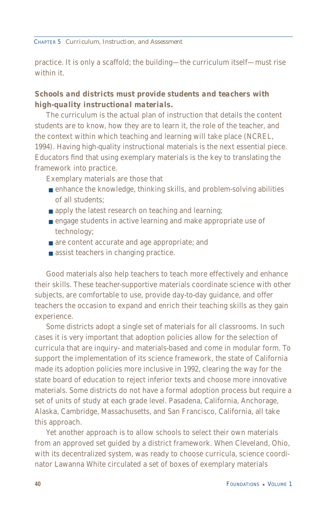practice. It is only a scaffold; the building—the curriculum itself—must rise within it.

#### *Schools and districts must provide students and teachers with high-quality instructional materials.*

The curriculum is the actual plan of instruction that details the content students are to know, how they are to learn it, the role of the teacher, and the context within which teaching and learning will take place (NCREL, 1994). Having high-quality instructional materials is the next essential piece. Educators find that using exemplary materials is the key to translating the framework into practice.

Exemplary materials are those that

- enhance the knowledge, thinking skills, and problem-solving abilities of all students;
- apply the latest research on teaching and learning;
- engage students in active learning and make appropriate use of technology;
- are content accurate and age appropriate; and
- assist teachers in changing practice.

Good materials also help teachers to teach more effectively and enhance their skills. These teacher-supportive materials coordinate science with other subjects, are comfortable to use, provide day-to-day guidance, and offer teachers the occasion to expand and enrich their teaching skills as they gain experience.

Some districts adopt a single set of materials for all classrooms. In such cases it is very important that adoption policies allow for the selection of curricula that are inquiry- and materials-based and come in modular form. To support the implementation of its science framework, the state of California made its adoption policies more inclusive in 1992, clearing the way for the state board of education to reject inferior texts and choose more innovative materials. Some districts do not have a formal adoption process but require a set of units of study at each grade level. Pasadena, California, Anchorage, Alaska, Cambridge, Massachusetts, and San Francisco, California, all take this approach.

Yet another approach is to allow schools to select their own materials from an approved set guided by a district framework. When Cleveland, Ohio, with its decentralized system, was ready to choose curricula, science coordinator Lawanna White circulated a set of boxes of exemplary materials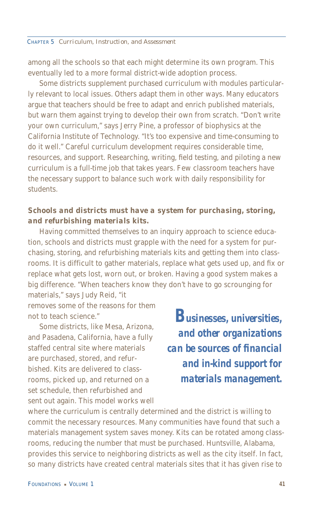among all the schools so that each might determine its own program. This eventually led to a more formal district-wide adoption process.

Some districts supplement purchased curriculum with modules particularly relevant to local issues. Others adapt them in other ways. Many educators argue that teachers should be free to adapt and enrich published materials, but warn them against trying to develop their own from scratch. "Don't write your own curriculum," says Jerry Pine, a professor of biophysics at the California Institute of Technology. "It's too expensive and time-consuming to do it well." Careful curriculum development requires considerable time, resources, and support. Researching, writing, field testing, and piloting a new curriculum is a full-time job that takes years. Few classroom teachers have the necessary support to balance such work with daily responsibility for students.

#### *Schools and districts must have a system for purchasing, storing, and refurbishing materials kits.*

Having committed themselves to an inquiry approach to science education, schools and districts must grapple with the need for a system for purchasing, storing, and refurbishing materials kits and getting them into classrooms. It is difficult to gather materials, replace what gets used up, and fix or replace what gets lost, worn out, or broken. Having a good system makes a big difference. "When teachers know they don't have to go scrounging for materials," says Judy Reid, "it

removes some of the reasons for them not to teach science."

Some districts, like Mesa, Arizona, and Pasadena, California, have a fully staffed central site where materials are purchased, stored, and refurbished. Kits are delivered to classrooms, picked up, and returned on a set schedule, then refurbished and sent out again. This model works well

*Businesses, universities, and other organizations can be sources of financial and in-kind support for materials management.*

where the curriculum is centrally determined and the district is willing to commit the necessary resources. Many communities have found that such a materials management system saves money. Kits can be rotated among classrooms, reducing the number that must be purchased. Huntsville, Alabama, provides this service to neighboring districts as well as the city itself. In fact, so many districts have created central materials sites that it has given rise to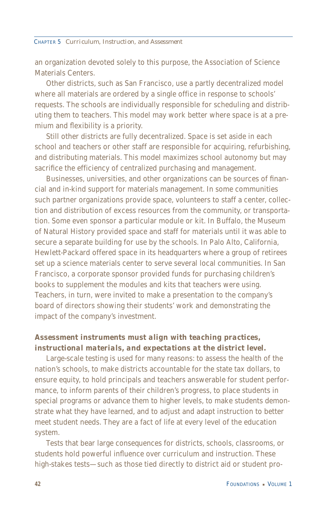an organization devoted solely to this purpose, the Association of Science Materials Centers.

Other districts, such as San Francisco, use a partly decentralized model where all materials are ordered by a single office in response to schools' requests. The schools are individually responsible for scheduling and distributing them to teachers. This model may work better where space is at a premium and flexibility is a priority.

Still other districts are fully decentralized. Space is set aside in each school and teachers or other staff are responsible for acquiring, refurbishing, and distributing materials. This model maximizes school autonomy but may sacrifice the efficiency of centralized purchasing and management.

Businesses, universities, and other organizations can be sources of financial and in-kind support for materials management. In some communities such partner organizations provide space, volunteers to staff a center, collection and distribution of excess resources from the community, or transportation. Some even sponsor a particular module or kit. In Buffalo, the Museum of Natural History provided space and staff for materials until it was able to secure a separate building for use by the schools. In Palo Alto, California, Hewlett-Packard offered space in its headquarters where a group of retirees set up a science materials center to serve several local communities. In San Francisco, a corporate sponsor provided funds for purchasing children's books to supplement the modules and kits that teachers were using. Teachers, in turn, were invited to make a presentation to the company's board of directors showing their students' work and demonstrating the impact of the company's investment.

#### *Assessment instruments must align with teaching practices, instructional materials, and expectations at the district level.*

Large-scale testing is used for many reasons: to assess the health of the nation's schools, to make districts accountable for the state tax dollars, to ensure equity, to hold principals and teachers answerable for student performance, to inform parents of their children's progress, to place students in special programs or advance them to higher levels, to make students demonstrate what they have learned, and to adjust and adapt instruction to better meet student needs. They are a fact of life at every level of the education system.

Tests that bear large consequences for districts, schools, classrooms, or students hold powerful influence over curriculum and instruction. These high-stakes tests—such as those tied directly to district aid or student pro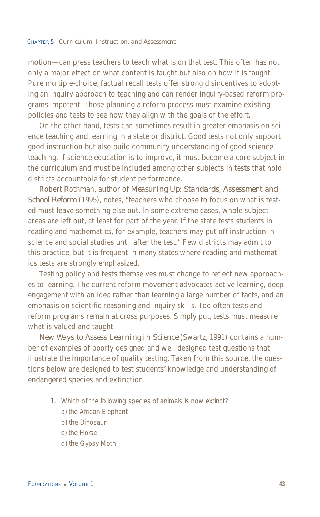motion—can press teachers to teach what is on that test. This often has not only a major effect on what content is taught but also on how it is taught. Pure multiple-choice, factual recall tests offer strong disincentives to adopting an inquiry approach to teaching and can render inquiry-based reform programs impotent. Those planning a reform process must examine existing policies and tests to see how they align with the goals of the effort.

On the other hand, tests can sometimes result in greater emphasis on science teaching and learning in a state or district. Good tests not only support good instruction but also build community understanding of good science teaching. If science education is to improve, it must become a core subject in the curriculum and must be included among other subjects in tests that hold districts accountable for student performance.

Robert Rothman, author of *Measuring Up: Standards, Assessment and School Reform* (1995), notes, "teachers who choose to focus on what is tested must leave something else out. In some extreme cases, whole subject areas are left out, at least for part of the year. If the state tests students in reading and mathematics, for example, teachers may put off instruction in science and social studies until after the test." Few districts may admit to this practice, but it is frequent in many states where reading and mathematics tests are strongly emphasized.

Testing policy and tests themselves must change to reflect new approaches to learning. The current reform movement advocates active learning, deep engagement with an idea rather than learning a large number of facts, and an emphasis on scientific reasoning and inquiry skills. Too often tests and reform programs remain at cross purposes. Simply put, tests must measure what is valued and taught.

*New Ways to Assess Learning in Science* (Swartz, 1991) contains a number of examples of poorly designed and well designed test questions that illustrate the importance of quality testing. Taken from this source, the questions below are designed to test students' knowledge and understanding of endangered species and extinction.

- 1. Which of the following species of animals is now extinct?
	- a) the African Elephant
	- b) the Dinosaur
	- c) the Horse
	- d) the Gypsy Moth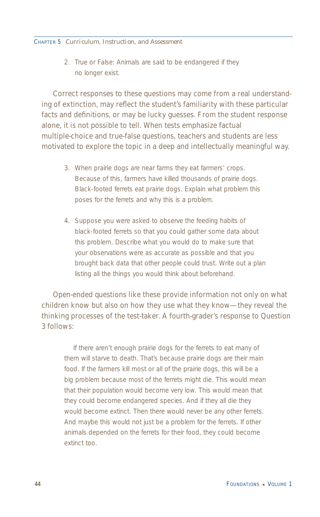#### CHAPTER 5 *Curriculum, Instruction, and Assessment*

2. True or False: Animals are said to be endangered if they no longer exist.

Correct responses to these questions may come from a real understanding of extinction, may reflect the student's familiarity with these particular facts and definitions, or may be lucky guesses. From the student response alone, it is not possible to tell. When tests emphasize factual multiple-choice and true-false questions, teachers and students are less motivated to explore the topic in a deep and intellectually meaningful way.

- 3. When prairie dogs are near farms they eat farmers' crops. Because of this, farmers have killed thousands of prairie dogs. Black-footed ferrets eat prairie dogs. Explain what problem this poses for the ferrets and why this is a problem.
- 4. Suppose you were asked to observe the feeding habits of black-footed ferrets so that you could gather some data about this problem. Describe what you would do to make sure that your observations were as accurate as possible and that you brought back data that other people could trust. Write out a plan listing all the things you would think about beforehand.

Open-ended questions like these provide information not only on what children know but also on how they use what they know—they reveal the thinking processes of the test-taker. A fourth-grader's response to Question 3 follows:

If there aren't enough prairie dogs for the ferrets to eat many of them will starve to death. That's because prairie dogs are their main food. If the farmers kill most or all of the prairie dogs, this will be a big problem because most of the ferrets might die. This would mean that their population would become very low. This would mean that they could become endangered species. And if they all die they would become extinct. Then there would never be any other ferrets. And maybe this would not just be a problem for the ferrets. If other animals depended on the ferrets for their food, they could become extinct too.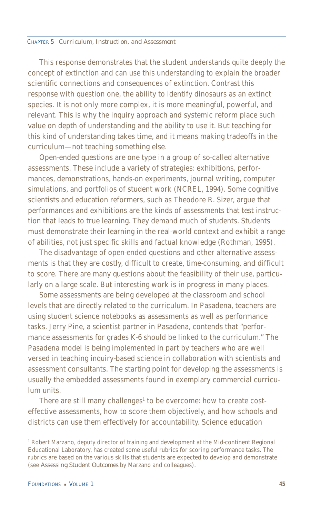This response demonstrates that the student understands quite deeply the concept of extinction and can use this understanding to explain the broader scientific connections and consequences of extinction. Contrast this response with question one, the ability to identify dinosaurs as an extinct species. It is not only more complex, it is more meaningful, powerful, and relevant. This is why the inquiry approach and systemic reform place such value on depth of understanding and the ability to use it. But teaching for this kind of understanding takes time, and it means making tradeoffs in the curriculum—not teaching something else.

Open-ended questions are one type in a group of so-called alternative assessments. These include a variety of strategies: exhibitions, performances, demonstrations, hands-on experiments, journal writing, computer simulations, and portfolios of student work (NCREL, 1994). Some cognitive scientists and education reformers, such as Theodore R. Sizer, argue that performances and exhibitions are the kinds of assessments that test instruction that leads to true learning. They demand much of students. Students must demonstrate their learning in the real-world context and exhibit a range of abilities, not just specific skills and factual knowledge (Rothman, 1995).

The disadvantage of open-ended questions and other alternative assessments is that they are costly, difficult to create, time-consuming, and difficult to score. There are many questions about the feasibility of their use, particularly on a large scale. But interesting work is in progress in many places.

Some assessments are being developed at the classroom and school levels that are directly related to the curriculum. In Pasadena, teachers are using student science notebooks as assessments as well as performance tasks. Jerry Pine, a scientist partner in Pasadena, contends that "performance assessments for grades K-6 should be linked to the curriculum." The Pasadena model is being implemented in part by teachers who are well versed in teaching inquiry-based science in collaboration with scientists and assessment consultants. The starting point for developing the assessments is usually the embedded assessments found in exemplary commercial curriculum units.

There are still many challenges<sup>1</sup> to be overcome: how to create costeffective assessments, how to score them objectively, and how schools and districts can use them effectively for accountability. Science education

<sup>1</sup> Robert Marzano, deputy director of training and development at the Mid-continent Regional Educational Laboratory, has created some useful rubrics for scoring performance tasks. The rubrics are based on the various skills that students are expected to develop and demonstrate (see *Assessing Student Outcomes* by Marzano and colleagues).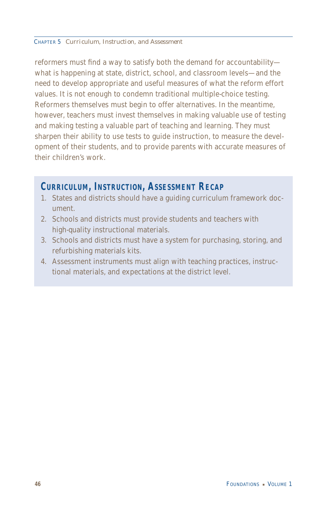reformers must find a way to satisfy both the demand for accountability what is happening at state, district, school, and classroom levels—and the need to develop appropriate and useful measures of what the reform effort values. It is not enough to condemn traditional multiple-choice testing. Reformers themselves must begin to offer alternatives. In the meantime, however, teachers must invest themselves in making valuable use of testing and making testing a valuable part of teaching and learning. They must sharpen their ability to use tests to guide instruction, to measure the development of their students, and to provide parents with accurate measures of their children's work.

#### **CURRICULUM, INSTRUCTION, ASSESSMENT RECAP**

- 1. States and districts should have a guiding curriculum framework document.
- 2. Schools and districts must provide students and teachers with high-quality instructional materials.
- 3. Schools and districts must have a system for purchasing, storing, and refurbishing materials kits.
- 4. Assessment instruments must align with teaching practices, instructional materials, and expectations at the district level.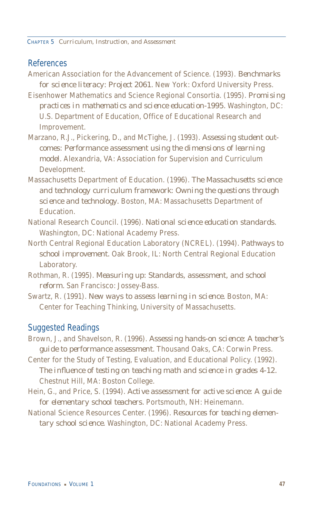#### References

- American Association for the Advancement of Science. (1993). *Benchmarks for science literacy: Project 2061.* New York: Oxford University Press.
- Eisenhower Mathematics and Science Regional Consortia. (1995). *Promising practices in mathematics and science education-1995.* Washington, DC: U.S. Department of Education, Office of Educational Research and Improvement.
- Marzano, R.J., Pickering, D., and McTighe, J. (1993). *Assessing student outcomes: Performance assessment using the dimensions of learning model.* Alexandria, VA: Association for Supervision and Curriculum Development.
- Massachusetts Department of Education. (1996). *The Massachusetts science and technology curriculum framework: Owning the questions through science and technology.* Boston, MA: Massachusetts Department of Education.
- National Research Council. (1996). *National science education standards.* Washington, DC: National Academy Press.
- North Central Regional Education Laboratory (NCREL). (1994). *Pathways to school improvement.* Oak Brook, IL: North Central Regional Education Laboratory.
- Rothman, R. (1995). *Measuring up: Standards, assessment, and school reform.* San Francisco: Jossey-Bass.
- Swartz, R. (1991). *New ways to assess learning in science.* Boston, MA: Center for Teaching Thinking, University of Massachusetts.

#### Suggested Readings

- Brown, J., and Shavelson, R. (1996). *Assessing hands-on science: A teacher's guide to performance assessment.* Thousand Oaks, CA: Corwin Press.
- Center for the Study of Testing, Evaluation, and Educational Policy. (1992). *The influence of testing on teaching math and science in grades 4-12.* Chestnut Hill, MA: Boston College.
- Hein, G., and Price, S. (1994). *Active assessment for active science: A guide for elementary school teachers.* Portsmouth, NH: Heinemann.
- National Science Resources Center. (1996). *Resources for teaching elementary school science.* Washington, DC: National Academy Press.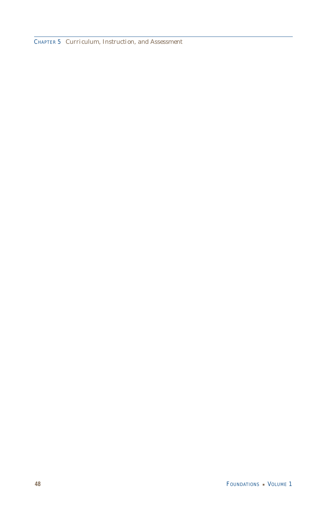CHAPTER 5 *Curriculum, Instruction, and Assessment*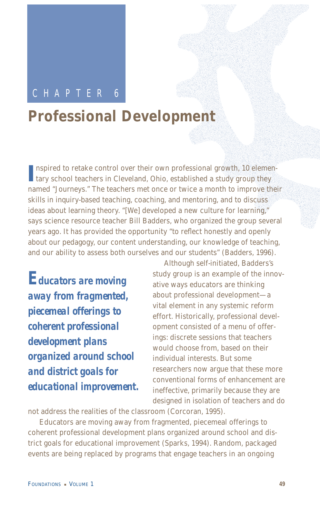#### C H A P T E R 6

# **Professional Development**

**I** nspired to retake control over their own professional growth, 10 elemetary school teachers in Cleveland, Ohio, established a study group they nspired to retake control over their own professional growth, 10 elemennamed "Journeys." The teachers met once or twice a month to improve their skills in inquiry-based teaching, coaching, and mentoring, and to discuss ideas about learning theory. "[We] developed a new culture for learning," says science resource teacher Bill Badders, who organized the group several years ago. It has provided the opportunity "to reflect honestly and openly about our pedagogy, our content understanding, our knowledge of teaching, and our ability to assess both ourselves and our students" (Badders, 1996).

*Educators are moving away from fragmented, piecemeal offerings to coherent professional development plans organized around school and district goals for educational improvement.*

Although self-initiated, Badders's study group is an example of the innovative ways educators are thinking about professional development—a vital element in any systemic reform effort. Historically, professional development consisted of a menu of offerings: discrete sessions that teachers would choose from, based on their individual interests. But some researchers now argue that these more conventional forms of enhancement are ineffective, primarily because they are designed in isolation of teachers and do

not address the realities of the classroom (Corcoran, 1995).

Educators are moving away from fragmented, piecemeal offerings to coherent professional development plans organized around school and district goals for educational improvement (Sparks, 1994). Random, packaged events are being replaced by programs that engage teachers in an ongoing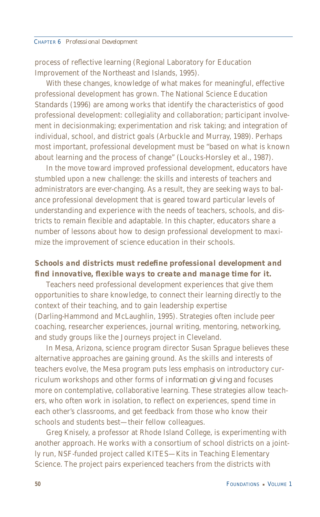process of reflective learning (Regional Laboratory for Education Improvement of the Northeast and Islands, 1995).

With these changes, knowledge of what makes for meaningful, effective professional development has grown. The National Science Education Standards (1996) are among works that identify the characteristics of good professional development: collegiality and collaboration; participant involvement in decisionmaking; experimentation and risk taking; and integration of individual, school, and district goals (Arbuckle and Murray, 1989). Perhaps most important, professional development must be "based on what is known about learning and the process of change" (Loucks-Horsley et al., 1987).

In the move toward improved professional development, educators have stumbled upon a new challenge: the skills and interests of teachers and administrators are ever-changing. As a result, they are seeking ways to balance professional development that is geared toward particular levels of understanding and experience with the needs of teachers, schools, and districts to remain flexible and adaptable. In this chapter, educators share a number of lessons about how to design professional development to maximize the improvement of science education in their schools.

#### *Schools and districts must redefine professional development and find innovative, flexible ways to create and manage time for it.*

Teachers need professional development experiences that give them opportunities to share knowledge, to connect their learning directly to the context of their teaching, and to gain leadership expertise (Darling-Hammond and McLaughlin, 1995). Strategies often include peer coaching, researcher experiences, journal writing, mentoring, networking, and study groups like the Journeys project in Cleveland.

In Mesa, Arizona, science program director Susan Sprague believes these alternative approaches are gaining ground. As the skills and interests of teachers evolve, the Mesa program puts less emphasis on introductory curriculum workshops and other forms of *information giving* and focuses more on contemplative, collaborative learning. These strategies allow teachers, who often work in isolation, to reflect on experiences, spend time in each other's classrooms, and get feedback from those who know their schools and students best—their fellow colleagues.

Greg Knisely, a professor at Rhode Island College, is experimenting with another approach. He works with a consortium of school districts on a jointly run, NSF-funded project called KITES—Kits in Teaching Elementary Science. The project pairs experienced teachers from the districts with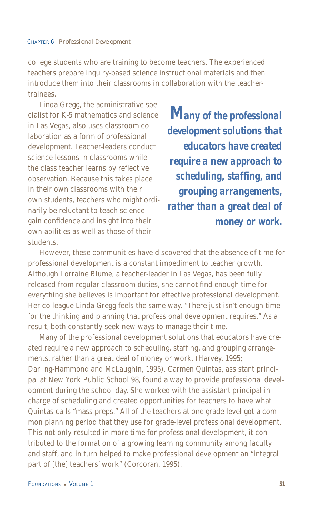college students who are training to become teachers. The experienced teachers prepare inquiry-based science instructional materials and then introduce them into their classrooms in collaboration with the teachertrainees.

Linda Gregg, the administrative specialist for K-5 mathematics and science in Las Vegas, also uses classroom collaboration as a form of professional development. Teacher-leaders conduct science lessons in classrooms while the class teacher learns by reflective observation. Because this takes place in their own classrooms with their own students, teachers who might ordinarily be reluctant to teach science gain confidence and insight into their own abilities as well as those of their students.

*Many of the professional development solutions that educators have created require a new approach to scheduling, staffing, and grouping arrangements, rather than a great deal of money or work.*

However, these communities have discovered that the absence of time for professional development is a constant impediment to teacher growth. Although Lorraine Blume, a teacher-leader in Las Vegas, has been fully released from regular classroom duties, she cannot find enough time for everything she believes is important for effective professional development. Her colleague Linda Gregg feels the same way. "There just isn't enough time for the thinking and planning that professional development requires." As a result, both constantly seek new ways to manage their time.

Many of the professional development solutions that educators have created require a new approach to scheduling, staffing, and grouping arrangements, rather than a great deal of money or work. (Harvey, 1995; Darling-Hammond and McLaughin, 1995). Carmen Quintas, assistant principal at New York Public School 98, found a way to provide professional development during the school day. She worked with the assistant principal in charge of scheduling and created opportunities for teachers to have what Quintas calls "mass preps." All of the teachers at one grade level got a common planning period that they use for grade-level professional development. This not only resulted in more time for professional development, it contributed to the formation of a growing learning community among faculty and staff, and in turn helped to make professional development an "integral part of [the] teachers' work" (Corcoran, 1995).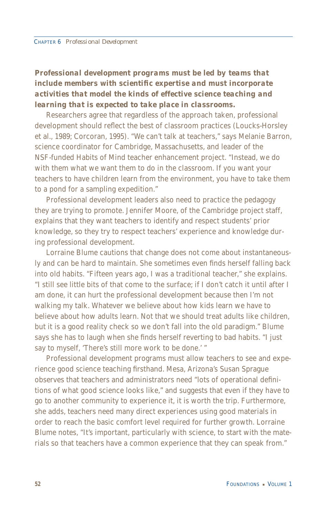#### *Professional development programs must be led by teams that include members with scientific expertise and must incorporate activities that model the kinds of effective science teaching and learning that is expected to take place in classrooms.*

Researchers agree that regardless of the approach taken, professional development should reflect the best of classroom practices (Loucks-Horsley et al., 1989; Corcoran, 1995). "We can't talk at teachers," says Melanie Barron, science coordinator for Cambridge, Massachusetts, and leader of the NSF-funded Habits of Mind teacher enhancement project. "Instead, we do with them what we want them to do in the classroom. If you want your teachers to have children learn from the environment, you have to take them to a pond for a sampling expedition."

Professional development leaders also need to practice the pedagogy they are trying to promote. Jennifer Moore, of the Cambridge project staff, explains that they want teachers to identify and respect students' prior knowledge, so they try to respect teachers' experience and knowledge during professional development.

Lorraine Blume cautions that change does not come about instantaneously and can be hard to maintain. She sometimes even finds herself falling back into old habits. "Fifteen years ago, I was a traditional teacher," she explains. "I still see little bits of that come to the surface; if I don't catch it until after I am done, it can hurt the professional development because then I'm not walking my talk. Whatever we believe about how kids learn we have to believe about how adults learn. Not that we should treat adults like children, but it is a good reality check so we don't fall into the old paradigm." Blume says she has to laugh when she finds herself reverting to bad habits. "I just say to myself, 'There's still more work to be done.' "

Professional development programs must allow teachers to see and experience good science teaching firsthand. Mesa, Arizona's Susan Sprague observes that teachers and administrators need "lots of operational definitions of what good science looks like," and suggests that even if they have to go to another community to experience it, it is worth the trip. Furthermore, she adds, teachers need many direct experiences using good materials in order to reach the basic comfort level required for further growth. Lorraine Blume notes, "It's important, particularly with science, to start with the materials so that teachers have a common experience that they can speak from."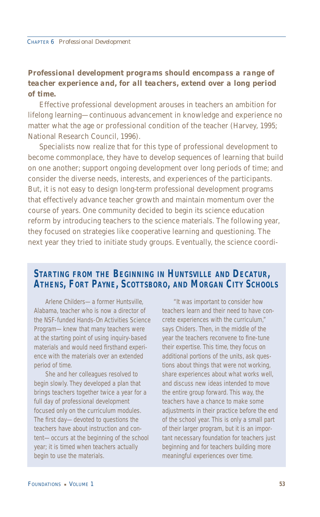#### *Professional development programs should encompass a range of teacher experience and, for all teachers, extend over a long period of time.*

Effective professional development arouses in teachers an ambition for lifelong learning—continuous advancement in knowledge and experience no matter what the age or professional condition of the teacher (Harvey, 1995; National Research Council, 1996).

Specialists now realize that for this type of professional development to become commonplace, they have to develop sequences of learning that build on one another; support ongoing development over long periods of time; and consider the diverse needs, interests, and experiences of the participants. But, it is not easy to design long-term professional development programs that effectively advance teacher growth and maintain momentum over the course of years. One community decided to begin its science education reform by introducing teachers to the science materials. The following year, they focused on strategies like cooperative learning and questioning. The next year they tried to initiate study groups. Eventually, the science coordi-

# **STARTING FROM THE BEGINNING IN HUNTSVILLE AND DECATUR, ATHENS, FORT PAYNE, SCOTTSBORO, AND MORGAN CITY SCHOOLS**

Arlene Childers—a former Huntsville, Alabama, teacher who is now a director of the NSF-funded Hands-On Activities Science Program—knew that many teachers were at the starting point of using inquiry-based materials and would need firsthand experience with the materials over an extended period of time.

She and her colleagues resolved to begin slowly. They developed a plan that brings teachers together twice a year for a full day of professional development focused only on the curriculum modules. The first day—devoted to questions the teachers have about instruction and content—occurs at the beginning of the school year; it is timed when teachers actually begin to use the materials.

"It was important to consider how teachers learn and their need to have concrete experiences with the curriculum," says Chiders. Then, in the middle of the year the teachers reconvene to fine-tune their expertise. This time, they focus on additional portions of the units, ask questions about things that were not working, share experiences about what works well, and discuss new ideas intended to move the entire group forward. This way, the teachers have a chance to make some adjustments in their practice before the end of the school year. This is only a small part of their larger program, but it is an important necessary foundation for teachers just beginning and for teachers building more meaningful experiences over time.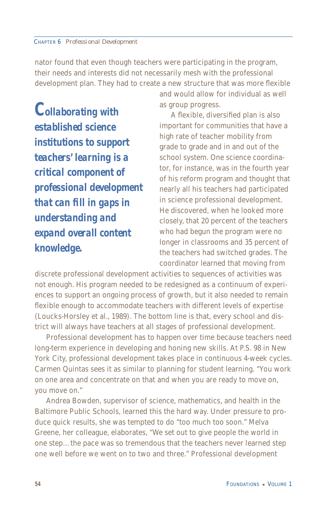nator found that even though teachers were participating in the program, their needs and interests did not necessarily mesh with the professional development plan. They had to create a new structure that was more flexible

*Collaborating with established science institutions to support teachers' learning is a critical component of professional development that can fill in gaps in understanding and expand overall content knowledge.*

and would allow for individual as well as group progress.

A flexible, diversified plan is also important for communities that have a high rate of teacher mobility from grade to grade and in and out of the school system. One science coordinator, for instance, was in the fourth year of his reform program and thought that nearly all his teachers had participated in science professional development. He discovered, when he looked more closely, that 20 percent of the teachers who had begun the program were no longer in classrooms and 35 percent of the teachers had switched grades. The coordinator learned that moving from

discrete professional development activities to sequences of activities was not enough. His program needed to be redesigned as a continuum of experiences to support an ongoing process of growth, but it also needed to remain flexible enough to accommodate teachers with different levels of expertise (Loucks-Horsley et al., 1989). The bottom line is that, every school and district will always have teachers at all stages of professional development.

Professional development has to happen over time because teachers need long-term experience in developing and honing new skills. At P.S. 98 in New York City, professional development takes place in continuous 4-week cycles. Carmen Quintas sees it as similar to planning for student learning. "You work on one area and concentrate on that and when you are ready to move on, you move on."

Andrea Bowden, supervisor of science, mathematics, and health in the Baltimore Public Schools, learned this the hard way. Under pressure to produce quick results, she was tempted to do "too much too soon." Melva Greene, her colleague, elaborates, "We set out to give people the world in one step…the pace was so tremendous that the teachers never learned step one well before we went on to two and three." Professional development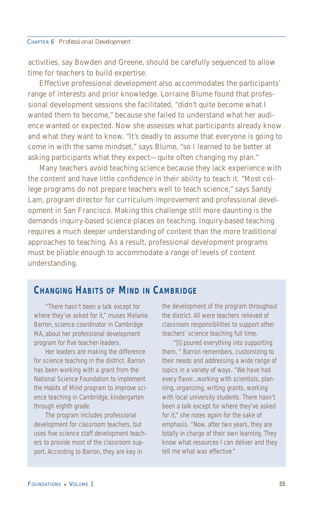activities, say Bowden and Greene, should be carefully sequenced to allow time for teachers to build expertise.

Effective professional development also accommodates the participants' range of interests and prior knowledge. Lorraine Blume found that professional development sessions she facilitated, "didn't quite become what I wanted them to become," because she failed to understand what her audience wanted or expected. Now she assesses what participants already know and what they want to know. "It's deadly to assume that everyone is going to come in with the same mindset," says Blume, "so I learned to be better at asking participants what they expect—quite often changing my plan."

Many teachers avoid teaching science because they lack experience with the content and have little confidence in their ability to teach it. "Most college programs do not prepare teachers well to teach science," says Sandy Lam, program director for curriculum improvement and professional development in San Francisco. Making this challenge still more daunting is the demands inquiry-based science places on teaching. Inquiry-based teaching requires a much deeper understanding of content than the more traditional approaches to teaching. As a result, professional development programs must be pliable enough to accommodate a range of levels of content understanding.

### **CHANGING HABITS OF MIND IN CAMBRIDGE**

"There hasn't been a talk except for where they've asked for it," muses Melanie Barron, science coordinator in Cambridge MA, about her professional development program for five teacher-leaders.

Her leaders are making the difference for science teaching in the district. Barron has been working with a grant from the National Science Foundation to implement the Habits of Mind program to improve science teaching in Cambridge, kindergarten through eighth grade.

The program includes professional development for classroom teachers, but uses five science staff development teachers to provide most of the classroom support. According to Barron, they are key in

the development of the program throughout the district. All were teachers relieved of classroom responsibilities to support other teachers' science teaching full time.

"[I] poured everything into supporting them, " Barron remembers, customizing to their needs and addressing a wide range of topics in a variety of ways. "We have had every flavor...working with scientists, planning, organizing, writing grants, working with local university students. There hasn't been a talk except for where they've asked for it," she notes again for the sake of emphasis. "Now, after two years, they are totally in charge of their own learning. They know what resources I can deliver and they tell me what was effective."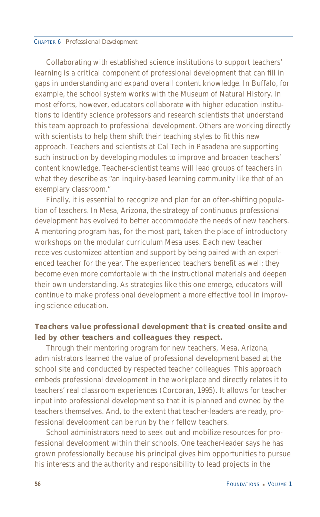Collaborating with established science institutions to support teachers' learning is a critical component of professional development that can fill in gaps in understanding and expand overall content knowledge. In Buffalo, for example, the school system works with the Museum of Natural History. In most efforts, however, educators collaborate with higher education institutions to identify science professors and research scientists that understand this team approach to professional development. Others are working directly with scientists to help them shift their teaching styles to fit this new approach. Teachers and scientists at Cal Tech in Pasadena are supporting such instruction by developing modules to improve and broaden teachers' content knowledge. Teacher-scientist teams will lead groups of teachers in what they describe as "an inquiry-based learning community like that of an exemplary classroom."

Finally, it is essential to recognize and plan for an often-shifting population of teachers. In Mesa, Arizona, the strategy of continuous professional development has evolved to better accommodate the needs of new teachers. A mentoring program has, for the most part, taken the place of introductory workshops on the modular curriculum Mesa uses. Each new teacher receives customized attention and support by being paired with an experienced teacher for the year. The experienced teachers benefit as well; they become even more comfortable with the instructional materials and deepen their own understanding. As strategies like this one emerge, educators will continue to make professional development a more effective tool in improving science education.

#### *Teachers value professional development that is created onsite and led by other teachers and colleagues they respect.*

Through their mentoring program for new teachers, Mesa, Arizona, administrators learned the value of professional development based at the school site and conducted by respected teacher colleagues. This approach embeds professional development in the workplace and directly relates it to teachers' real classroom experiences (Corcoran, 1995). It allows for teacher input into professional development so that it is planned and owned by the teachers themselves. And, to the extent that teacher-leaders are ready, professional development can be run by their fellow teachers.

School administrators need to seek out and mobilize resources for professional development within their schools. One teacher-leader says he has grown professionally because his principal gives him opportunities to pursue his interests and the authority and responsibility to lead projects in the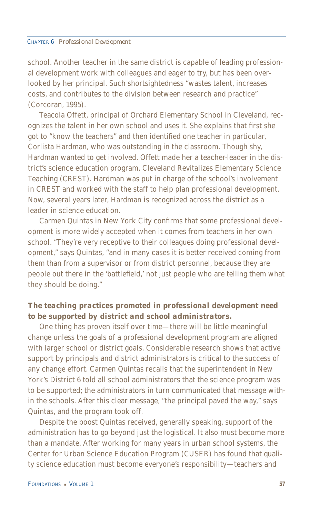school. Another teacher in the same district is capable of leading professional development work with colleagues and eager to try, but has been overlooked by her principal. Such shortsightedness "wastes talent, increases costs, and contributes to the division between research and practice" (Corcoran, 1995).

Teacola Offett, principal of Orchard Elementary School in Cleveland, recognizes the talent in her own school and uses it. She explains that first she got to "know the teachers" and then identified one teacher in particular, Corlista Hardman, who was outstanding in the classroom. Though shy, Hardman wanted to get involved. Offett made her a teacher-leader in the district's science education program, Cleveland Revitalizes Elementary Science Teaching (CREST). Hardman was put in charge of the school's involvement in CREST and worked with the staff to help plan professional development. Now, several years later, Hardman is recognized across the district as a leader in science education.

Carmen Quintas in New York City confirms that some professional development is more widely accepted when it comes from teachers in her own school. "They're very receptive to their colleagues doing professional development," says Quintas, "and in many cases it is better received coming from them than from a supervisor or from district personnel, because they are people out there in the 'battlefield,' not just people who are telling them what they should be doing."

#### *The teaching practices promoted in professional development need to be supported by district and school administrators.*

One thing has proven itself over time—there will be little meaningful change unless the goals of a professional development program are aligned with larger school or district goals. Considerable research shows that active support by principals and district administrators is critical to the success of any change effort. Carmen Quintas recalls that the superintendent in New York's District 6 told all school administrators that the science program was to be supported; the administrators in turn communicated that message within the schools. After this clear message, "the principal paved the way," says Quintas, and the program took off.

Despite the boost Quintas received, generally speaking, support of the administration has to go beyond just the logistical. It also must become more than a mandate. After working for many years in urban school systems, the Center for Urban Science Education Program (CUSER) has found that quality science education must become everyone's responsibility—teachers and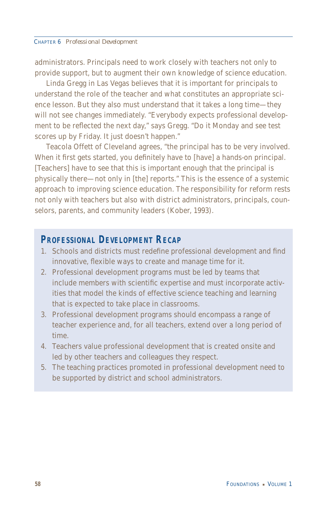administrators. Principals need to work closely with teachers not only to provide support, but to augment their own knowledge of science education.

Linda Gregg in Las Vegas believes that it is important for principals to understand the role of the teacher and what constitutes an appropriate science lesson. But they also must understand that it takes a long time—they will not see changes immediately. "Everybody expects professional development to be reflected the next day," says Gregg. "Do it Monday and see test scores up by Friday. It just doesn't happen."

Teacola Offett of Cleveland agrees, "the principal has to be very involved. When it first gets started, you definitely have to [have] a hands-on principal. [Teachers] have to see that this is important enough that the principal is physically there—not only in [the] reports." This is the essence of a systemic approach to improving science education. The responsibility for reform rests not only with teachers but also with district administrators, principals, counselors, parents, and community leaders (Kober, 1993).

#### **PROFESSIONAL DEVELOPMENT RECAP**

- 1. Schools and districts must redefine professional development and find innovative, flexible ways to create and manage time for it.
- 2. Professional development programs must be led by teams that include members with scientific expertise and must incorporate activities that model the kinds of effective science teaching and learning that is expected to take place in classrooms.
- 3. Professional development programs should encompass a range of teacher experience and, for all teachers, extend over a long period of time.
- 4. Teachers value professional development that is created onsite and led by other teachers and colleagues they respect.
- 5. The teaching practices promoted in professional development need to be supported by district and school administrators.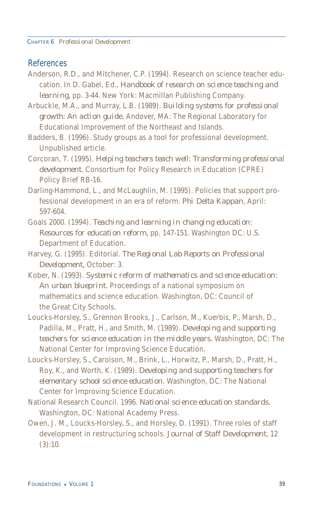#### References

- Anderson, R.D., and Mitchener, C.P. (1994). Research on science teacher education. In D. Gabel, Ed., *Handbook of research on science teaching and learning,* pp. 3-44. New York: Macmillan Publishing Company.
- Arbuckle, M.A., and Murray, L.B. (1989). *Building systems for professional growth: An action guide.* Andover, MA: The Regional Laboratory for Educational Improvement of the Northeast and Islands.
- Badders, B. (1996). Study groups as a tool for professional development. Unpublished article.
- Corcoran, T. (1995). *Helping teachers teach well: Transforming professional development.* Consortium for Policy Research in Education (CPRE) Policy Brief RB-16.
- Darling-Hammond, L., and McLaughlin, M. (1995). Policies that support professional development in an era of reform. *Phi Delta Kappan,* April: 597-604.
- Goals 2000. (1994). *Teaching and learning in changing education: Resources for education reform,* pp. 147-151. Washington DC: U.S. Department of Education.
- Harvey, G. (1995). Editorial. *The Regional Lab Reports on Professional Development,* October: 3.
- Kober, N. (1993). *Systemic reform of mathematics and science education: An urban blueprint.* Proceedings of a national symposium on mathematics and science education. Washington, DC: Council of the Great City Schools.
- Loucks-Horsley, S., Grennon Brooks, J., Carlson, M., Kuerbis, P., Marsh, D., Padilla, M., Pratt, H., and Smith, M. (1989). *Developing and supporting teachers for science education in the middle years.* Washington, DC: The National Center for Improving Science Education.
- Loucks-Horsley, S., Carolson, M., Brink, L., Horwitz, P., Marsh, D., Pratt, H., Roy, K., and Worth, K. (1989). *Developing and supporting teachers for elementary school science education.* Washington, DC: The National Center for Improving Science Education.
- National Research Council. 1996. *National science education standards.* Washington, DC: National Academy Press.
- Owen, J. M., Loucks-Horsley, S., and Horsley, D. (1991). Three roles of staff development in restructuring schools. *Journal of Staff Development,* 12 (3):10.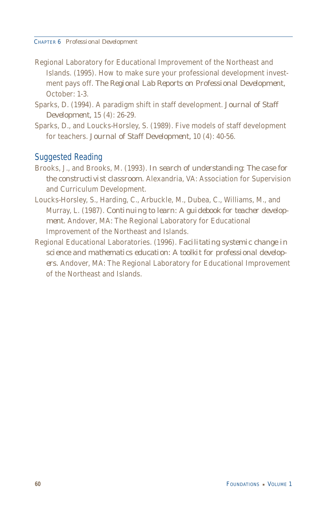- Regional Laboratory for Educational Improvement of the Northeast and Islands. (1995). How to make sure your professional development investment pays off. *The Regional Lab Reports on Professional Development,* October: 1-3.
- Sparks, D. (1994). A paradigm shift in staff development. *Journal of Staff Development,* 15 (4): 26-29.
- Sparks, D., and Loucks-Horsley, S. (1989). Five models of staff development for teachers. *Journal of Staff Development,* 10 (4): 40-56.

#### Suggested Reading

- Brooks, J., and Brooks, M. (1993). *In search of understanding: The case for the constructivist classroom.* Alexandria, VA: Association for Supervision and Curriculum Development.
- Loucks-Horsley, S., Harding, C., Arbuckle, M., Dubea, C., Williams, M., and Murray, L. (1987). *Continuing to learn: A guidebook for teacher development.* Andover, MA: The Regional Laboratory for Educational Improvement of the Northeast and Islands.
- Regional Educational Laboratories. (1996). *Facilitating systemic change in science and mathematics education: A toolkit for professional developers.* Andover, MA: The Regional Laboratory for Educational Improvement of the Northeast and Islands.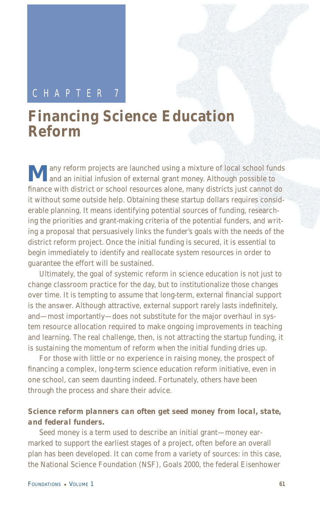## **Financing Science Education Reform**

**M** any reform projects are launched using a mixture of local school funds and an initial infusion of external grant money. Although possible to finance with district or school resources alone, many districts just cannot do it without some outside help. Obtaining these startup dollars requires considerable planning. It means identifying potential sources of funding, researching the priorities and grant-making criteria of the potential funders, and writing a proposal that persuasively links the funder's goals with the needs of the district reform project. Once the initial funding is secured, it is essential to begin immediately to identify and reallocate system resources in order to guarantee the effort will be sustained.

Ultimately, the goal of systemic reform in science education is not just to change classroom practice for the day, but to institutionalize those changes over time. It is tempting to assume that long-term, external financial support is the answer. Although attractive, external support rarely lasts indefinitely, and—most importantly—does not substitute for the major overhaul in system resource allocation required to make ongoing improvements in teaching and learning. The real challenge, then, is not attracting the startup funding, it is sustaining the momentum of reform when the initial funding dries up.

For those with little or no experience in raising money, the prospect of financing a complex, long-term science education reform initiative, even in one school, can seem daunting indeed. Fortunately, others have been through the process and share their advice.

#### *Science reform planners can often get seed money from local, state, and federal funders.*

Seed money is a term used to describe an initial grant—money earmarked to support the earliest stages of a project, often before an overall plan has been developed. It can come from a variety of sources: in this case, the National Science Foundation (NSF), Goals 2000, the federal Eisenhower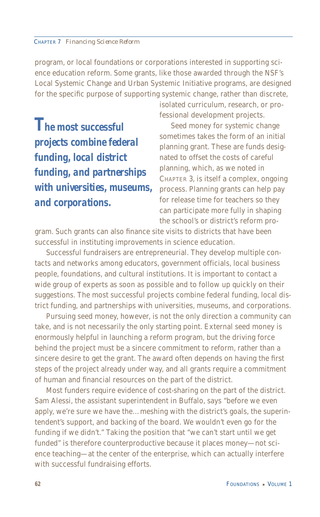program, or local foundations or corporations interested in supporting science education reform. Some grants, like those awarded through the NSF's Local Systemic Change and Urban Systemic Initiative programs, are designed for the specific purpose of supporting systemic change, rather than discrete,

*The most successful projects combine federal funding, local district funding, and partnerships with universities, museums, and corporations.*

isolated curriculum, research, or professional development projects.

Seed money for systemic change sometimes takes the form of an initial planning grant. These are funds designated to offset the costs of careful planning, which, as we noted in CHAPTER 3, is itself a complex, ongoing process. Planning grants can help pay for release time for teachers so they can participate more fully in shaping the school's or district's reform pro-

gram. Such grants can also finance site visits to districts that have been successful in instituting improvements in science education.

Successful fundraisers are entrepreneurial. They develop multiple contacts and networks among educators, government officials, local business people, foundations, and cultural institutions. It is important to contact a wide group of experts as soon as possible and to follow up quickly on their suggestions. The most successful projects combine federal funding, local district funding, and partnerships with universities, museums, and corporations.

Pursuing seed money, however, is not the only direction a community can take, and is not necessarily the only starting point. External seed money is enormously helpful in launching a reform program, but the driving force behind the project must be a sincere commitment to reform, rather than a sincere desire to get the grant. The award often depends on having the first steps of the project already under way, and all grants require a commitment of human and financial resources on the part of the district.

Most funders require evidence of cost-sharing on the part of the district. Sam Alessi, the assistant superintendent in Buffalo, says "before we even apply, we're sure we have the…meshing with the district's goals, the superintendent's support, and backing of the board. We wouldn't even go for the funding if we didn't." Taking the position that "we can't start until we get funded" is therefore counterproductive because it places money—not science teaching—at the center of the enterprise, which can actually interfere with successful fundraising efforts.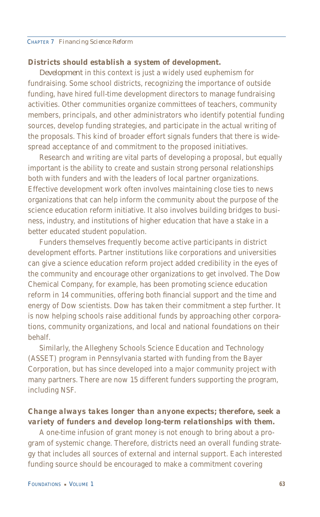#### *Districts should establish a system of development.*

*Development* in this context is just a widely used euphemism for fundraising. Some school districts, recognizing the importance of outside funding, have hired full-time development directors to manage fundraising activities. Other communities organize committees of teachers, community members, principals, and other administrators who identify potential funding sources, develop funding strategies, and participate in the actual writing of the proposals. This kind of broader effort signals funders that there is widespread acceptance of and commitment to the proposed initiatives.

Research and writing are vital parts of developing a proposal, but equally important is the ability to create and sustain strong personal relationships both with funders and with the leaders of local partner organizations. Effective development work often involves maintaining close ties to news organizations that can help inform the community about the purpose of the science education reform initiative. It also involves building bridges to business, industry, and institutions of higher education that have a stake in a better educated student population.

Funders themselves frequently become active participants in district development efforts. Partner institutions like corporations and universities can give a science education reform project added credibility in the eyes of the community and encourage other organizations to get involved. The Dow Chemical Company, for example, has been promoting science education reform in 14 communities, offering both financial support and the time and energy of Dow scientists. Dow has taken their commitment a step further. It is now helping schools raise additional funds by approaching other corporations, community organizations, and local and national foundations on their behalf.

Similarly, the Allegheny Schools Science Education and Technology (ASSET) program in Pennsylvania started with funding from the Bayer Corporation, but has since developed into a major community project with many partners. There are now 15 different funders supporting the program, including NSF.

#### *Change always takes longer than anyone expects; therefore, seek a variety of funders and develop long-term relationships with them.*

A one-time infusion of grant money is not enough to bring about a program of systemic change. Therefore, districts need an overall funding strategy that includes all sources of external and internal support. Each interested funding source should be encouraged to make a commitment covering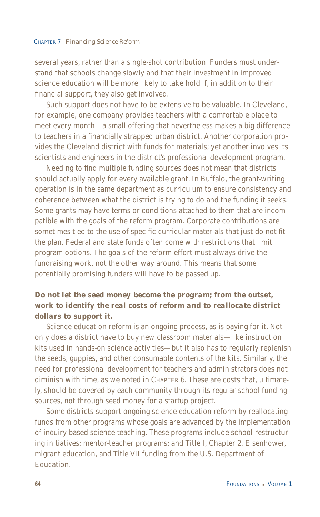several years, rather than a single-shot contribution. Funders must understand that schools change slowly and that their investment in improved science education will be more likely to take hold if, in addition to their financial support, they also get involved.

Such support does not have to be extensive to be valuable. In Cleveland, for example, one company provides teachers with a comfortable place to meet every month—a small offering that nevertheless makes a big difference to teachers in a financially strapped urban district. Another corporation provides the Cleveland district with funds for materials; yet another involves its scientists and engineers in the district's professional development program.

Needing to find multiple funding sources does not mean that districts should actually apply for every available grant. In Buffalo, the grant-writing operation is in the same department as curriculum to ensure consistency and coherence between what the district is trying to do and the funding it seeks. Some grants may have terms or conditions attached to them that are incompatible with the goals of the reform program. Corporate contributions are sometimes tied to the use of specific curricular materials that just do not fit the plan. Federal and state funds often come with restrictions that limit program options. The goals of the reform effort must always drive the fundraising work, not the other way around. This means that some potentially promising funders will have to be passed up.

## *Do not let the seed money become the program; from the outset, work to identify the real costs of reform and to reallocate district dollars to support it.*

Science education reform is an ongoing process, as is paying for it. Not only does a district have to buy new classroom materials—like instruction kits used in hands-on science activities—but it also has to regularly replenish the seeds, guppies, and other consumable contents of the kits. Similarly, the need for professional development for teachers and administrators does not diminish with time, as we noted in CHAPTER 6. These are costs that, ultimately, should be covered by each community through its regular school funding sources, not through seed money for a startup project.

Some districts support ongoing science education reform by reallocating funds from other programs whose goals are advanced by the implementation of inquiry-based science teaching. These programs include school-restructuring initiatives; mentor-teacher programs; and Title I, Chapter 2, Eisenhower, migrant education, and Title VII funding from the U.S. Department of Education.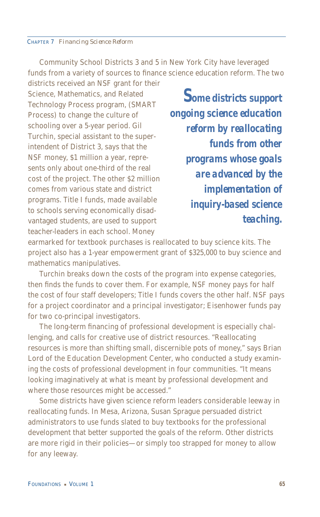Community School Districts 3 and 5 in New York City have leveraged funds from a variety of sources to finance science education reform. The two

districts received an NSF grant for their Science, Mathematics, and Related Technology Process program, (SMART Process) to change the culture of schooling over a 5-year period. Gil Turchin, special assistant to the superintendent of District 3, says that the NSF money, \$1 million a year, represents only about one-third of the real cost of the project. The other \$2 million comes from various state and district programs. Title I funds, made available to schools serving economically disadvantaged students, are used to support teacher-leaders in each school. Money

*Some districts support ongoing science education reform by reallocating funds from other programs whose goals are advanced by the implementation of inquiry-based science teaching.*

earmarked for textbook purchases is reallocated to buy science kits. The project also has a 1-year empowerment grant of \$325,000 to buy science and mathematics manipulatives.

Turchin breaks down the costs of the program into expense categories, then finds the funds to cover them. For example, NSF money pays for half the cost of four staff developers; Title I funds covers the other half. NSF pays for a project coordinator and a principal investigator; Eisenhower funds pay for two co-principal investigators.

The long-term financing of professional development is especially challenging, and calls for creative use of district resources. "Reallocating resources is more than shifting small, discernible pots of money," says Brian Lord of the Education Development Center, who conducted a study examining the costs of professional development in four communities. "It means looking imaginatively at what is meant by professional development and where those resources might be accessed."

Some districts have given science reform leaders considerable leeway in reallocating funds. In Mesa, Arizona, Susan Sprague persuaded district administrators to use funds slated to buy textbooks for the professional development that better supported the goals of the reform. Other districts are more rigid in their policies—or simply too strapped for money to allow for any leeway.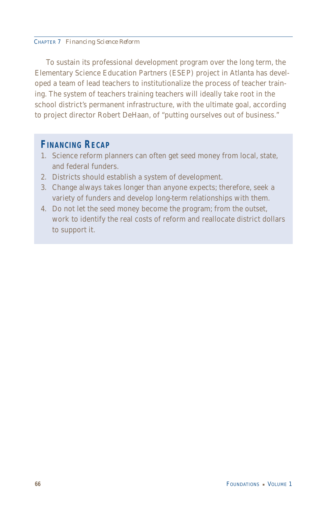To sustain its professional development program over the long term, the Elementary Science Education Partners (ESEP) project in Atlanta has developed a team of lead teachers to institutionalize the process of teacher training. The system of teachers training teachers will ideally take root in the school district's permanent infrastructure, with the ultimate goal, according to project director Robert DeHaan, of "putting ourselves out of business."

## **FINANCING RECAP**

- 1. Science reform planners can often get seed money from local, state, and federal funders.
- 2. Districts should establish a system of development.
- 3. Change always takes longer than anyone expects; therefore, seek a variety of funders and develop long-term relationships with them.
- 4. Do not let the seed money become the program; from the outset, work to identify the real costs of reform and reallocate district dollars to support it.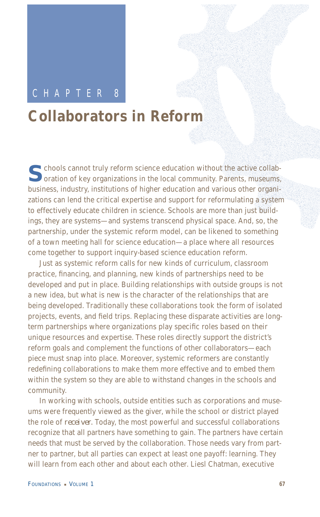## C H A P T E R 8

## **Collaborators in Reform**

Chools cannot truly reform science education without the active collab-**O** oration of key organizations in the local community. Parents, museums, business, industry, institutions of higher education and various other organizations can lend the critical expertise and support for reformulating a system to effectively educate children in science. Schools are more than just buildings, they are systems—and systems transcend physical space. And, so, the partnership, under the systemic reform model, can be likened to something of a town meeting hall for science education—a place where all resources come together to support inquiry-based science education reform.

Just as systemic reform calls for new kinds of curriculum, classroom practice, financing, and planning, new kinds of partnerships need to be developed and put in place. Building relationships with outside groups is not a new idea, but what is new is the character of the relationships that are being developed. Traditionally these collaborations took the form of isolated projects, events, and field trips. Replacing these disparate activities are longterm partnerships where organizations play specific roles based on their unique resources and expertise. These roles directly support the district's reform goals and complement the functions of other collaborators—each piece must snap into place. Moreover, systemic reformers are constantly redefining collaborations to make them more effective and to embed them within the system so they are able to withstand changes in the schools and community.

In working with schools, outside entities such as corporations and museums were frequently viewed as the giver, while the school or district played the role of *receiver.* Today, the most powerful and successful collaborations recognize that all partners have something to gain. The partners have certain needs that must be served by the collaboration. Those needs vary from partner to partner, but all parties can expect at least one payoff: learning. They will learn from each other and about each other. Liesl Chatman, executive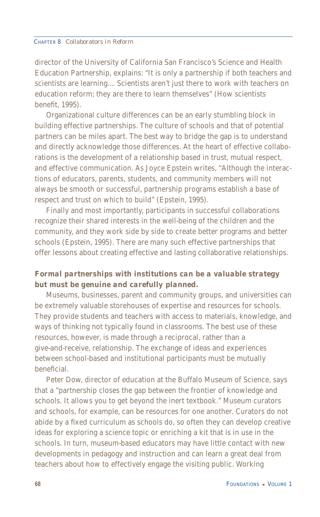director of the University of California San Francisco's Science and Health Education Partnership, explains: "It is only a partnership if both teachers and scientists are learning.... Scientists aren't just there to work with teachers on education reform; they are there to learn themselves" (How scientists benefit, 1995).

Organizational culture differences can be an early stumbling block in building effective partnerships. The culture of schools and that of potential partners can be miles apart. The best way to bridge the gap is to understand and directly acknowledge those differences. At the heart of effective collaborations is the development of a relationship based in trust, mutual respect, and effective communication. As Joyce Epstein writes, "Although the interactions of educators, parents, students, and community members will not always be smooth or successful, partnership programs establish a base of respect and trust on which to build" (Epstein, 1995).

Finally and most importantly, participants in successful collaborations recognize their shared interests in the well-being of the children and the community, and they work side by side to create better programs and better schools (Epstein, 1995). There are many such effective partnerships that offer lessons about creating effective and lasting collaborative relationships.

## *Formal partnerships with institutions can be a valuable strategy but must be genuine and carefully planned.*

Museums, businesses, parent and community groups, and universities can be extremely valuable storehouses of expertise and resources for schools. They provide students and teachers with access to materials, knowledge, and ways of thinking not typically found in classrooms. The best use of these resources, however, is made through a reciprocal, rather than a give-and-receive, relationship. The exchange of ideas and experiences between school-based and institutional participants must be mutually beneficial.

Peter Dow, director of education at the Buffalo Museum of Science, says that a "partnership closes the gap between the frontier of knowledge and schools. It allows you to get beyond the inert textbook." Museum curators and schools, for example, can be resources for one another. Curators do not abide by a fixed curriculum as schools do, so often they can develop creative ideas for exploring a science topic or enriching a kit that is in use in the schools. In turn, museum-based educators may have little contact with new developments in pedagogy and instruction and can learn a great deal from teachers about how to effectively engage the visiting public. Working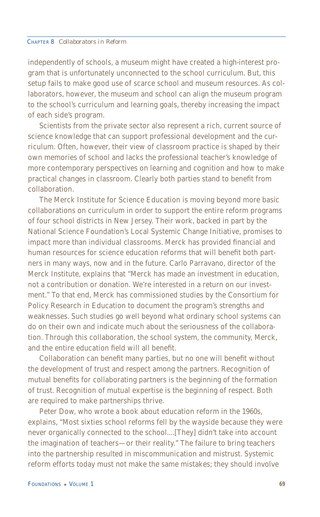independently of schools, a museum might have created a high-interest program that is unfortunately unconnected to the school curriculum. But, this setup fails to make good use of scarce school and museum resources. As collaborators, however, the museum and school can align the museum program to the school's curriculum and learning goals, thereby increasing the impact of each side's program.

Scientists from the private sector also represent a rich, current source of science knowledge that can support professional development and the curriculum. Often, however, their view of classroom practice is shaped by their own memories of school and lacks the professional teacher's knowledge of more contemporary perspectives on learning and cognition and how to make practical changes in classroom. Clearly both parties stand to benefit from collaboration.

The Merck Institute for Science Education is moving beyond more basic collaborations on curriculum in order to support the entire reform programs of four school districts in New Jersey. Their work, backed in part by the National Science Foundation's Local Systemic Change Initiative, promises to impact more than individual classrooms. Merck has provided financial and human resources for science education reforms that will benefit both partners in many ways, now and in the future. Carlo Parravano, director of the Merck Institute, explains that "Merck has made an investment in education, not a contribution or donation. We're interested in a return on our investment." To that end, Merck has commissioned studies by the Consortium for Policy Research in Education to document the program's strengths and weaknesses. Such studies go well beyond what ordinary school systems can do on their own and indicate much about the seriousness of the collaboration. Through this collaboration, the school system, the community, Merck, and the entire education field will all benefit.

Collaboration can benefit many parties, but no one will benefit without the development of trust and respect among the partners. Recognition of mutual benefits for collaborating partners is the beginning of the formation of trust. Recognition of mutual expertise is the beginning of respect. Both are required to make partnerships thrive.

Peter Dow, who wrote a book about education reform in the 1960s, explains, "Most sixties school reforms fell by the wayside because they were never organically connected to the school....[They] didn't take into account the imagination of teachers—or their reality." The failure to bring teachers into the partnership resulted in miscommunication and mistrust. Systemic reform efforts today must not make the same mistakes; they should involve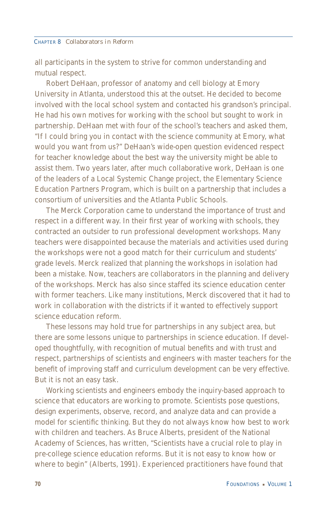all participants in the system to strive for common understanding and mutual respect.

Robert DeHaan, professor of anatomy and cell biology at Emory University in Atlanta, understood this at the outset. He decided to become involved with the local school system and contacted his grandson's principal. He had his own motives for working with the school but sought to work in partnership. DeHaan met with four of the school's teachers and asked them, "If I could bring you in contact with the science community at Emory, what would you want from us?" DeHaan's wide-open question evidenced respect for teacher knowledge about the best way the university might be able to assist them. Two years later, after much collaborative work, DeHaan is one of the leaders of a Local Systemic Change project, the Elementary Science Education Partners Program, which is built on a partnership that includes a consortium of universities and the Atlanta Public Schools.

The Merck Corporation came to understand the importance of trust and respect in a different way. In their first year of working with schools, they contracted an outsider to run professional development workshops. Many teachers were disappointed because the materials and activities used during the workshops were not a good match for their curriculum and students' grade levels. Merck realized that planning the workshops in isolation had been a mistake. Now, teachers are collaborators in the planning and delivery of the workshops. Merck has also since staffed its science education center with former teachers. Like many institutions, Merck discovered that it had to work in collaboration with the districts if it wanted to effectively support science education reform.

These lessons may hold true for partnerships in any subject area, but there are some lessons unique to partnerships in science education. If developed thoughtfully, with recognition of mutual benefits and with trust and respect, partnerships of scientists and engineers with master teachers for the benefit of improving staff and curriculum development can be very effective. But it is not an easy task.

Working scientists and engineers embody the inquiry-based approach to science that educators are working to promote. Scientists pose questions, design experiments, observe, record, and analyze data and can provide a model for scientific thinking. But they do not always know how best to work with children and teachers. As Bruce Alberts, president of the National Academy of Sciences, has written, "Scientists have a crucial role to play in pre-college science education reforms. But it is not easy to know how or where to begin" (Alberts, 1991). Experienced practitioners have found that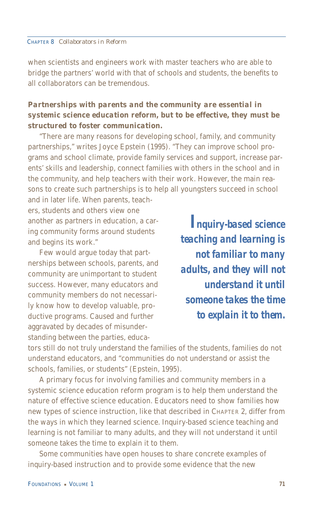when scientists and engineers work with master teachers who are able to bridge the partners' world with that of schools and students, the benefits to all collaborators can be tremendous.

## *Partnerships with parents and the community are essential in systemic science education reform, but to be effective, they must be structured to foster communication.*

"There are many reasons for developing school, family, and community partnerships," writes Joyce Epstein (1995). "They can improve school programs and school climate, provide family services and support, increase parents' skills and leadership, connect families with others in the school and in the community, and help teachers with their work. However, the main reasons to create such partnerships is to help all youngsters succeed in school

and in later life. When parents, teachers, students and others view one another as partners in education, a caring community forms around students and begins its work."

Few would argue today that partnerships between schools, parents, and community are unimportant to student success. However, many educators and community members do not necessarily know how to develop valuable, productive programs. Caused and further aggravated by decades of misunderstanding between the parties, educa-

*Inquiry-based science teaching and learning is not familiar to many adults, and they will not understand it until someone takes the time to explain it to them.*

tors still do not truly understand the families of the students, families do not understand educators, and "communities do not understand or assist the schools, families, or students" (Epstein, 1995).

A primary focus for involving families and community members in a systemic science education reform program is to help them understand the nature of effective science education. Educators need to show families how new types of science instruction, like that described in CHAPTER 2, differ from the ways in which they learned science. Inquiry-based science teaching and learning is not familiar to many adults, and they will not understand it until someone takes the time to explain it to them.

Some communities have open houses to share concrete examples of inquiry-based instruction and to provide some evidence that the new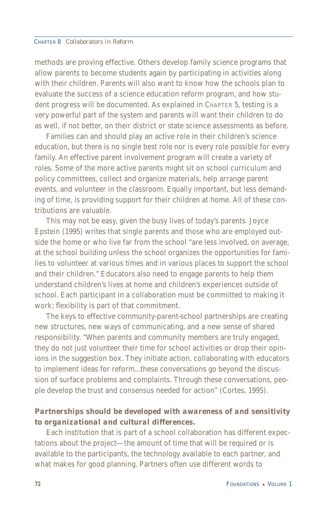methods are proving effective. Others develop family science programs that allow parents to become students again by participating in activities along with their children. Parents will also want to know how the schools plan to evaluate the success of a science education reform program, and how student progress will be documented. As explained in CHAPTER 5, testing is a very powerful part of the system and parents will want their children to do as well, if not better, on their district or state science assessments as before.

Families can and should play an active role in their children's science education, but there is no single best role nor is every role possible for every family. An effective parent involvement program will create a variety of roles. Some of the more active parents might sit on school curriculum and policy committees, collect and organize materials, help arrange parent events, and volunteer in the classroom. Equally important, but less demanding of time, is providing support for their children at home. All of these contributions are valuable.

This may not be easy, given the busy lives of today's parents. Joyce Epstein (1995) writes that single parents and those who are employed outside the home or who live far from the school "are less involved, on average, at the school building unless the school organizes the opportunities for families to volunteer at various times and in various places to support the school and their children." Educators also need to engage parents to help them understand children's lives at home and children's experiences outside of school. Each participant in a collaboration must be committed to making it work; flexibility is part of that commitment.

The keys to effective community-parent-school partnerships are creating new structures, new ways of communicating, and a new sense of shared responsibility. "When parents and community members are truly engaged, they do not just volunteer their time for school activities or drop their opinions in the suggestion box. They initiate action, collaborating with educators to implement ideas for reform...these conversations go beyond the discussion of surface problems and complaints. Through these conversations, people develop the trust and consensus needed for action" (Cortes, 1995).

## *Partnerships should be developed with awareness of and sensitivity to organizational and cultural differences.*

Each institution that is part of a school collaboration has different expectations about the project—the amount of time that will be required or is available to the participants, the technology available to each partner, and what makes for good planning. Partners often use different words to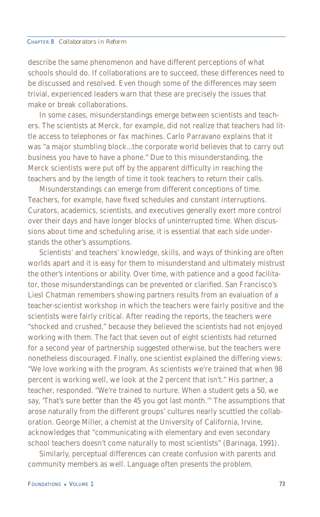describe the same phenomenon and have different perceptions of what schools should do. If collaborations are to succeed, these differences need to be discussed and resolved. Even though some of the differences may seem trivial, experienced leaders warn that these are precisely the issues that make or break collaborations.

In some cases, misunderstandings emerge between scientists and teachers. The scientists at Merck, for example, did not realize that teachers had little access to telephones or fax machines. Carlo Parravano explains that it was "a major stumbling block...the corporate world believes that to carry out business you have to have a phone." Due to this misunderstanding, the Merck scientists were put off by the apparent difficulty in reaching the teachers and by the length of time it took teachers to return their calls.

Misunderstandings can emerge from different conceptions of time. Teachers, for example, have fixed schedules and constant interruptions. Curators, academics, scientists, and executives generally exert more control over their days and have longer blocks of uninterrupted time. When discussions about time and scheduling arise, it is essential that each side understands the other's assumptions.

Scientists' and teachers' knowledge, skills, and ways of thinking are often worlds apart and it is easy for them to misunderstand and ultimately mistrust the other's intentions or ability. Over time, with patience and a good facilitator, those misunderstandings can be prevented or clarified. San Francisco's Liesl Chatman remembers showing partners results from an evaluation of a teacher-scientist workshop in which the teachers were fairly positive and the scientists were fairly critical. After reading the reports, the teachers were "shocked and crushed," because they believed the scientists had not enjoyed working with them. The fact that seven out of eight scientists had returned for a second year of partnership suggested otherwise, but the teachers were nonetheless discouraged. Finally, one scientist explained the differing views: "We love working with the program. As scientists we're trained that when 98 percent is working well, we look at the 2 percent that isn't." His partner, a teacher, responded. "We're trained to nurture. When a student gets a 50, we say, 'That's sure better than the 45 you got last month.'" The assumptions that arose naturally from the different groups' cultures nearly scuttled the collaboration. George Miller, a chemist at the University of California, Irvine, acknowledges that "communicating with elementary and even secondary school teachers doesn't come naturally to most scientists" (Barinaga, 1991).

Similarly, perceptual differences can create confusion with parents and community members as well. Language often presents the problem.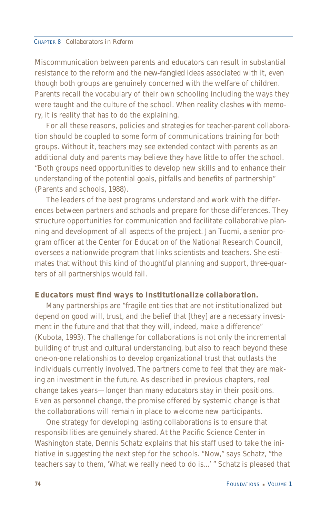Miscommunication between parents and educators can result in substantial resistance to the reform and the *new-fangled* ideas associated with it, even though both groups are genuinely concerned with the welfare of children. Parents recall the vocabulary of their own schooling including the ways they were taught and the culture of the school. When reality clashes with memory, it is reality that has to do the explaining.

For all these reasons, policies and strategies for teacher-parent collaboration should be coupled to some form of communications training for both groups. Without it, teachers may see extended contact with parents as an additional duty and parents may believe they have little to offer the school. "Both groups need opportunities to develop new skills and to enhance their understanding of the potential goals, pitfalls and benefits of partnership" (Parents and schools, 1988).

The leaders of the best programs understand and work with the differences between partners and schools and prepare for those differences. They structure opportunities for communication and facilitate collaborative planning and development of all aspects of the project. Jan Tuomi, a senior program officer at the Center for Education of the National Research Council, oversees a nationwide program that links scientists and teachers. She estimates that without this kind of thoughtful planning and support, three-quarters of all partnerships would fail.

#### *Educators must find ways to institutionalize collaboration.*

Many partnerships are "fragile entities that are not institutionalized but depend on good will, trust, and the belief that [they] are a necessary investment in the future and that that they will, indeed, make a difference" (Kubota, 1993). The challenge for collaborations is not only the incremental building of trust and *cultural* understanding, but also to reach beyond these one-on-one relationships to develop organizational trust that outlasts the individuals currently involved. The partners come to feel that they are making an investment in the future. As described in previous chapters, real change takes years—longer than many educators stay in their positions. Even as personnel change, the promise offered by systemic change is that the collaborations will remain in place to welcome new participants.

One strategy for developing lasting collaborations is to ensure that responsibilities are genuinely shared. At the Pacific Science Center in Washington state, Dennis Schatz explains that his staff used to take the initiative in suggesting the next step for the schools. "Now," says Schatz, "the teachers say to them, 'What we really need to do is...' " Schatz is pleased that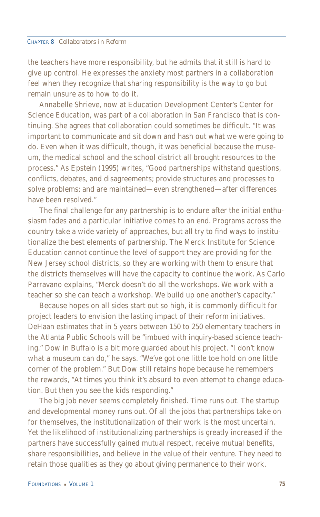the teachers have more responsibility, but he admits that it still is hard to give up control. He expresses the anxiety most partners in a collaboration feel when they recognize that sharing responsibility is the way to go but remain unsure as to how to do it.

Annabelle Shrieve, now at Education Development Center's Center for Science Education, was part of a collaboration in San Francisco that is continuing. She agrees that collaboration could sometimes be difficult. "It was important to communicate and sit down and hash out what we were going to do. Even when it was difficult, though, it was beneficial because the museum, the medical school and the school district all brought resources to the process." As Epstein (1995) writes, "Good partnerships withstand questions, conflicts, debates, and disagreements; provide structures and processes to solve problems; and are maintained—even strengthened—after differences have been resolved."

The final challenge for any partnership is to endure after the initial enthusiasm fades and a particular initiative comes to an end. Programs across the country take a wide variety of approaches, but all try to find ways to institutionalize the best elements of partnership. The Merck Institute for Science Education cannot continue the level of support they are providing for the New Jersey school districts, so they are working with them to ensure that the districts themselves will have the capacity to continue the work. As Carlo Parravano explains, "Merck doesn't do all the workshops. We work with a teacher so she can teach a workshop. We build up one another's capacity."

Because hopes on all sides start out so high, it is commonly difficult for project leaders to envision the lasting impact of their reform initiatives. DeHaan estimates that in 5 years between 150 to 250 elementary teachers in the Atlanta Public Schools will be "imbued with inquiry-based science teaching." Dow in Buffalo is a bit more guarded about his project. "I don't know what a museum can do," he says. "We've got one little toe hold on one little corner of the problem." But Dow still retains hope because he remembers the rewards, "At times you think it's absurd to even attempt to change education. But then you see the kids responding."

The big job never seems completely finished. Time runs out. The startup and developmental money runs out. Of all the jobs that partnerships take on for themselves, the institutionalization of their work is the most uncertain. Yet the likelihood of institutionalizing partnerships is greatly increased if the partners have successfully gained mutual respect, receive mutual benefits, share responsibilities, and believe in the value of their venture. They need to retain those qualities as they go about giving permanence to their work.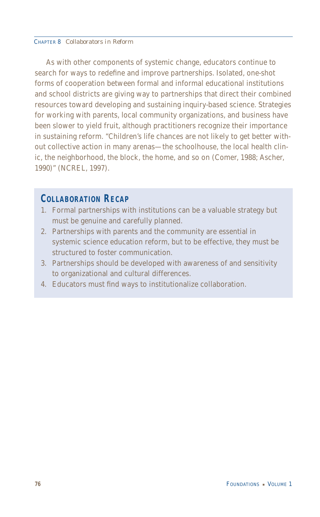As with other components of systemic change, educators continue to search for ways to redefine and improve partnerships. Isolated, one-shot forms of cooperation between formal and informal educational institutions and school districts are giving way to partnerships that direct their combined resources toward developing and sustaining inquiry-based science. Strategies for working with parents, local community organizations, and business have been slower to yield fruit, although practitioners recognize their importance in sustaining reform. "Children's life chances are not likely to get better without collective action in many arenas—the schoolhouse, the local health clinic, the neighborhood, the block, the home, and so on (Comer, 1988; Ascher, 1990)" (NCREL, 1997).

## **COLLABORATION RECAP**

- 1. Formal partnerships with institutions can be a valuable strategy but must be genuine and carefully planned.
- 2. Partnerships with parents and the community are essential in systemic science education reform, but to be effective, they must be structured to foster communication.
- 3. Partnerships should be developed with awareness of and sensitivity to organizational and cultural differences.
- 4. Educators must find ways to institutionalize collaboration.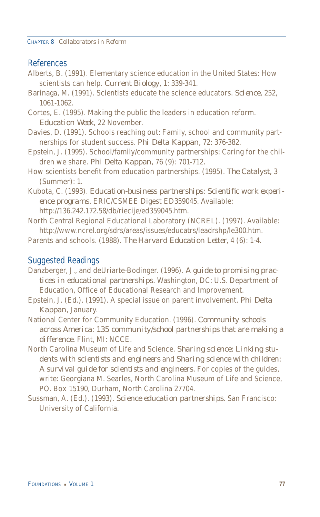#### References

- Alberts, B. (1991). Elementary science education in the United States: How scientists can help. *Current Biology,* 1: 339-341.
- Barinaga, M. (1991). Scientists educate the science educators. *Science,* 252, 1061-1062.
- Cortes, E. (1995). Making the public the leaders in education reform. *Education Week,* 22 November.
- Davies, D. (1991). Schools reaching out: Family, school and community partnerships for student success. *Phi Delta Kappan,* 72: 376-382.
- Epstein, J. (1995). School/family/community partnerships: Caring for the children we share. *Phi Delta Kappan,* 76 (9): 701-712.
- How scientists benefit from education partnerships. (1995). *The Catalyst,* 3 (Summer): 1.
- Kubota, C. (1993). *Education-business partnerships: Scientific work experience programs.* ERIC/CSMEE Digest ED359045. Available: http://136.242.172.58/db/riecije/ed359045.htm.
- North Central Regional Educational Laboratory (NCREL). (1997). Available: http://www.ncrel.org/sdrs/areas/issues/educatrs/leadrshp/le300.htm.
- Parents and schools. (1988). *The Harvard Education Letter,* 4 (6): 1-4.

#### Suggested Readings

- Danzberger, J., and deUriarte-Bodinger. (1996). *A guide to promising practices in educational partnerships.* Washington, DC: U.S. Department of Education, Office of Educational Research and Improvement.
- Epstein, J. (Ed.). (1991). A special issue on parent involvement. *Phi Delta Kappan,* January.
- National Center for Community Education. (1996). *Community schools across America: 135 community/school partnerships that are making a difference.* Flint, MI: NCCE.
- North Carolina Museum of Life and Science. *Sharing science: Linking students with scientists and engineers* and *Sharing science with children: A survival guide for scientists and engineers.* For copies of the guides, write: Georgiana M. Searles, North Carolina Museum of Life and Science, PO. Box 15190, Durham, North Carolina 27704.
- Sussman, A. (Ed.). (1993). *Science education partnerships.* San Francisco: University of California.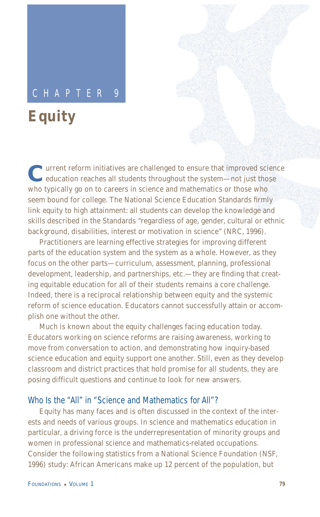## C H A P T E R 9

# **Equity**

Current reform initiatives are challenged to ensure that improved science education reaches all students throughout the system—not just those who typically go on to careers in science and mathematics or those who seem bound for college. The National Science Education Standards firmly link equity to high attainment: all students can develop the knowledge and skills described in the Standards "regardless of age, gender, cultural or ethnic background, disabilities, interest or motivation in science" (NRC, 1996).

Practitioners are learning effective strategies for improving different parts of the education system and the system as a whole. However, as they focus on the other parts—curriculum, assessment, planning, professional development, leadership, and partnerships, etc.—they are finding that creating equitable education for all of their students remains a core challenge. Indeed, there is a reciprocal relationship between equity and the systemic reform of science education. Educators cannot successfully attain or accomplish one without the other.

Much is known about the equity challenges facing education today. Educators working on science reforms are raising awareness, working to move from conversation to action, and demonstrating how inquiry-based science education and equity support one another. Still, even as they develop classroom and district practices that hold promise for all students, they are posing difficult questions and continue to look for new answers.

## Who Is the "All" in "Science and Mathematics for All"?

Equity has many faces and is often discussed in the context of the interests and needs of various groups. In science and mathematics education in particular, a driving force is the underrepresentation of minority groups and women in professional science and mathematics-related occupations. Consider the following statistics from a National Science Foundation (NSF, 1996) study: African Americans make up 12 percent of the population, but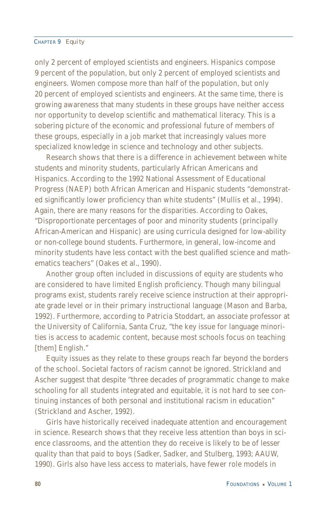#### CHAPTER 9 *Equity*

only 2 percent of employed scientists and engineers. Hispanics compose 9 percent of the population, but only 2 percent of employed scientists and engineers. Women compose more than half of the population, but only 20 percent of employed scientists and engineers. At the same time, there is growing awareness that many students in these groups have neither access nor opportunity to develop scientific and mathematical literacy. This is a sobering picture of the economic and professional future of members of these groups, especially in a job market that increasingly values more specialized knowledge in science and technology and other subjects.

Research shows that there is a difference in achievement between white students and minority students, particularly African Americans and Hispanics. According to the 1992 National Assessment of Educational Progress (NAEP) both African American and Hispanic students "demonstrated significantly lower proficiency than white students" (Mullis et al., 1994). Again, there are many reasons for the disparities. According to Oakes, "Disproportionate percentages of poor and minority students (principally African-American and Hispanic) are using curricula designed for low-ability or non-college bound students. Furthermore, in general, low-income and minority students have less contact with the best qualified science and mathematics teachers" (Oakes et al., 1990).

Another group often included in discussions of equity are students who are considered to have limited English proficiency. Though many bilingual programs exist, students rarely receive science instruction at their appropriate grade level or in their primary instructional language (Mason and Barba, 1992). Furthermore, according to Patricia Stoddart, an associate professor at the University of California, Santa Cruz, "the key issue for language minorities is access to academic content, because most schools focus on teaching [them] English."

Equity issues as they relate to these groups reach far beyond the borders of the school. Societal factors of racism cannot be ignored. Strickland and Ascher suggest that despite "three decades of programmatic change to make schooling for all students integrated and equitable, it is not hard to see continuing instances of both personal and institutional racism in education" (Strickland and Ascher, 1992).

Girls have historically received inadequate attention and encouragement in science. Research shows that they receive less attention than boys in science classrooms, and the attention they do receive is likely to be of lesser quality than that paid to boys (Sadker, Sadker, and Stulberg, 1993; AAUW, 1990). Girls also have less access to materials, have fewer role models in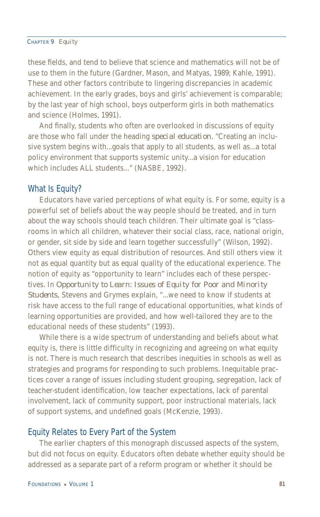#### CHAPTER 9 *Equity*

these fields, and tend to believe that science and mathematics will not be of use to them in the future (Gardner, Mason, and Matyas, 1989; Kahle, 1991). These and other factors contribute to lingering discrepancies in academic achievement. In the early grades, boys and girls' achievement is comparable; by the last year of high school, boys outperform girls in both mathematics and science (Holmes, 1991).

And finally, students who often are overlooked in discussions of equity are those who fall under the heading *special education.* "Creating an inclusive system begins with...goals that apply to all students, as well as...a total policy environment that supports systemic unity...a vision for education which includes ALL students..." (NASBE, 1992).

## What Is Equity?

Educators have varied perceptions of what equity is. For some, equity is a powerful set of beliefs about the way people should be treated, and in turn about the way schools should teach children. Their ultimate goal is "classrooms in which all children, whatever their social class, race, national origin, or gender, sit side by side and learn together successfully" (Wilson, 1992). Others view equity as equal distribution of resources. And still others view it not as equal quantity but as equal quality of the educational experience. The notion of equity as "opportunity to learn" includes each of these perspectives. In *Opportunity to Learn: Issues of Equity for Poor and Minority Students,* Stevens and Grymes explain, "...we need to know if students at risk have access to the full range of educational opportunities, what kinds of learning opportunities are provided, and how well-tailored they are to the educational needs of these students" (1993).

While there is a wide spectrum of understanding and beliefs about what equity is, there is little difficulty in recognizing and agreeing on what equity is not. There is much research that describes inequities in schools as well as strategies and programs for responding to such problems. Inequitable practices cover a range of issues including student grouping, segregation, lack of teacher-student identification, low teacher expectations, lack of parental involvement, lack of community support, poor instructional materials, lack of support systems, and undefined goals (McKenzie, 1993).

## Equity Relates to Every Part of the System

The earlier chapters of this monograph discussed aspects of the system, but did not focus on equity. Educators often debate whether equity should be addressed as a separate part of a reform program or whether it should be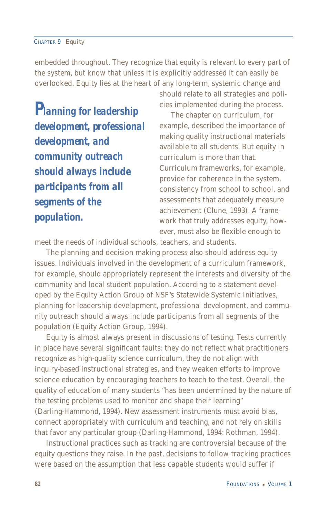embedded throughout. They recognize that equity is relevant to every part of the system, but know that unless it is explicitly addressed it can easily be overlooked. Equity lies at the heart of any long-term, systemic change and

*Planning for leadership development, professional development, and community outreach should always include participants from all segments of the population.*

should relate to all strategies and policies implemented during the process.

The chapter on curriculum, for example, described the importance of making quality instructional materials available to all students. But equity in curriculum is more than that. Curriculum frameworks, for example, provide for coherence in the system, consistency from school to school, and assessments that adequately measure achievement (Clune, 1993). A framework that truly addresses equity, however, must also be flexible enough to

meet the needs of individual schools, teachers, and students.

The planning and decision making process also should address equity issues. Individuals involved in the development of a curriculum framework, for example, should appropriately represent the interests and diversity of the community and local student population. According to a statement developed by the Equity Action Group of NSF's Statewide Systemic Initiatives, planning for leadership development, professional development, and community outreach should always include participants from all segments of the population (Equity Action Group, 1994).

Equity is almost always present in discussions of testing. Tests currently in place have several significant faults: they do not reflect what practitioners recognize as high-quality science curriculum, they do not align with inquiry-based instructional strategies, and they weaken efforts to improve science education by encouraging teachers to teach to the test. Overall, the quality of education of many students "has been undermined by the nature of the testing problems used to monitor and shape their learning" (Darling-Hammond, 1994). New assessment instruments must avoid bias, connect appropriately with curriculum and teaching, and not rely on skills that favor any particular group (Darling-Hammond, 1994: Rothman, 1994).

Instructional practices such as tracking are controversial because of the equity questions they raise. In the past, decisions to follow tracking practices were based on the assumption that less capable students would suffer if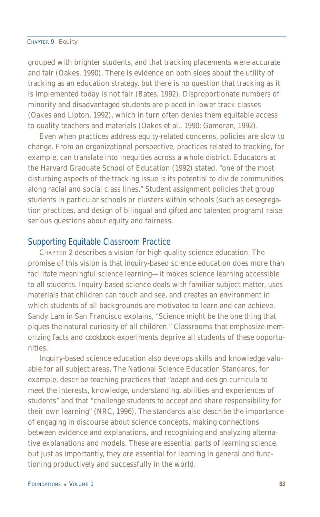grouped with brighter students, and that tracking placements were accurate and fair (Oakes, 1990). There is evidence on both sides about the utility of tracking as an education strategy, but there is no question that tracking as it is implemented today is not fair (Bates, 1992). Disproportionate numbers of minority and disadvantaged students are placed in lower track classes (Oakes and Lipton, 1992), which in turn often denies them equitable access to quality teachers and materials (Oakes et al., 1990; Gamoran, 1992).

Even when practices address equity-related concerns, policies are slow to change. From an organizational perspective, practices related to tracking, for example, can translate into inequities across a whole district. Educators at the Harvard Graduate School of Education (1992) stated, "one of the most disturbing aspects of the tracking issue is its potential to divide communities along racial and social class lines." Student assignment policies that group students in particular schools or clusters within schools (such as desegregation practices, and design of bilingual and gifted and talented program) raise serious questions about equity and fairness.

## Supporting Equitable Classroom Practice

CHAPTER 2 describes a vision for high-quality science education. The promise of this vision is that inquiry-based science education does more than facilitate meaningful science learning—it makes science learning accessible to all students. Inquiry-based science deals with familiar subject matter, uses materials that children can touch and see, and creates an environment in which students of all backgrounds are motivated to learn and can achieve. Sandy Lam in San Francisco explains, "Science might be the one thing that piques the natural curiosity of all children." Classrooms that emphasize memorizing facts and *cookbook* experiments deprive all students of these opportunities.

Inquiry-based science education also develops skills and knowledge valuable for all subject areas. The National Science Education Standards, for example, describe teaching practices that "adapt and design curricula to meet the interests, knowledge, understanding, abilities and experiences of students" and that "challenge students to accept and share responsibility for their own learning" (NRC, 1996). The standards also describe the importance of engaging in discourse about science concepts, making connections between evidence and explanations, and recognizing and analyzing alternative explanations and models. These are essential parts of learning science, but just as importantly, they are essential for learning in general and functioning productively and successfully in the world.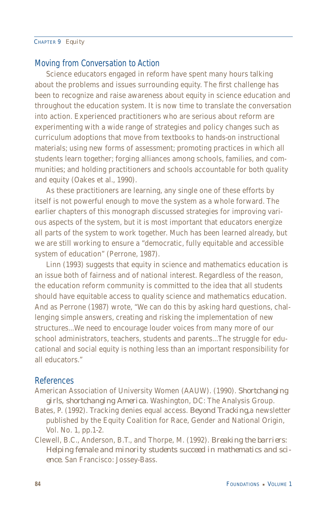## Moving from Conversation to Action

Science educators engaged in reform have spent many hours talking about the problems and issues surrounding equity. The first challenge has been to recognize and raise awareness about equity in science education and throughout the education system. It is now time to translate the conversation into action. Experienced practitioners who are serious about reform are experimenting with a wide range of strategies and policy changes such as curriculum adoptions that move from textbooks to hands-on instructional materials; using new forms of assessment; promoting practices in which all students learn together; forging alliances among schools, families, and communities; and holding practitioners and schools accountable for both quality and equity (Oakes et al., 1990).

As these practitioners are learning, any single one of these efforts by itself is not powerful enough to move the system as a whole forward. The earlier chapters of this monograph discussed strategies for improving various aspects of the system, but it is most important that educators energize all parts of the system to work together. Much has been learned already, but we are still working to ensure a "democratic, fully equitable and accessible system of education" (Perrone, 1987).

Linn (1993) suggests that equity in science and mathematics education is an issue both of fairness and of national interest. Regardless of the reason, the education reform community is committed to the idea that all students should have equitable access to quality science and mathematics education. And as Perrone (1987) wrote, "We can do this by asking hard questions, challenging simple answers, creating and risking the implementation of new structures...We need to encourage louder voices from many more of our school administrators, teachers, students and parents...The struggle for educational and social equity is nothing less than an important responsibility for all educators."

## **References**

- American Association of University Women (AAUW). (1990). *Shortchanging girls, shortchanging America.* Washington, DC: The Analysis Group.
- Bates, P. (1992). Tracking denies equal access. *Beyond Tracking,*a newsletter published by the Equity Coalition for Race, Gender and National Origin, Vol. No. 1, pp.1-2.
- Clewell, B.C., Anderson, B.T., and Thorpe, M. (1992). *Breaking the barriers: Helping female and minority students succeed in mathematics and science.* San Francisco: Jossey-Bass.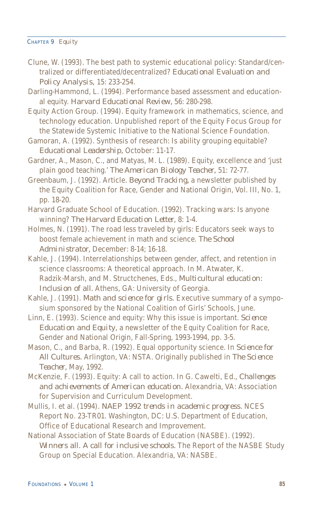#### CHAPTER 9 *Equity*

- Clune, W. (1993). The best path to systemic educational policy: Standard/centralized or differentiated/decentralized? *Educational Evaluation and Policy Analysis,* 15: 233-254.
- Darling-Hammond, L. (1994). Performance based assessment and educational equity. *Harvard Educational Review,* 56: 280-298.
- Equity Action Group. (1994). Equity framework in mathematics, science, and technology education. Unpublished report of the Equity Focus Group for the Statewide Systemic Initiative to the National Science Foundation.
- Gamoran, A. (1992). Synthesis of research: Is ability grouping equitable? *Educational Leadership,* October: 11-17.
- Gardner, A., Mason, C., and Matyas, M. L. (1989). Equity, excellence and 'just plain good teaching.' *The American Biology Teacher,* 51: 72-77.
- Greenbaum, J. (1992). Article. *Beyond Tracking,* a newsletter published by the Equity Coalition for Race, Gender and National Origin, Vol. III, No. 1, pp. 18-20.
- Harvard Graduate School of Education. (1992). Tracking wars: Is anyone winning? *The Harvard Education Letter,* 8: 1-4.
- Holmes, N. (1991). The road less traveled by girls: Educators seek ways to boost female achievement in math and science. *The School Administrator,* December: 8-14; 16-18.
- Kahle, J. (1994). Interrelationships between gender, affect, and retention in science classrooms: A theoretical approach. In M. Atwater, K. Radzik-Marsh, and M. Structchenes, Eds., *Multicultural education: Inclusion of all.* Athens, GA: University of Georgia.
- Kahle, J. (1991). *Math and science for girls.* Executive summary of a symposium sponsored by the National Coalition of Girls' Schools, June.
- Linn, E. (1993). Science and equity: Why this issue is important. *Science Education and Equity,* a newsletter of the Equity Coalition for Race, Gender and National Origin, Fall-Spring, 1993-1994, pp. 3-5.
- Mason, C., and Barba, R. (1992). Equal opportunity science. In *Science for All Cultures.* Arlington, VA: NSTA. Originally published in *The Science Teacher,* May, 1992.
- McKenzie, F. (1993). Equity: A call to action. In G. Cawelti, Ed., *Challenges and achievements of American education.* Alexandria, VA: Association for Supervision and Curriculum Development.
- Mullis, I. et al. (1994). *NAEP 1992 trends in academic progress.* NCES Report No. 23-TR01. Washington, DC: U.S. Department of Education, Office of Educational Research and Improvement.
- National Association of State Boards of Education (NASBE). (1992). *Winners all. A call for inclusive schools.* The Report of the NASBE Study Group on Special Education. Alexandria, VA: NASBE.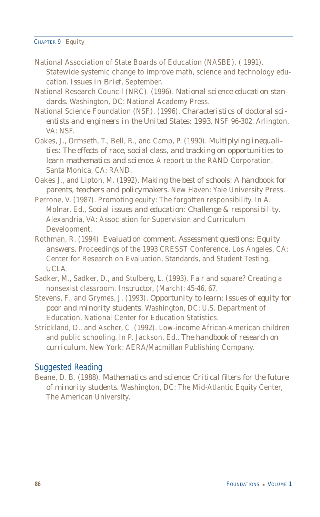#### CHAPTER 9 *Equity*

- National Association of State Boards of Education (NASBE). ( 1991). Statewide systemic change to improve math, science and technology education. *Issues in Brief,* September.
- National Research Council (NRC). (1996). *National science education standards.* Washington, DC: National Academy Press.
- National Science Foundation (NSF). (1996). *Characteristics of doctoral scientists and engineers in the United States: 1993.* NSF 96-302. Arlington, VA: NSF.
- Oakes, J., Ormseth, T., Bell, R., and Camp, P. (1990). *Multiplying inequalities: The effects of race, social class, and tracking on opportunities to learn mathematics and science.* A report to the RAND Corporation. Santa Monica, CA: RAND.

Oakes J., and Lipton, M. (1992). *Making the best of schools: A handbook for parents, teachers and policymakers.* New Haven: Yale University Press.

- Perrone, V. (1987). Promoting equity: The forgotten responsibility. In A. Molnar, Ed., *Social issues and education: Challenge & responsibility.* Alexandria, VA: Association for Supervision and Curriculum Development.
- Rothman, R. (1994). *Evaluation comment. Assessment questions: Equity answers.* Proceedings of the 1993 CRESST Conference, Los Angeles, CA: Center for Research on Evaluation, Standards, and Student Testing, UCLA.
- Sadker, M., Sadker, D., and Stulberg, L. (1993). Fair and square? Creating a nonsexist classroom. *Instructor,* (March): 45-46, 67.
- Stevens, F., and Grymes, J. (1993). *Opportunity to learn: Issues of equity for poor and minority students.* Washington, DC: U.S. Department of Education, National Center for Education Statistics.
- Strickland, D., and Ascher, C. (1992). Low-income African-American children and public schooling. In P. Jackson, Ed., *The handbook of research on curriculum.* New York: AERA/Macmillan Publishing Company.

## Suggested Reading

Beane, D. B. (1988). *Mathematics and science: Critical filters for the future of minority students.* Washington, DC: The Mid-Atlantic Equity Center, The American University.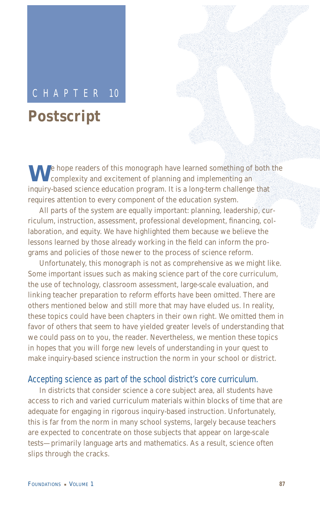## C H A P T E R 10

## **Postscript**

**W**e hope readers of this monograph have learned something of both the **V** complexity and excitement of planning and implementing an inquiry-based science education program. It is a long-term challenge that requires attention to every component of the education system.

All parts of the system are equally important: planning, leadership, curriculum, instruction, assessment, professional development, financing, collaboration, and equity. We have highlighted them because we believe the lessons learned by those already working in the field can inform the programs and policies of those newer to the process of science reform.

Unfortunately, this monograph is not as comprehensive as we might like. Some important issues such as making science part of the core curriculum, the use of technology, classroom assessment, large-scale evaluation, and linking teacher preparation to reform efforts have been omitted. There are others mentioned below and still more that may have eluded us. In reality, these topics could have been chapters in their own right. We omitted them in favor of others that seem to have yielded greater levels of understanding that we could pass on to you, the reader. Nevertheless, we mention these topics in hopes that you will forge new levels of understanding in your quest to make inquiry-based science instruction the norm in your school or district.

## Accepting science as part of the school district's core curriculum.

In districts that consider science a core subject area, all students have access to rich and varied curriculum materials within blocks of time that are adequate for engaging in rigorous inquiry-based instruction. Unfortunately, this is far from the norm in many school systems, largely because teachers are expected to concentrate on those subjects that appear on large-scale tests—primarily language arts and mathematics. As a result, science often slips through the cracks.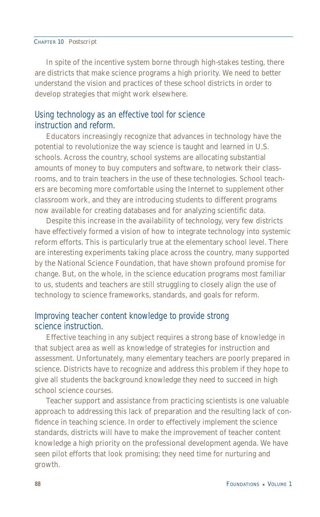#### CHAPTER 10 *Postscript*

In spite of the incentive system borne through high-stakes testing, there are districts that make science programs a high priority. We need to better understand the vision and practices of these school districts in order to develop strategies that might work elsewhere.

## Using technology as an effective tool for science instruction and reform.

Educators increasingly recognize that advances in technology have the potential to revolutionize the way science is taught and learned in U.S. schools. Across the country, school systems are allocating substantial amounts of money to buy computers and software, to network their classrooms, and to train teachers in the use of these technologies. School teachers are becoming more comfortable using the Internet to supplement other classroom work, and they are introducing students to different programs now available for creating databases and for analyzing scientific data.

Despite this increase in the availability of technology, very few districts have effectively formed a vision of how to integrate technology into systemic reform efforts. This is particularly true at the elementary school level. There are interesting experiments taking place across the country, many supported by the National Science Foundation, that have shown profound promise for change. But, on the whole, in the science education programs most familiar to us, students and teachers are still struggling to closely align the use of technology to science frameworks, standards, and goals for reform.

## Improving teacher content knowledge to provide strong science instruction.

Effective teaching in any subject requires a strong base of knowledge in that subject area as well as knowledge of strategies for instruction and assessment. Unfortunately, many elementary teachers are poorly prepared in science. Districts have to recognize and address this problem if they hope to give all students the background knowledge they need to succeed in high school science courses.

Teacher support and assistance from practicing scientists is one valuable approach to addressing this lack of preparation and the resulting lack of confidence in teaching science. In order to effectively implement the science standards, districts will have to make the improvement of teacher content knowledge a high priority on the professional development agenda. We have seen pilot efforts that look promising; they need time for nurturing and growth.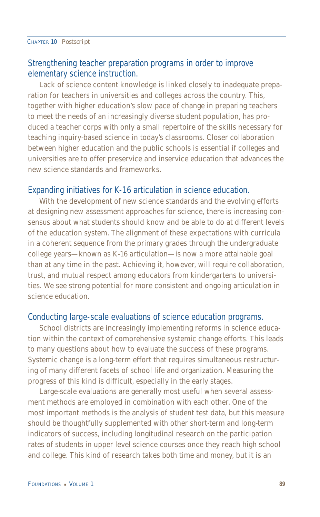## Strengthening teacher preparation programs in order to improve elementary science instruction.

Lack of science content knowledge is linked closely to inadequate preparation for teachers in universities and colleges across the country. This, together with higher education's slow pace of change in preparing teachers to meet the needs of an increasingly diverse student population, has produced a teacher corps with only a small repertoire of the skills necessary for teaching inquiry-based science in today's classrooms. Closer collaboration between higher education and the public schools is essential if colleges and universities are to offer preservice and inservice education that advances the new science standards and frameworks.

## Expanding initiatives for K-16 articulation in science education.

With the development of new science standards and the evolving efforts at designing new assessment approaches for science, there is increasing consensus about what students should know and be able to do at different levels of the education system. The alignment of these expectations with curricula in a coherent sequence from the primary grades through the undergraduate college years—known as K-16 articulation—is now a more attainable goal than at any time in the past. Achieving it, however, will require collaboration, trust, and mutual respect among educators from kindergartens to universities. We see strong potential for more consistent and ongoing articulation in science education.

## Conducting large-scale evaluations of science education programs.

School districts are increasingly implementing reforms in science education within the context of comprehensive systemic change efforts. This leads to many questions about how to evaluate the success of these programs. Systemic change is a long-term effort that requires simultaneous restructuring of many different facets of school life and organization. Measuring the progress of this kind is difficult, especially in the early stages.

Large-scale evaluations are generally most useful when several assessment methods are employed in combination with each other. One of the most important methods is the analysis of student test data, but this measure should be thoughtfully supplemented with other short-term and long-term indicators of success, including longitudinal research on the participation rates of students in upper level science courses once they reach high school and college. This kind of research takes both time and money, but it is an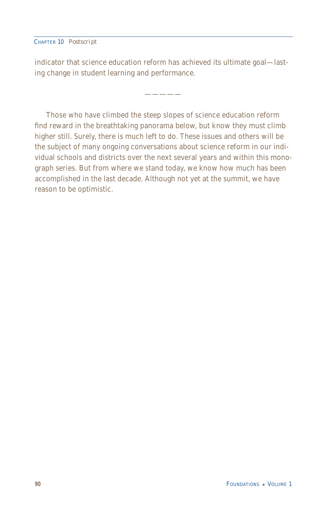#### CHAPTER 10 *Postscript*

indicator that science education reform has achieved its ultimate goal—lasting change in student learning and performance.

—————

Those who have climbed the steep slopes of science education reform find reward in the breathtaking panorama below, but know they must climb higher still. Surely, there is much left to do. These issues and others will be the subject of many ongoing conversations about science reform in our individual schools and districts over the next several years and within this monograph series. But from where we stand today, we know how much has been accomplished in the last decade. Although not yet at the summit, we have reason to be optimistic.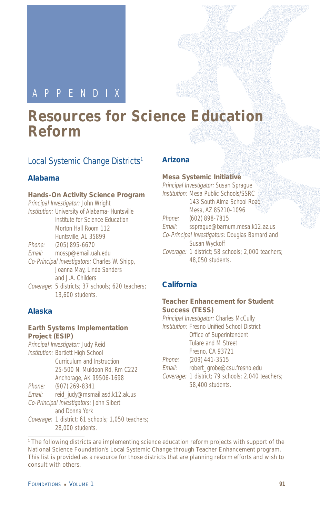## **Resources for Science Education Reform**

## Local Systemic Change Districts<sup>1</sup>

## **Alabama**

#### **Hands-On Activity Science Program**

Principal Investigator: John Wright Institution: University of Alabama–Huntsville Institute for Science Education Morton Hall Room 112 Huntsville, AL 35899 Phone: (205) 895-6670 Email: mossp@email.uah.edu Co-Principal Investigators: Charles W. Shipp, Joanna May, Linda Sanders and J.A. Childers Coverage: 5 districts; 37 schools; 620 teachers; 13,600 students.

## **Alaska**

#### **Earth Systems Implementation Project (ESIP)**

Principal Investigator: Judy Reid Institution: Bartlett High School Curriculum and Instruction 25-500 N. Muldoon Rd, Rm C222 Anchorage, AK 99506-1698 Phone: (907) 269-8341 Email: reid\_judy@msmail.asd.k12.ak.us Co-Principal Investigators: John Sibert and Donna York Coverage: 1 district; 61 schools; 1,050 teachers; 28,000 students.

### **Arizona**

**Mesa Systemic Initiative** Principal Investigator: Susan Sprague Institution: Mesa Public Schools/SSRC 143 South Alma School Road Mesa, AZ 85210-1096 Phone: (602) 898-7815 Email: ssprague@barnum.mesa.k12.az.us Co-Principal Investigators: Douglas Barnard and Susan Wyckoff Coverage: 1 district; 58 schools; 2,000 teachers; 48,050 students.

## **California**

#### **Teacher Enhancement for Student Success (TESS)**

Principal Investigator: Charles McCully Institution: Fresno Unified School District Office of Superintendent Tulare and M Street Fresno, CA 93721 Phone: (209) 441-3515 Email: robert\_grobe@csu.fresno.edu Coverage: 1 district; 79 schools; 2,040 teachers; 58,400 students.

<sup>&</sup>lt;sup>1</sup> The following districts are implementing science education reform projects with support of the National Science Foundation's Local Systemic Change through Teacher Enhancement program. This list is provided as a resource for those districts that are planning reform efforts and wish to consult with others.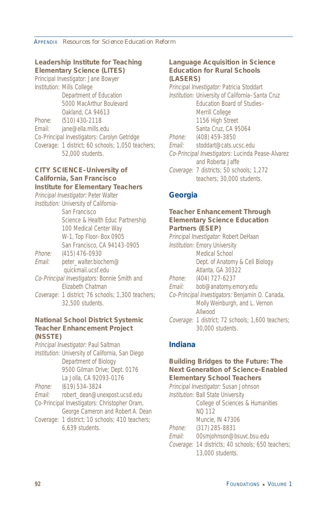#### **Leadership Institute for Teaching Elementary Science (LITES)**

Principal Investigator: Jane Bowyer Institution: Mills College Department of Education 5000 MacArthur Boulevard Oakland, CA 94613 Phone: (510) 430-2118 Email: jane@ella.mills.edu Co-Principal Investigators: Carolyn Getridge Coverage: 1 district; 60 schools; 1,050 teachers; 52,000 students.

#### **CITY SCIENCE–University of California, San Francisco Institute for Elementary Teachers**

Principal Investigator: Peter Walter Institution: University of California–

San Francisco Science & Health Educ Partnership 100 Medical Center Way W-1, Top Floor–Box 0905 San Francisco, CA 94143-0905

- Phone: (415) 476-0930
- Email: peter\_walter.biochem@ quickmail.ucsf.edu
- Co-Principal Investigators: Bonnie Smith and Elizabeth Chatman
- Coverage: 1 district; 76 schools; 1,300 teachers; 32,500 students.

#### **National School District Systemic Teacher Enhancement Project (NSSTE)**

Principal Investigator: Paul Saltman Institution: University of California, San Diego Department of Biology 9500 Gilman Drive; Dept. 0176 La Jolla, CA 92093-0176 Phone: (619) 534-3824 Email: robert\_dean@unexpost.ucsd.edu Co-Principal Investigators: Christopher Oram, George Cameron and Robert A. Dean Coverage: 1 district; 10 schools; 410 teachers; 6,639 students.

#### **Language Acquisition in Science Education for Rural Schools (LASERS)**

Principal Investigator: Patricia Stoddart Institution: University of California–Santa Cruz Education Board of Studies– Merrill College 1156 High Street Santa Cruz, CA 95064 Phone: (408) 459-3850 Email: stoddart@cats.ucsc.edu Co-Principal Investigators: Lucinda Pease-Alvarez and Roberta Jaffe Coverage: 7 districts; 50 schools; 1,272 teachers; 30,000 students.

## **Georgia**

#### **Teacher Enhancement Through Elementary Science Education Partners (ESEP)**

Principal Investigator: Robert DeHaan Institution: Emory University Medical School Dept. of Anatomy & Cell Biology Atlanta, GA 30322 Phone: (404) 727-6237 Email: bob@anatomy.emory.edu Co-Principal Investigators: Benjamin O. Canada, Molly Weinburgh, and L. Vernon Allwood Coverage: 1 district; 72 schools; 1,600 teachers; 30,000 students.

## **Indiana**

### **Building Bridges to the Future: The Next Generation of Science-Enabled Elementary School Teachers**

Principal Investigator: Susan Johnson Institution: Ball State University College of Sciences & Humanities NQ 112 Muncie, IN 47306 Phone: (317) 285-8831 Email: 00smjohnson@bsuvc.bsu.edu Coverage: 14 districts; 40 schools; 650 teachers; 13,000 students.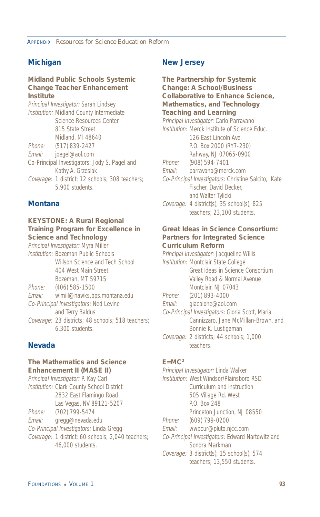### **Michigan**

#### **Midland Public Schools Systemic Change Teacher Enhancement Institute**

Principal Investigator: Sarah Lindsey Institution: Midland County Intermediate Science Resources Center 815 State Street Midland, MI 48640 Phone: (517) 839-2427 Email: jpegel@aol.com Co-Principal Investigators: Jody S. Pagel and Kathy A. Grzesiak Coverage: 1 district; 12 schools; 308 teachers; 5,900 students.

#### **Montana**

#### **KEYSTONE: A Rural Regional Training Program for Excellence in Science and Technology**

Principal Investigator: Myra Miller Institution: Bozeman Public Schools Willson Science and Tech School 404 West Main Street Bozeman, MT 59715 Phone: (406) 585-1500 Email: wimill@hawks.bps.montana.edu Co-Principal Investigators: Ned Levine and Terry Baldus Coverage: 23 districts; 48 schools; 518 teachers; 6,300 students.

### **Nevada**

#### **The Mathematics and Science Enhancement II (MASE II)**

Principal Investigator: P. Kay Carl **Institution: Clark County School District** 2832 East Flamingo Road Las Vegas, NV 89121-5207 Phone: (702) 799-5474 Email: gregg@nevada.edu Co-Principal Investigators: Linda Gregg Coverage: 1 district; 60 schools; 2,040 teachers; 46,000 students.

#### **New Jersey**

**The Partnership for Systemic Change: A School/Business Collaborative to Enhance Science, Mathematics, and Technology Teaching and Learning** Principal Investigator: Carlo Parravano Institution: Merck Institute of Science Educ. 126 East Lincoln Ave. P.O. Box 2000 (RY7-230) Rahway, NJ 07065-0900 Phone: (908) 594-7401 Email: parravano@merck.com Co-Principal Investigators: Christine Salcito, Kate Fischer, David Decker, and Walter Tylicki Coverage: 4 district(s); 35 school(s); 825 teachers; 23,100 students.

#### **Great Ideas in Science Consortium: Partners for Integrated Science Curriculum Reform**

Principal Investigator: Jacqueline Willis Institution: Montclair State College Great Ideas in Science Consortium Valley Road & Normal Avenue Montclair, NJ 07043 Phone: (201) 893-4000 Email: giacalone@aol.com Co-Principal Investigators: Gloria Scott, Maria Cannizzaro, Jane McMillan-Brown, and Bonnie K. Lustigaman Coverage: 2 districts; 44 schools; 1,000 teachers.

#### **E=MC2**

Principal Investigator: Linda Walker Institution: West Windsor/Plainsboro RSD Curriculum and Instruction 505 Village Rd. West P.O. Box 248 Princeton Junction, NJ 08550 Phone: (609) 799-0200 Email: wwpcur@pluto.njcc.com Co-Principal Investigators: Edward Nartowitz and Sondra Markman Coverage: 3 district(s); 15 school(s); 574 teachers; 13,550 students.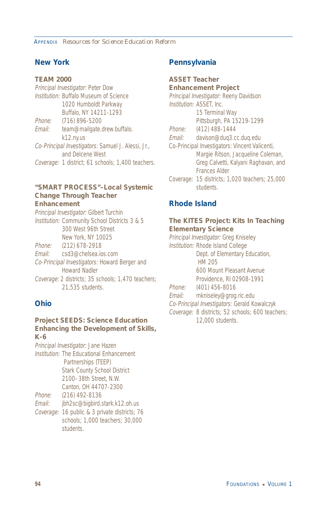## **New York**

#### **TEAM 2000**

Principal Investigator: Peter Dow Institution: Buffalo Museum of Science 1020 Humboldt Parkway Buffalo, NY 14211-1293 Phone: (716) 896-5200 Email: team@mailgate.drew.buffalo. k12.ny.us Co-Principal Investigators: Samuel J. Alessi, Jr., and Delcene West Coverage: 1 district; 61 schools; 1,400 teachers.

#### **"SMART PROCESS"–Local Systemic Change Through Teacher Enhancement**

Principal Investigator: Gilbert Turchin Institution: Community School Districts 3 & 5 300 West 96th Street New York, NY 10025 Phone: (212) 678-2918 Email: csd3@chelsea.ios.com Co-Principal Investigators: Howard Berger and Howard Nadler Coverage: 2 districts; 35 schools; 1,470 teachers; 21,535 students.

## **Ohio**

#### **Project SEEDS: Science Education Enhancing the Development of Skills, K-6**

Principal Investigator: Jane Hazen Institution: The Educational Enhancement Partnerships (TEEP) Stark County School District 2100–38th Street, N.W. Canton, OH 44707-2300 Phone: (216) 492-8136 Email: jbh2sc@bigbird.stark.k12.oh.us Coverage: 16 public & 3 private districts; 76 schools; 1,000 teachers; 30,000 students.

## **Pennsylvania**

## **ASSET Teacher**

**Enhancement Project**

Principal Investigator: Reeny Davidson Institution: ASSET, Inc. 15 Terminal Way Pittsburgh, PA 15219-1299 Phone: (412) 488-1444 Email: davison@duq3.cc.duq.edu Co-Principal Investigators: Vincent Valicenti, Margie Ritson, Jacqueline Coleman, Greg Calvetti, Kalyani Raghavan, and Frances Alder Coverage: 15 districts; 1,020 teachers; 25,000 students.

## **Rhode Island**

#### **The KITES Project: Kits In Teaching Elementary Science**

Principal Investigator: Greg Kniseley Institution: Rhode Island College Dept. of Elementary Education, HM 205 600 Mount Pleasant Avenue Providence, RI 02908-1991 Phone: (401) 456-8016 Email: mkniseley@grog.ric.edu Co-Principal Investigators: Gerald Kowalczyk Coverage: 8 districts; 52 schools; 600 teachers; 12,000 students.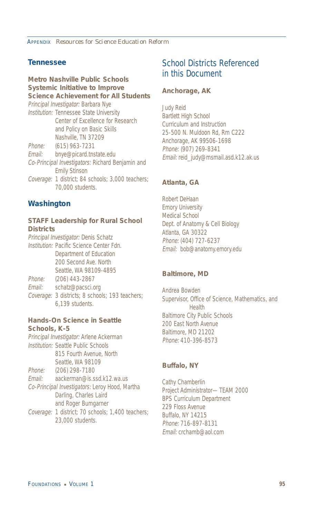### **Tennessee**

## **Metro Nashville Public Schools Systemic Initiative to Improve Science Achievement for All Students**

Principal Investigator: Barbara Nye Institution: Tennessee State University Center of Excellence for Research and Policy on Basic Skills Nashville, TN 37209 Phone: (615) 963-7231 Email: bnye@picard.tnstate.edu Co-Principal Investigators: Richard Benjamin and Emily Stinson Coverage: 1 district; 84 schools; 3,000 teachers; 70,000 students.

## **Washington**

#### **STAFF Leadership for Rural School Districts**

Principal Investigator: Denis Schatz Institution: Pacific Science Center Fdn. Department of Education 200 Second Ave. North Seattle, WA 98109-4895 Phone: (206) 443-2867 Email: schatz@pacsci.org Coverage: 3 districts; 8 schools; 193 teachers;

6,139 students.

#### **Hands-On Science in Seattle Schools, K-5**

Principal Investigator: Arlene Ackerman Institution: Seattle Public Schools 815 Fourth Avenue, North Seattle, WA 98109 Phone: (206) 298-7180 Email: aackerman@is.ssd.k12.wa.us Co-Principal Investigators: Leroy Hood, Martha Darling, Charles Laird and Roger Bumgarner Coverage: 1 district; 70 schools; 1,400 teachers;

23,000 students.

## School Districts Referenced in this Document

#### **Anchorage, AK**

Judy Reid Bartlett High School Curriculum and Instruction 25-500 N. Muldoon Rd, Rm C222 Anchorage, AK 99506-1698 Phone: (907) 269-8341 Email: reid\_judy@msmail.asd.k12.ak.us

#### **Atlanta, GA**

Robert DeHaan Emory University Medical School Dept. of Anatomy & Cell Biology Atlanta, GA 30322 Phone: (404) 727-6237 Email: bob@anatomy.emory.edu

#### **Baltimore, MD**

Andrea Bowden Supervisor, Office of Science, Mathematics, and Health Baltimore City Public Schools 200 East North Avenue Baltimore, MD 21202 Phone: 410-396-8573

#### **Buffalo, NY**

Cathy Chamberlin Project Administrator—TEAM 2000 BPS Curriculum Department 229 Floss Avenue Buffalo, NY 14215 Phone: 716-897-8131 Email: crchamb@aol.com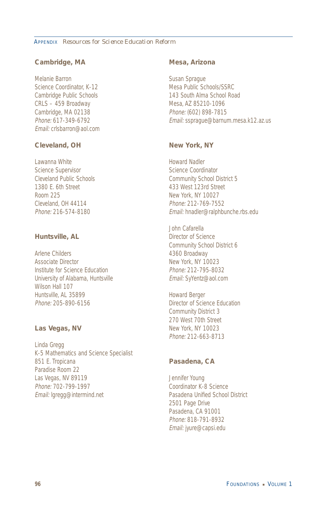#### **Cambridge, MA**

Melanie Barron Science Coordinator, K-12 Cambridge Public Schools CRLS – 459 Broadway Cambridge, MA 02138 Phone: 617-349-6792 Email: crlsbarron@aol.com

#### **Cleveland, OH**

Lawanna White Science Supervisor Cleveland Public Schools 1380 E. 6th Street Room 225 Cleveland, OH 44114 Phone: 216-574-8180

#### **Huntsville, AL**

Arlene Childers Associate Director Institute for Science Education University of Alabama, Huntsville Wilson Hall 107 Huntsville, AL 35899 Phone: 205-890-6156

#### **Las Vegas, NV**

Linda Gregg K-5 Mathematics and Science Specialist 851 E. Tropicana Paradise Room 22 Las Vegas, NV 89119 Phone: 702-799-1997 Email: lgregg@intermind.net

#### **Mesa, Arizona**

Susan Sprague Mesa Public Schools/SSRC 143 South Alma School Road Mesa, AZ 85210-1096 Phone: (602) 898-7815 Email: ssprague@barnum.mesa.k12.az.us

#### **New York, NY**

Howard Nadler Science Coordinator Community School District 5 433 West 123rd Street New York, NY 10027 Phone: 212-769-7552 Email: hnadler@ralphbunche.rbs.edu

John Cafarella Director of Science Community School District 6 4360 Broadway New York, NY 10023 Phone: 212-795-8032 Email: SyYentz@aol.com

Howard Berger Director of Science Education Community District 3 270 West 70th Street New York, NY 10023 Phone: 212-663-8713

#### **Pasadena, CA**

Jennifer Young Coordinator K-8 Science Pasadena Unified School District 2501 Page Drive Pasadena, CA 91001 Phone: 818-791-8932 Email: jyure@capsi.edu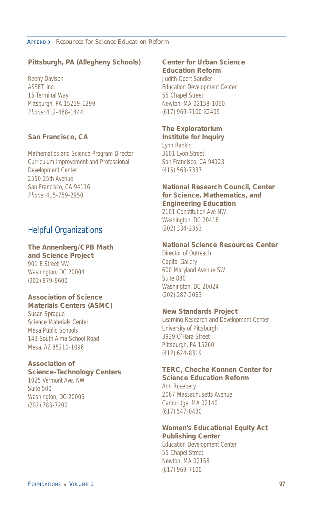#### **Pittsburgh, PA (Allegheny Schools)**

Reeny Davison ASSET, Inc. 15 Terminal Way Pittsburgh, PA 15219-1299 Phone: 412-488-1444

#### **San Francisco, CA**

Mathematics and Science Program Director Curriculum Improvement and Professional Development Center 2550 25th Avenue San Francisco, CA 94116 Phone: 415-759-2950

## Helpful Organizations

## **The Annenberg/CPB Math**

**and Science Project**  901 E Street NW Washington, DC 20004 (202) 879-9600

#### **Association of Science Materials Centers (ASMC)**

Susan Sprague Science Materials Center Mesa Public Schools 143 South Alma School Road Mesa, AZ 85210-1096

#### **Association of**

#### **Science-Technology Centers**

1025 Vermont Ave. NW Suite 500 Washington, DC 20005 (202) 783-7200

#### **Center for Urban Science Education Reform**

Judith Opert Sandler Education Development Center 55 Chapel Street Newton, MA 02158-1060 (617) 969-7100 X2409

## **The Exploratorium**

**Institute for Inquiry** Lynn Rankin 3601 Lyon Street San Francisco, CA 94123 (415) 563-7337

### **National Research Council, Center for Science, Mathematics, and Engineering Education**

2101 Constitution Ave NW Washington, DC 20418 (202) 334-2353

#### **National Science Resources Center**

Director of Outreach Capital Gallery 600 Maryland Avenue SW Suite 880 Washington, DC 20024 (202) 287-2063

#### **New Standards Project**

Learning Research and Development Center University of Pittsburgh 3939 O'Hara Street Pittsburgh, PA 15260 (412) 624-8319

#### **TERC, Cheche Konnen Center for Science Education Reform**

Ann Rosebery 2067 Massachusetts Avenue Cambridge, MA 02140 (617) 547-0430

### **Women's Educational Equity Act Publishing Center**

Education Development Center 55 Chapel Street Newton, MA 02158 (617) 969-7100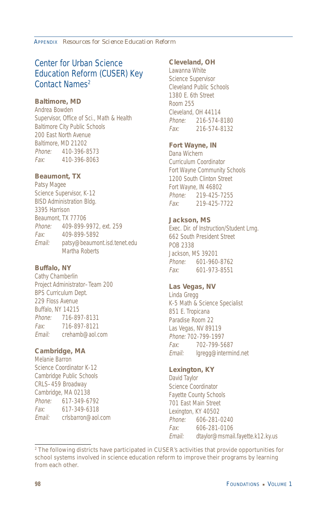## Center for Urban Science Education Reform (CUSER) Key Contact Names2

#### **Baltimore, MD**

Andrea Bowden Supervisor, Office of Sci., Math & Health Baltimore City Public Schools 200 East North Avenue Baltimore, MD 21202 Phone: 410-396-8573 Fax: 410-396-8063

#### **Beaumont, TX**

Patsy Magee Science Supervisor, K-12 BISD Administration Bldg. 3395 Harrison Beaumont, TX 77706 Phone: 409-899-9972, ext. 259 Fax: 409-899-5892 Email: patsy@beaumont.isd.tenet.edu Martha Roberts

#### **Buffalo, NY**

Cathy Chamberlin Project Administrator–Team 200 BPS Curriculum Dept. 229 Floss Avenue Buffalo, NY 14215 Phone: 716-897-8131 Fax: 716-897-8121 Email: crehamb@aol.com

#### **Cambridge, MA**

Melanie Barron Science Coordinator K-12 Cambridge Public Schools CRLS–459 Broadway Cambridge, MA 02138 Phone: 617-349-6792 Fax: 617-349-6318 Email: crlsbarron@aol.com

#### **Cleveland, OH**

Lawanna White Science Supervisor Cleveland Public Schools 1380 E. 6th Street Room 255 Cleveland, OH 44114 Phone: 216-574-8180 Fax: 216-574-8132

## **Fort Wayne, IN**

Dana Wichern Curriculum Coordinator Fort Wayne Community Schools 1200 South Clinton Street Fort Wayne, IN 46802 Phone: 219-425-7255 Fax: 219-425-7722

#### **Jackson, MS**

Exec. Dir. of Instruction/Student Lrng. 662 South President Street POB 2338 Jackson, MS 39201 Phone: 601-960-8762 Fax: 601-973-8551

#### **Las Vegas, NV**

Linda Gregg K-5 Math & Science Specialist 851 E. Tropicana Paradise Room 22 Las Vegas, NV 89119 Phone: 702-799-1997 Fax: 702-799-5687 Email: lgregg@intermind.net

#### **Lexington, KY**

David Taylor Science Coordinator Fayette County Schools 701 East Main Street Lexington, KY 40502 Phone: 606-281-0240 Fax: 606-281-0106 Email: dtaylor@msmail.fayette.k12.ky.us

<sup>2</sup> The following districts have participated in CUSER's activities that provide opportunities for school systems involved in science education reform to improve their programs by learning from each other.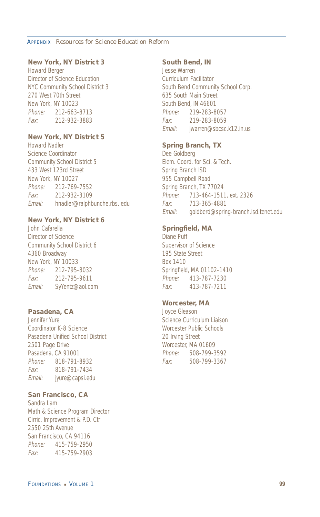#### APPENDIX *Resources for Science Education Reform*

#### **New York, NY District 3**

Howard Berger Director of Science Education NYC Community School District 3 270 West 70th Street New York, NY 10023 Phone: 212-663-8713 Fax: 212-932-3883

#### **New York, NY District 5**

Howard Nadler Science Coordinator Community School District 5 433 West 123rd Street New York, NY 10027 Phone: 212-769-7552 Fax: 212-932-3109 Email: hnadler@ralphbunche.rbs. edu

#### **New York, NY District 6**

John Cafarella Director of Science Community School District 6 4360 Broadway New York, NY 10033 Phone: 212-795-8032 Fax: 212-795-9611 Email: SyYentz@aol.com

#### **Pasadena, CA**

Jennifer Yure Coordinator K-8 Science Pasadena Unified School District 2501 Page Drive Pasadena, CA 91001 Phone: 818-791-8932 Fax: 818-791-7434 Email: jyure@capsi.edu

#### **San Francisco, CA**

Sandra Lam Math & Science Program Director Cirric. Improvement & P.D. Ctr 2550 25th Avenue San Francisco, CA 94116 Phone: 415-759-2950 Fax: 415-759-2903

#### **South Bend, IN**

Jesse Warren Curriculum Facilitator South Bend Community School Corp. 635 South Main Street South Bend, IN 46601 Phone: 219-283-8057 Fax: 219-283-8059 Email: jwarren@sbcsc.k12.in.us

#### **Spring Branch, TX**

Dee Goldberg Elem. Coord. for Sci. & Tech. Spring Branch ISD 955 Campbell Road Spring Branch, TX 77024 Phone: 713-464-1511, ext. 2326 Fax: 713-365-4881 Email: goldberd@spring-branch.isd.tenet.edu

#### **Springfield, MA**

Diane Puff Supervisor of Science 195 State Street Box 1410 Springfield, MA 01102-1410 Phone: 413-787-7230 Fax: 413-787-7211

#### **Worcester, MA**

Joyce Gleason Science Curriculum Liaison Worcester Public Schools 20 Irving Street Worcester, MA 01609 Phone: 508-799-3592 Fax: 508-799-3367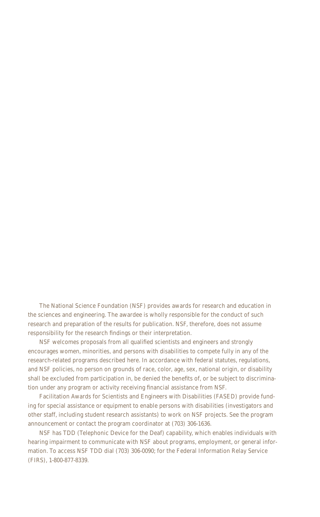The National Science Foundation (NSF) provides awards for research and education in the sciences and engineering. The awardee is wholly responsible for the conduct of such research and preparation of the results for publication. NSF, therefore, does not assume responsibility for the research findings or their interpretation.

NSF welcomes proposals from all qualified scientists and engineers and strongly encourages women, minorities, and persons with disabilities to compete fully in any of the research-related programs described here. In accordance with federal statutes, regulations, and NSF policies, no person on grounds of race, color, age, sex, national origin, or disability shall be excluded from participation in, be denied the benefits of, or be subject to discrimination under any program or activity receiving financial assistance from NSF.

Facilitation Awards for Scientists and Engineers with Disabilities (FASED) provide funding for special assistance or equipment to enable persons with disabilities (investigators and other staff, including student research assistants) to work on NSF projects. See the program announcement or contact the program coordinator at (703) 306-1636.

NSF has TDD (Telephonic Device for the Deaf) capability, which enables individuals with hearing impairment to communicate with NSF about programs, employment, or general information. To access NSF TDD dial (703) 306-0090; for the Federal Information Relay Service (FIRS), 1-800-877-8339.